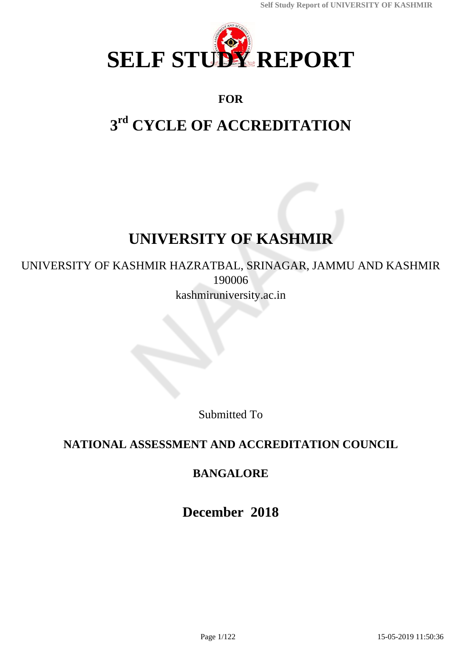

# **FOR**

# **3 rd CYCLE OF ACCREDITATION**

# **UNIVERSITY OF KASHMIR**

# UNIVERSITY OF KASHMIR HAZRATBAL, SRINAGAR, JAMMU AND KASHMIR 190006 kashmiruniversity.ac.in

Submitted To

# **NATIONAL ASSESSMENT AND ACCREDITATION COUNCIL**

# **BANGALORE**

**December 2018**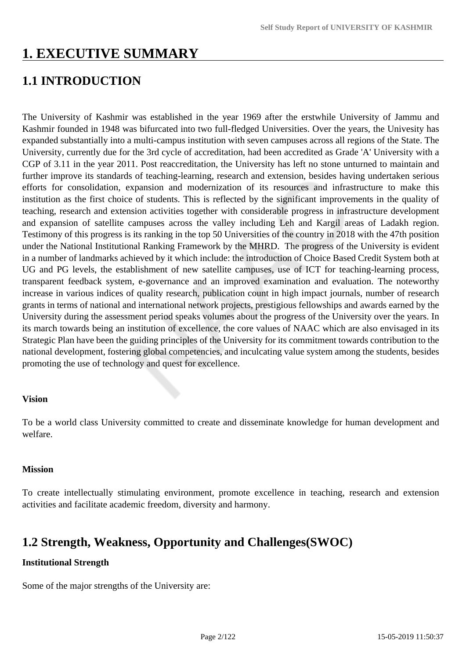# **1. EXECUTIVE SUMMARY**

# **1.1 INTRODUCTION**

The University of Kashmir was established in the year 1969 after the erstwhile University of Jammu and Kashmir founded in 1948 was bifurcated into two full-fledged Universities. Over the years, the Univesity has expanded substantially into a multi-campus institution with seven campuses across all regions of the State. The University, currently due for the 3rd cycle of accreditation, had been accredited as Grade 'A' University with a CGP of 3.11 in the year 2011. Post reaccreditation, the University has left no stone unturned to maintain and further improve its standards of teaching-learning, research and extension, besides having undertaken serious efforts for consolidation, expansion and modernization of its resources and infrastructure to make this institution as the first choice of students. This is reflected by the significant improvements in the quality of teaching, research and extension activities together with considerable progress in infrastructure development and expansion of satellite campuses across the valley including Leh and Kargil areas of Ladakh region. Testimony of this progress is its ranking in the top 50 Universities of the country in 2018 with the 47th position under the National Institutional Ranking Framework by the MHRD. The progress of the University is evident in a number of landmarks achieved by it which include: the introduction of Choice Based Credit System both at UG and PG levels, the establishment of new satellite campuses, use of ICT for teaching-learning process, transparent feedback system, e-governance and an improved examination and evaluation. The noteworthy increase in various indices of quality research, publication count in high impact journals, number of research grants in terms of national and international network projects, prestigious fellowships and awards earned by the University during the assessment period speaks volumes about the progress of the University over the years. In its march towards being an institution of excellence, the core values of NAAC which are also envisaged in its Strategic Plan have been the guiding principles of the University for its commitment towards contribution to the national development, fostering global competencies, and inculcating value system among the students, besides promoting the use of technology and quest for excellence.

### **Vision**

To be a world class University committed to create and disseminate knowledge for human development and welfare.

#### **Mission**

To create intellectually stimulating environment, promote excellence in teaching, research and extension activities and facilitate academic freedom, diversity and harmony.

# **1.2 Strength, Weakness, Opportunity and Challenges(SWOC)**

#### **Institutional Strength**

Some of the major strengths of the University are: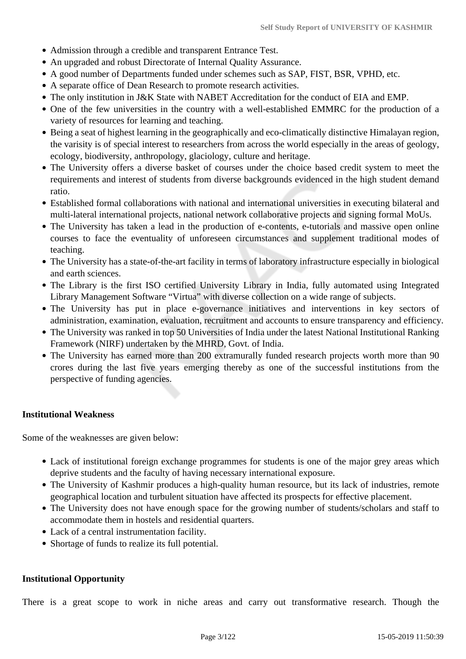- Admission through a credible and transparent Entrance Test.
- An upgraded and robust Directorate of Internal Quality Assurance.
- A good number of Departments funded under schemes such as SAP, FIST, BSR, VPHD, etc.
- A separate office of Dean Research to promote research activities.
- The only institution in J&K State with NABET Accreditation for the conduct of EIA and EMP.
- One of the few universities in the country with a well-established EMMRC for the production of a variety of resources for learning and teaching.
- Being a seat of highest learning in the geographically and eco-climatically distinctive Himalayan region, the varisity is of special interest to researchers from across the world especially in the areas of geology, ecology, biodiversity, anthropology, glaciology, culture and heritage.
- The University offers a diverse basket of courses under the choice based credit system to meet the requirements and interest of students from diverse backgrounds evidenced in the high student demand ratio.
- Established formal collaborations with national and international universities in executing bilateral and multi-lateral international projects, national network collaborative projects and signing formal MoUs.
- The University has taken a lead in the production of e-contents, e-tutorials and massive open online courses to face the eventuality of unforeseen circumstances and supplement traditional modes of teaching.
- The University has a state-of-the-art facility in terms of laboratory infrastructure especially in biological and earth sciences.
- The Library is the first ISO certified University Library in India, fully automated using Integrated Library Management Software "Virtua" with diverse collection on a wide range of subjects.
- The University has put in place e-governance initiatives and interventions in key sectors of administration, examination, evaluation, recruitment and accounts to ensure transparency and efficiency.
- The University was ranked in top 50 Universities of India under the latest National Institutional Ranking Framework (NIRF) undertaken by the MHRD, Govt. of India.
- The University has earned more than 200 extramurally funded research projects worth more than 90 crores during the last five years emerging thereby as one of the successful institutions from the perspective of funding agencies.

#### **Institutional Weakness**

Some of the weaknesses are given below:

- Lack of institutional foreign exchange programmes for students is one of the major grey areas which deprive students and the faculty of having necessary international exposure.
- The University of Kashmir produces a high-quality human resource, but its lack of industries, remote geographical location and turbulent situation have affected its prospects for effective placement.
- The University does not have enough space for the growing number of students/scholars and staff to accommodate them in hostels and residential quarters.
- Lack of a central instrumentation facility.
- Shortage of funds to realize its full potential.

#### **Institutional Opportunity**

There is a great scope to work in niche areas and carry out transformative research. Though the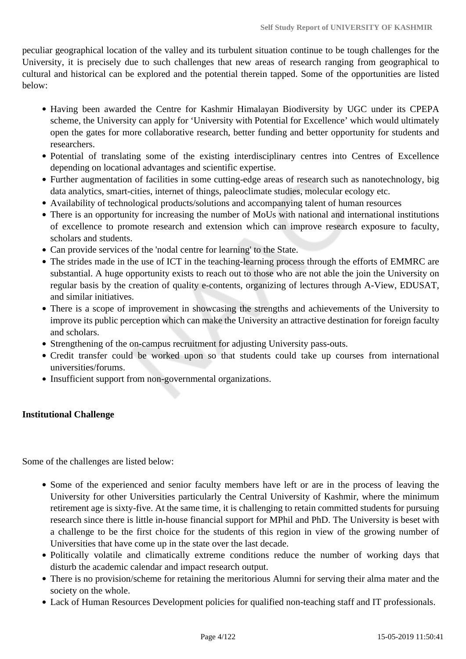peculiar geographical location of the valley and its turbulent situation continue to be tough challenges for the University, it is precisely due to such challenges that new areas of research ranging from geographical to cultural and historical can be explored and the potential therein tapped. Some of the opportunities are listed below:

- Having been awarded the Centre for Kashmir Himalayan Biodiversity by UGC under its CPEPA scheme, the University can apply for 'University with Potential for Excellence' which would ultimately open the gates for more collaborative research, better funding and better opportunity for students and researchers.
- Potential of translating some of the existing interdisciplinary centres into Centres of Excellence depending on locational advantages and scientific expertise.
- Further augmentation of facilities in some cutting-edge areas of research such as nanotechnology, big data analytics, smart-cities, internet of things, paleoclimate studies, molecular ecology etc.
- Availability of technological products/solutions and accompanying talent of human resources
- There is an opportunity for increasing the number of MoUs with national and international institutions of excellence to promote research and extension which can improve research exposure to faculty, scholars and students.
- Can provide services of the 'nodal centre for learning' to the State.
- The strides made in the use of ICT in the teaching-learning process through the efforts of EMMRC are substantial. A huge opportunity exists to reach out to those who are not able the join the University on regular basis by the creation of quality e-contents, organizing of lectures through A-View, EDUSAT, and similar initiatives.
- There is a scope of improvement in showcasing the strengths and achievements of the University to improve its public perception which can make the University an attractive destination for foreign faculty and scholars.
- Strengthening of the on-campus recruitment for adjusting University pass-outs.
- Credit transfer could be worked upon so that students could take up courses from international universities/forums.
- Insufficient support from non-governmental organizations.

### **Institutional Challenge**

Some of the challenges are listed below:

- Some of the experienced and senior faculty members have left or are in the process of leaving the University for other Universities particularly the Central University of Kashmir, where the minimum retirement age is sixty-five. At the same time, it is challenging to retain committed students for pursuing research since there is little in-house financial support for MPhil and PhD. The University is beset with a challenge to be the first choice for the students of this region in view of the growing number of Universities that have come up in the state over the last decade.
- Politically volatile and climatically extreme conditions reduce the number of working days that disturb the academic calendar and impact research output.
- There is no provision/scheme for retaining the meritorious Alumni for serving their alma mater and the society on the whole.
- Lack of Human Resources Development policies for qualified non-teaching staff and IT professionals.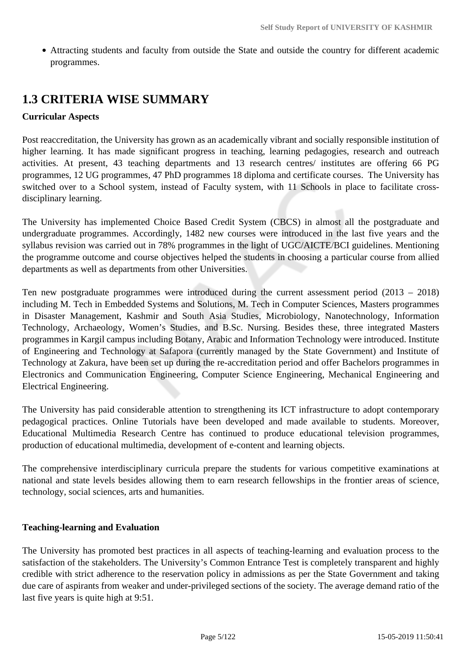Attracting students and faculty from outside the State and outside the country for different academic programmes.

# **1.3 CRITERIA WISE SUMMARY**

### **Curricular Aspects**

Post reaccreditation, the University has grown as an academically vibrant and socially responsible institution of higher learning. It has made significant progress in teaching, learning pedagogies, research and outreach activities. At present, 43 teaching departments and 13 research centres/ institutes are offering 66 PG programmes, 12 UG programmes, 47 PhD programmes 18 diploma and certificate courses. The University has switched over to a School system, instead of Faculty system, with 11 Schools in place to facilitate crossdisciplinary learning.

The University has implemented Choice Based Credit System (CBCS) in almost all the postgraduate and undergraduate programmes. Accordingly, 1482 new courses were introduced in the last five years and the syllabus revision was carried out in 78% programmes in the light of UGC/AICTE/BCI guidelines. Mentioning the programme outcome and course objectives helped the students in choosing a particular course from allied departments as well as departments from other Universities.

Ten new postgraduate programmes were introduced during the current assessment period (2013 – 2018) including M. Tech in Embedded Systems and Solutions, M. Tech in Computer Sciences, Masters programmes in Disaster Management, Kashmir and South Asia Studies, Microbiology, Nanotechnology, Information Technology, Archaeology, Women's Studies, and B.Sc. Nursing. Besides these, three integrated Masters programmes in Kargil campus including Botany, Arabic and Information Technology were introduced. Institute of Engineering and Technology at Safapora (currently managed by the State Government) and Institute of Technology at Zakura, have been set up during the re-accreditation period and offer Bachelors programmes in Electronics and Communication Engineering, Computer Science Engineering, Mechanical Engineering and Electrical Engineering.

The University has paid considerable attention to strengthening its ICT infrastructure to adopt contemporary pedagogical practices. Online Tutorials have been developed and made available to students. Moreover, Educational Multimedia Research Centre has continued to produce educational television programmes, production of educational multimedia, development of e-content and learning objects.

The comprehensive interdisciplinary curricula prepare the students for various competitive examinations at national and state levels besides allowing them to earn research fellowships in the frontier areas of science, technology, social sciences, arts and humanities.

### **Teaching-learning and Evaluation**

The University has promoted best practices in all aspects of teaching-learning and evaluation process to the satisfaction of the stakeholders. The University's Common Entrance Test is completely transparent and highly credible with strict adherence to the reservation policy in admissions as per the State Government and taking due care of aspirants from weaker and under-privileged sections of the society. The average demand ratio of the last five years is quite high at 9:51.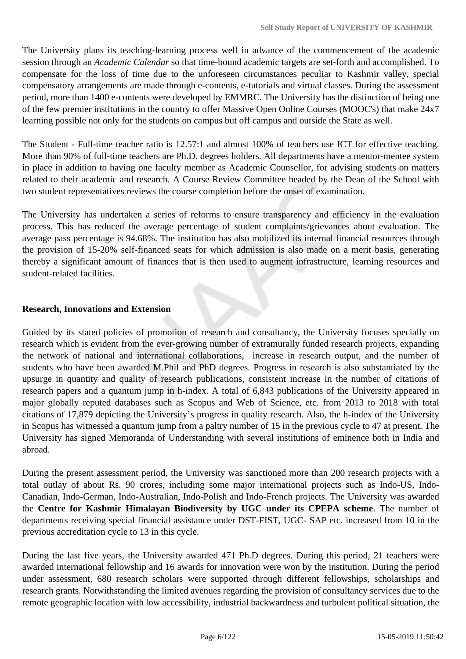The University plans its teaching-learning process well in advance of the commencement of the academic session through an *Academic Calendar* so that time-bound academic targets are set-forth and accomplished. To compensate for the loss of time due to the unforeseen circumstances peculiar to Kashmir valley, special compensatory arrangements are made through e-contents, e-tutorials and virtual classes. During the assessment period, more than 1400 e-contents were developed by EMMRC. The University has the distinction of being one of the few premier institutions in the country to offer Massive Open Online Courses (MOOC's) that make 24x7 learning possible not only for the students on campus but off campus and outside the State as well.

The Student - Full-time teacher ratio is 12.57:1 and almost 100% of teachers use ICT for effective teaching. More than 90% of full-time teachers are Ph.D. degrees holders. All departments have a mentor-mentee system in place in addition to having one faculty member as Academic Counsellor, for advising students on matters related to their academic and research. A Course Review Committee headed by the Dean of the School with two student representatives reviews the course completion before the onset of examination.

The University has undertaken a series of reforms to ensure transparency and efficiency in the evaluation process. This has reduced the average percentage of student complaints/grievances about evaluation. The average pass percentage is 94.68%. The institution has also mobilized its internal financial resources through the provision of 15-20% self-financed seats for which admission is also made on a merit basis, generating thereby a significant amount of finances that is then used to augment infrastructure, learning resources and student-related facilities.

### **Research, Innovations and Extension**

Guided by its stated policies of promotion of research and consultancy, the University focuses specially on research which is evident from the ever-growing number of extramurally funded research projects, expanding the network of national and international collaborations, increase in research output, and the number of students who have been awarded M.Phil and PhD degrees. Progress in research is also substantiated by the upsurge in quantity and quality of research publications, consistent increase in the number of citations of research papers and a quantum jump in h-index. A total of 6,843 publications of the University appeared in major globally reputed databases such as Scopus and Web of Science, etc. from 2013 to 2018 with total citations of 17,879 depicting the University's progress in quality research. Also, the h-index of the University in Scopus has witnessed a quantum jump from a paltry number of 15 in the previous cycle to 47 at present. The University has signed Memoranda of Understanding with several institutions of eminence both in India and abroad.

During the present assessment period, the University was sanctioned more than 200 research projects with a total outlay of about Rs. 90 crores, including some major international projects such as Indo-US, Indo-Canadian, Indo-German, Indo-Australian, Indo-Polish and Indo-French projects. The University was awarded the **Centre for Kashmir Himalayan Biodiversity by UGC under its CPEPA scheme**. The number of departments receiving special financial assistance under DST-FIST, UGC- SAP etc. increased from 10 in the previous accreditation cycle to 13 in this cycle.

During the last five years, the University awarded 471 Ph.D degrees. During this period, 21 teachers were awarded international fellowship and 16 awards for innovation were won by the institution. During the period under assessment, 680 research scholars were supported through different fellowships, scholarships and research grants. Notwithstanding the limited avenues regarding the provision of consultancy services due to the remote geographic location with low accessibility, industrial backwardness and turbulent political situation, the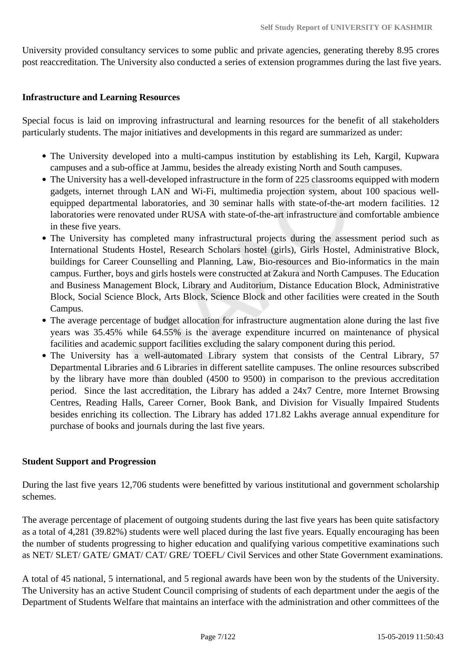University provided consultancy services to some public and private agencies, generating thereby 8.95 crores post reaccreditation. The University also conducted a series of extension programmes during the last five years.

### **Infrastructure and Learning Resources**

Special focus is laid on improving infrastructural and learning resources for the benefit of all stakeholders particularly students. The major initiatives and developments in this regard are summarized as under:

- The University developed into a multi-campus institution by establishing its Leh, Kargil, Kupwara campuses and a sub-office at Jammu, besides the already existing North and South campuses.
- The University has a well-developed infrastructure in the form of 225 classrooms equipped with modern gadgets, internet through LAN and Wi-Fi, multimedia projection system, about 100 spacious wellequipped departmental laboratories, and 30 seminar halls with state-of-the-art modern facilities. 12 laboratories were renovated under RUSA with state-of-the-art infrastructure and comfortable ambience in these five years.
- The University has completed many infrastructural projects during the assessment period such as International Students Hostel, Research Scholars hostel (girls), Girls Hostel, Administrative Block, buildings for Career Counselling and Planning, Law, Bio-resources and Bio-informatics in the main campus. Further, boys and girls hostels were constructed at Zakura and North Campuses. The Education and Business Management Block, Library and Auditorium, Distance Education Block, Administrative Block, Social Science Block, Arts Block, Science Block and other facilities were created in the South Campus.
- The average percentage of budget allocation for infrastructure augmentation alone during the last five years was 35.45% while 64.55% is the average expenditure incurred on maintenance of physical facilities and academic support facilities excluding the salary component during this period.
- The University has a well-automated Library system that consists of the Central Library, 57 Departmental Libraries and 6 Libraries in different satellite campuses. The online resources subscribed by the library have more than doubled (4500 to 9500) in comparison to the previous accreditation period. Since the last accreditation, the Library has added a 24x7 Centre, more Internet Browsing Centres, Reading Halls, Career Corner, Book Bank, and Division for Visually Impaired Students besides enriching its collection. The Library has added 171.82 Lakhs average annual expenditure for purchase of books and journals during the last five years.

### **Student Support and Progression**

During the last five years 12,706 students were benefitted by various institutional and government scholarship schemes.

The average percentage of placement of outgoing students during the last five years has been quite satisfactory as a total of 4,281 (39.82%) students were well placed during the last five years. Equally encouraging has been the number of students progressing to higher education and qualifying various competitive examinations such as NET/ SLET/ GATE/ GMAT/ CAT/ GRE/ TOEFL/ Civil Services and other State Government examinations.

A total of 45 national, 5 international, and 5 regional awards have been won by the students of the University. The University has an active Student Council comprising of students of each department under the aegis of the Department of Students Welfare that maintains an interface with the administration and other committees of the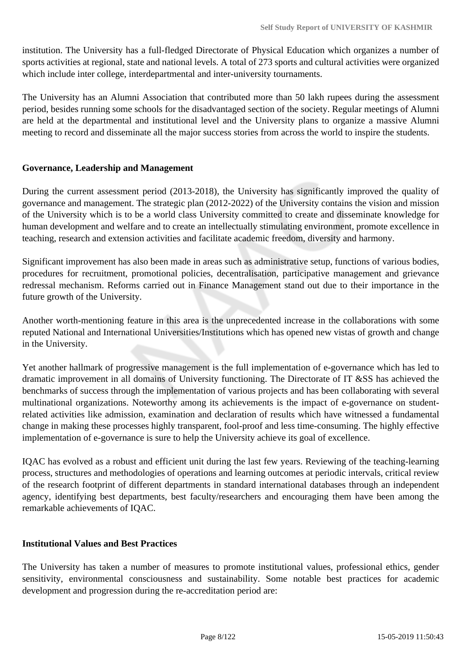institution. The University has a full-fledged Directorate of Physical Education which organizes a number of sports activities at regional, state and national levels. A total of 273 sports and cultural activities were organized which include inter college, interdepartmental and inter-university tournaments.

The University has an Alumni Association that contributed more than 50 lakh rupees during the assessment period, besides running some schools for the disadvantaged section of the society. Regular meetings of Alumni are held at the departmental and institutional level and the University plans to organize a massive Alumni meeting to record and disseminate all the major success stories from across the world to inspire the students.

### **Governance, Leadership and Management**

During the current assessment period (2013-2018), the University has significantly improved the quality of governance and management. The strategic plan (2012-2022) of the University contains the vision and mission of the University which is to be a world class University committed to create and disseminate knowledge for human development and welfare and to create an intellectually stimulating environment, promote excellence in teaching, research and extension activities and facilitate academic freedom, diversity and harmony.

Significant improvement has also been made in areas such as administrative setup, functions of various bodies, procedures for recruitment, promotional policies, decentralisation, participative management and grievance redressal mechanism. Reforms carried out in Finance Management stand out due to their importance in the future growth of the University.

Another worth-mentioning feature in this area is the unprecedented increase in the collaborations with some reputed National and International Universities/Institutions which has opened new vistas of growth and change in the University.

Yet another hallmark of progressive management is the full implementation of e-governance which has led to dramatic improvement in all domains of University functioning. The Directorate of IT &SS has achieved the benchmarks of success through the implementation of various projects and has been collaborating with several multinational organizations. Noteworthy among its achievements is the impact of e-governance on studentrelated activities like admission, examination and declaration of results which have witnessed a fundamental change in making these processes highly transparent, fool-proof and less time-consuming. The highly effective implementation of e-governance is sure to help the University achieve its goal of excellence.

IQAC has evolved as a robust and efficient unit during the last few years. Reviewing of the teaching-learning process, structures and methodologies of operations and learning outcomes at periodic intervals, critical review of the research footprint of different departments in standard international databases through an independent agency, identifying best departments, best faculty/researchers and encouraging them have been among the remarkable achievements of IQAC.

### **Institutional Values and Best Practices**

The University has taken a number of measures to promote institutional values, professional ethics, gender sensitivity, environmental consciousness and sustainability. Some notable best practices for academic development and progression during the re-accreditation period are: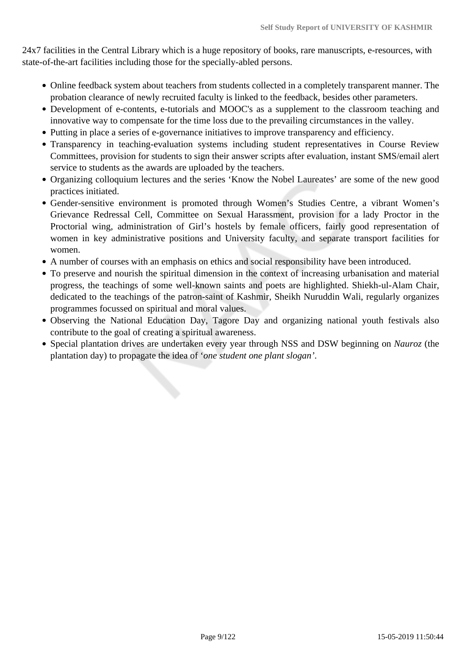24x7 facilities in the Central Library which is a huge repository of books, rare manuscripts, e-resources, with state-of-the-art facilities including those for the specially-abled persons.

- Online feedback system about teachers from students collected in a completely transparent manner. The probation clearance of newly recruited faculty is linked to the feedback, besides other parameters.
- Development of e-contents, e-tutorials and MOOC's as a supplement to the classroom teaching and innovative way to compensate for the time loss due to the prevailing circumstances in the valley.
- Putting in place a series of e-governance initiatives to improve transparency and efficiency.
- Transparency in teaching-evaluation systems including student representatives in Course Review Committees, provision for students to sign their answer scripts after evaluation, instant SMS/email alert service to students as the awards are uploaded by the teachers.
- Organizing colloquium lectures and the series 'Know the Nobel Laureates' are some of the new good practices initiated.
- Gender-sensitive environment is promoted through Women's Studies Centre, a vibrant Women's Grievance Redressal Cell, Committee on Sexual Harassment, provision for a lady Proctor in the Proctorial wing, administration of Girl's hostels by female officers, fairly good representation of women in key administrative positions and University faculty, and separate transport facilities for women.
- A number of courses with an emphasis on ethics and social responsibility have been introduced.
- To preserve and nourish the spiritual dimension in the context of increasing urbanisation and material progress, the teachings of some well-known saints and poets are highlighted. Shiekh-ul-Alam Chair, dedicated to the teachings of the patron-saint of Kashmir, Sheikh Nuruddin Wali, regularly organizes programmes focussed on spiritual and moral values.
- Observing the National Education Day, Tagore Day and organizing national youth festivals also contribute to the goal of creating a spiritual awareness.
- Special plantation drives are undertaken every year through NSS and DSW beginning on *Nauroz* (the plantation day) to propagate the idea of '*one student one plant slogan'*.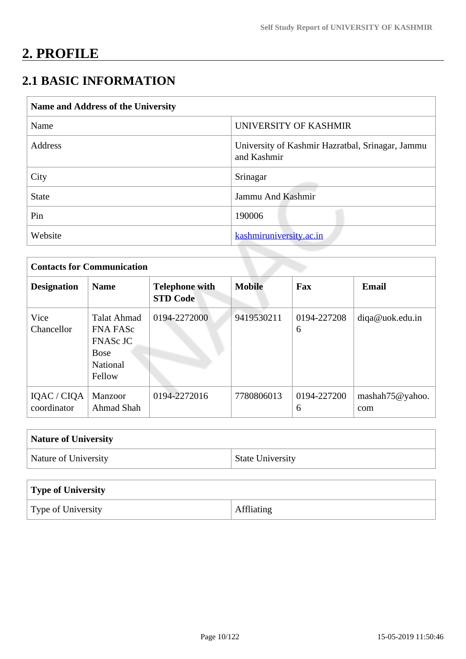# **2. PROFILE**

# **2.1 BASIC INFORMATION**

| Name and Address of the University |                                                                 |
|------------------------------------|-----------------------------------------------------------------|
| Name                               | UNIVERSITY OF KASHMIR                                           |
| Address                            | University of Kashmir Hazratbal, Srinagar, Jammu<br>and Kashmir |
| City                               | Srinagar                                                        |
| <b>State</b>                       | Jammu And Kashmir                                               |
| Pin                                | 190006                                                          |
| Website                            | kashmiruniversity.ac.in                                         |

| <b>Contacts for Communication</b> |                                                                                                      |                                          |               |                  |                        |  |
|-----------------------------------|------------------------------------------------------------------------------------------------------|------------------------------------------|---------------|------------------|------------------------|--|
| <b>Designation</b>                | <b>Name</b>                                                                                          | <b>Telephone with</b><br><b>STD Code</b> | <b>Mobile</b> | Fax              | <b>Email</b>           |  |
| Vice<br>Chancellor                | <b>Talat Ahmad</b><br><b>FNA FASc</b><br><b>FNASc JC</b><br><b>Bose</b><br><b>National</b><br>Fellow | 0194-2272000                             | 9419530211    | 0194-227208<br>6 | diqa@uok.edu.in        |  |
| IQAC / CIQA<br>coordinator        | Manzoor<br>Ahmad Shah                                                                                | 0194-2272016                             | 7780806013    | 0194-227200<br>6 | mashah75@yahoo.<br>com |  |

| <b>Nature of University</b> |                         |
|-----------------------------|-------------------------|
| Nature of University        | <b>State University</b> |

| Type of University |            |
|--------------------|------------|
| Type of University | Affliating |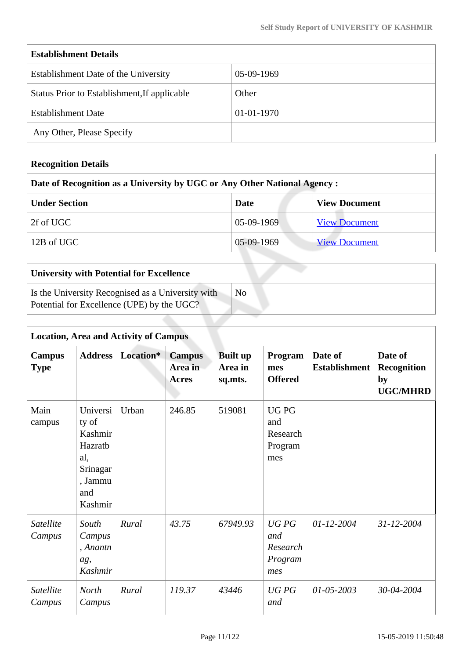| <b>Establishment Details</b>                 |            |  |  |  |
|----------------------------------------------|------------|--|--|--|
| Establishment Date of the University         | 05-09-1969 |  |  |  |
| Status Prior to Establishment, If applicable | Other      |  |  |  |
| <b>Establishment Date</b>                    | 01-01-1970 |  |  |  |
| Any Other, Please Specify                    |            |  |  |  |

| <b>Recognition Details</b>                                                |              |                      |
|---------------------------------------------------------------------------|--------------|----------------------|
| Date of Recognition as a University by UGC or Any Other National Agency : |              |                      |
| <b>Under Section</b>                                                      | Date         | <b>View Document</b> |
| 2f of UGC                                                                 | $05-09-1969$ | <b>View Document</b> |
| 12B of UGC                                                                | 05-09-1969   | <b>View Document</b> |

| <b>University with Potential for Excellence</b>                                                 |    |
|-------------------------------------------------------------------------------------------------|----|
| Is the University Recognised as a University with<br>Potential for Excellence (UPE) by the UGC? | Nο |

|                              | <b>Location, Area and Activity of Campus</b>                                            |           |                                   |                                       |                                                  |                                 |                                                        |
|------------------------------|-----------------------------------------------------------------------------------------|-----------|-----------------------------------|---------------------------------------|--------------------------------------------------|---------------------------------|--------------------------------------------------------|
| <b>Campus</b><br><b>Type</b> | <b>Address</b>                                                                          | Location* | <b>Campus</b><br>Area in<br>Acres | <b>Built up</b><br>Area in<br>sq.mts. | Program<br>mes<br><b>Offered</b>                 | Date of<br><b>Establishment</b> | Date of<br><b>Recognition</b><br>by<br><b>UGC/MHRD</b> |
| Main<br>campus               | Universi<br>ty of<br>Kashmir<br>Hazratb<br>al,<br>Srinagar<br>, Jammu<br>and<br>Kashmir | Urban     | 246.85                            | 519081                                | <b>UGPG</b><br>and<br>Research<br>Program<br>mes |                                 |                                                        |
| <b>Satellite</b><br>Campus   | South<br>Campus<br>, Anantn<br>ag,<br>Kashmir                                           | Rural     | 43.75                             | 67949.93                              | UGPG<br>and<br>Research<br>Program<br>mes        | $01 - 12 - 2004$                | $31 - 12 - 2004$                                       |
| Satellite<br>Campus          | <b>North</b><br>Campus                                                                  | Rural     | 119.37                            | 43446                                 | UGPG<br>and                                      | $01 - 05 - 2003$                | 30-04-2004                                             |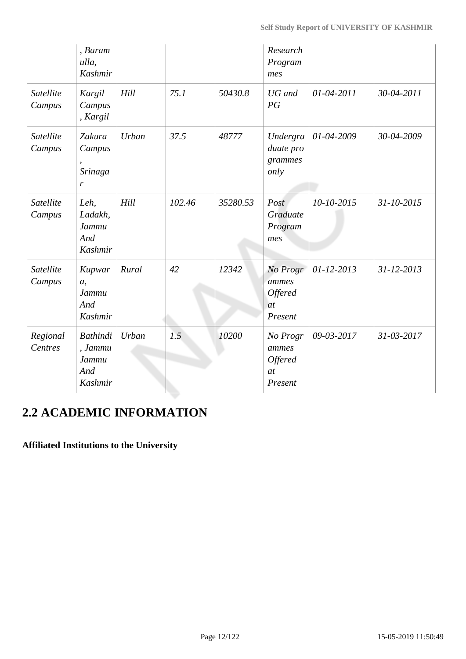|                            | , Baram<br>ulla,<br>Kashmir                    |       |        |          | Research<br>Program<br>mes                                  |            |            |
|----------------------------|------------------------------------------------|-------|--------|----------|-------------------------------------------------------------|------------|------------|
| Satellite<br>Campus        | Kargil<br>Campus<br>, Kargil                   | Hill  | 75.1   | 50430.8  | UG and<br>PG                                                | 01-04-2011 | 30-04-2011 |
| Satellite<br>Campus        | Zakura<br>Campus<br>Srinaga<br>r               | Urban | 37.5   | 48777    | Undergra<br>duate pro<br>grammes<br>only                    | 01-04-2009 | 30-04-2009 |
| Satellite<br>Campus        | Leh,<br>Ladakh,<br>Jammu<br>And<br>Kashmir     | Hill  | 102.46 | 35280.53 | Post<br>Graduate<br>Program<br>mes                          | 10-10-2015 | 31-10-2015 |
| Satellite<br>Campus        | Kupwar<br>a,<br>Jammu<br>And<br>Kashmir        | Rural | 42     | 12342    | No Progr<br>ammes<br><b>Offered</b><br>at<br>Present        | 01-12-2013 | 31-12-2013 |
| Regional<br><b>Centres</b> | Bathindi<br>, Jammu<br>Jammu<br>And<br>Kashmir | Urban | 1.5    | 10200    | No Progr<br>ammes<br><b>Offered</b><br><i>at</i><br>Present | 09-03-2017 | 31-03-2017 |

# **2.2 ACADEMIC INFORMATION**

# **Affiliated Institutions to the University**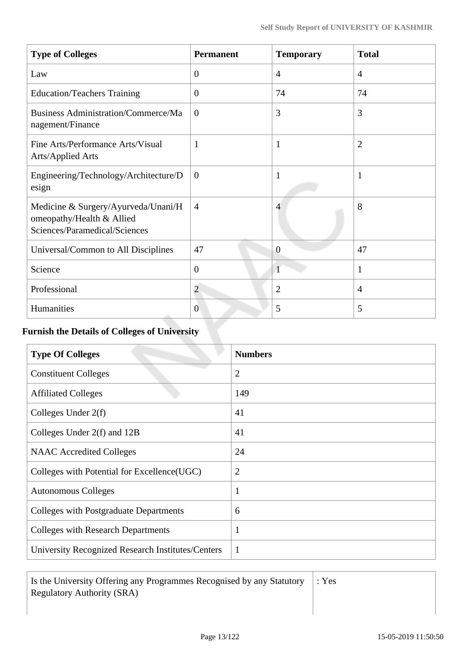| <b>Type of Colleges</b>                                                                           | <b>Permanent</b> | <b>Temporary</b> | <b>Total</b>   |
|---------------------------------------------------------------------------------------------------|------------------|------------------|----------------|
| Law                                                                                               | $\overline{0}$   | $\overline{4}$   | $\overline{4}$ |
| <b>Education/Teachers Training</b>                                                                | $\boldsymbol{0}$ | 74               | 74             |
| <b>Business Administration/Commerce/Ma</b><br>nagement/Finance                                    | $\overline{0}$   | 3                | 3              |
| Fine Arts/Performance Arts/Visual<br><b>Arts/Applied Arts</b>                                     | 1                | $\mathbf{1}$     | $\overline{2}$ |
| Engineering/Technology/Architecture/D<br>esign                                                    | $\boldsymbol{0}$ | $\mathbf{1}$     | $\mathbf{1}$   |
| Medicine & Surgery/Ayurveda/Unani/H<br>omeopathy/Health & Allied<br>Sciences/Paramedical/Sciences | $\overline{4}$   | 4                | 8              |
| Universal/Common to All Disciplines                                                               | 47               | $\overline{0}$   | 47             |
| Science                                                                                           | $\overline{0}$   | $\mathbf{1}$     | 1              |
| Professional                                                                                      | $\overline{2}$   | $\overline{2}$   | $\overline{4}$ |
| Humanities                                                                                        | $\theta$         | 5                | 5              |

## **Furnish the Details of Colleges of University**

| <b>Type Of Colleges</b>                           | <b>Numbers</b> |
|---------------------------------------------------|----------------|
| <b>Constituent Colleges</b>                       | $\overline{2}$ |
| <b>Affiliated Colleges</b>                        | 149            |
| Colleges Under $2(f)$                             | 41             |
| Colleges Under 2(f) and 12B                       | 41             |
| <b>NAAC</b> Accredited Colleges                   | 24             |
| Colleges with Potential for Excellence(UGC)       | $\overline{2}$ |
| <b>Autonomous Colleges</b>                        | 1              |
| <b>Colleges with Postgraduate Departments</b>     | 6              |
| <b>Colleges with Research Departments</b>         | 1              |
| University Recognized Research Institutes/Centers | 1              |

 Is the University Offering any Programmes Recognised by any Statutory Regulatory Authority (SRA)

: Yes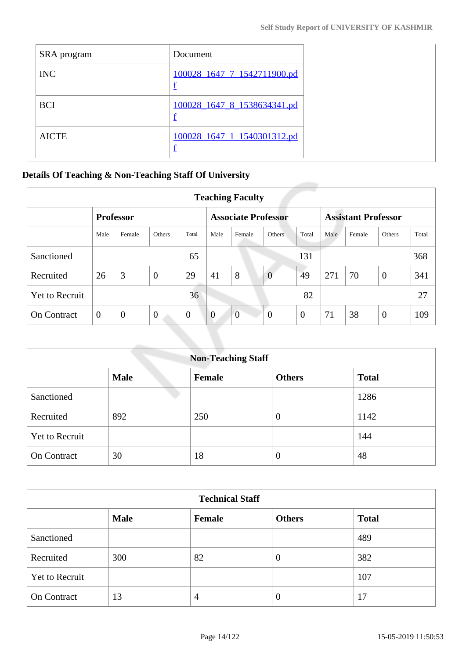| SRA program  | Document                    |  |
|--------------|-----------------------------|--|
| <b>INC</b>   | 100028 1647 7 1542711900.pd |  |
| <b>BCI</b>   | 100028 1647 8 1538634341.pd |  |
| <b>AICTE</b> | 100028 1647 1 1540301312.pd |  |

### **Details Of Teaching & Non-Teaching Staff Of University**

| <b>Teaching Faculty</b> |                  |                |                |                            |                |                |                            |                  |      |        |               |       |
|-------------------------|------------------|----------------|----------------|----------------------------|----------------|----------------|----------------------------|------------------|------|--------|---------------|-------|
|                         | <b>Professor</b> |                |                | <b>Associate Professor</b> |                |                | <b>Assistant Professor</b> |                  |      |        |               |       |
|                         | Male             | Female         | Others         | Total                      | Male           | Female         | Others                     | Total            | Male | Female | <b>Others</b> | Total |
| Sanctioned              |                  |                |                | 65                         |                |                |                            | 131              |      |        |               | 368   |
| Recruited               | 26               | 3              | $\overline{0}$ | 29                         | 41             | 8              | $\overline{0}$             | 49               | 271  | 70     | $\theta$      | 341   |
| Yet to Recruit          |                  |                |                | 36                         |                |                |                            | 82               |      |        |               | 27    |
| <b>On Contract</b>      | $\theta$         | $\overline{0}$ | $\theta$       | $\overline{0}$             | $\overline{0}$ | $\overline{0}$ | $\overline{0}$             | $\boldsymbol{0}$ | 71   | 38     | $\theta$      | 109   |

| <b>Non-Teaching Staff</b> |             |        |                  |              |  |  |  |  |
|---------------------------|-------------|--------|------------------|--------------|--|--|--|--|
|                           | <b>Male</b> | Female | <b>Others</b>    | <b>Total</b> |  |  |  |  |
| Sanctioned                |             |        |                  | 1286         |  |  |  |  |
| Recruited                 | 892         | 250    | $\overline{0}$   | 1142         |  |  |  |  |
| Yet to Recruit            |             |        |                  | 144          |  |  |  |  |
| <b>On Contract</b>        | 30          | 18     | $\boldsymbol{0}$ | 48           |  |  |  |  |

| <b>Technical Staff</b> |             |        |                  |              |  |  |  |
|------------------------|-------------|--------|------------------|--------------|--|--|--|
|                        | <b>Male</b> | Female | <b>Others</b>    | <b>Total</b> |  |  |  |
| Sanctioned             |             |        |                  | 489          |  |  |  |
| Recruited              | 300         | 82     | $\boldsymbol{0}$ | 382          |  |  |  |
| <b>Yet to Recruit</b>  |             |        |                  | 107          |  |  |  |
| On Contract            | 13          | 4      | $\theta$         | 17           |  |  |  |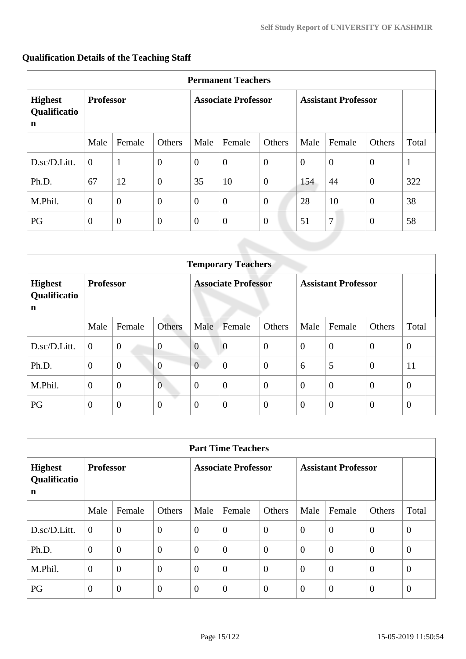|                                     | <b>Permanent Teachers</b> |                |                            |                |                  |                            |          |                |                |              |
|-------------------------------------|---------------------------|----------------|----------------------------|----------------|------------------|----------------------------|----------|----------------|----------------|--------------|
| <b>Highest</b><br>Qualificatio<br>n | <b>Professor</b>          |                | <b>Associate Professor</b> |                |                  | <b>Assistant Professor</b> |          |                |                |              |
|                                     | Male                      | Female         | Others                     | Male           | Female           | Others                     | Male     | Female         | Others         | Total        |
| D.sc/D.Litt.                        | $\overline{0}$            | $\mathbf{1}$   | $\mathbf{0}$               | $\overline{0}$ | $\boldsymbol{0}$ | $\theta$                   | $\theta$ | $\overline{0}$ | $\overline{0}$ | $\mathbf{1}$ |
| Ph.D.                               | 67                        | 12             | $\overline{0}$             | 35             | 10               | $\theta$                   | 154      | 44             | $\theta$       | 322          |
| M.Phil.                             | $\boldsymbol{0}$          | $\overline{0}$ | $\mathbf{0}$               | $\theta$       | $\boldsymbol{0}$ | $\theta$                   | 28       | 10             | $\overline{0}$ | 38           |
| PG                                  | $\overline{0}$            | $\theta$       | $\mathbf{0}$               | $\mathbf{0}$   | $\mathbf{0}$     | $\theta$                   | 51       | 7              | $\mathbf{0}$   | 58           |

# **Qualification Details of the Teaching Staff**

|                                     | <b>Temporary Teachers</b> |                |                            |                |                            |                |                |                |                |                |
|-------------------------------------|---------------------------|----------------|----------------------------|----------------|----------------------------|----------------|----------------|----------------|----------------|----------------|
| <b>Highest</b><br>Qualificatio<br>n | <b>Professor</b>          |                | <b>Associate Professor</b> |                | <b>Assistant Professor</b> |                |                |                |                |                |
|                                     | Male                      | Female         | Others                     | Male           | Female                     | Others         | Male           | Female         | <b>Others</b>  | Total          |
| D.sc/D.Litt.                        | $\overline{0}$            | $\overline{0}$ | $\overline{0}$             | $\overline{0}$ | $\boldsymbol{0}$           | $\overline{0}$ | $\overline{0}$ | $\overline{0}$ | $\overline{0}$ | $\overline{0}$ |
| Ph.D.                               | $\mathbf{0}$              | $\overline{0}$ | $\overline{0}$             | $\overline{0}$ | $\overline{0}$             | $\overline{0}$ | 6              | 5              | $\theta$       | 11             |
| M.Phil.                             | $\mathbf{0}$              | $\overline{0}$ | $\overline{0}$             | $\overline{0}$ | $\overline{0}$             | $\overline{0}$ | $\overline{0}$ | $\overline{0}$ | $\theta$       | $\overline{0}$ |
| PG                                  | $\theta$                  | $\mathbf{0}$   | $\theta$                   | $\overline{0}$ | $\mathbf{0}$               | $\theta$       | $\overline{0}$ | $\overline{0}$ | $\mathbf{0}$   | $\theta$       |

|                                     | <b>Part Time Teachers</b> |                |                            |                |                            |          |                |                |                |                |
|-------------------------------------|---------------------------|----------------|----------------------------|----------------|----------------------------|----------|----------------|----------------|----------------|----------------|
| <b>Highest</b><br>Qualificatio<br>n | <b>Professor</b>          |                | <b>Associate Professor</b> |                | <b>Assistant Professor</b> |          |                |                |                |                |
|                                     | Male                      | Female         | Others                     | Male           | Female                     | Others   | Male           | Female         | Others         | Total          |
| D.sc/D.Litt.                        | $\overline{0}$            | $\theta$       | $\theta$                   | $\overline{0}$ | $\boldsymbol{0}$           | $\theta$ | $\overline{0}$ | $\overline{0}$ | $\overline{0}$ | $\overline{0}$ |
| Ph.D.                               | $\theta$                  | $\overline{0}$ | $\overline{0}$             | $\overline{0}$ | $\overline{0}$             | $\theta$ | $\overline{0}$ | $\overline{0}$ | $\overline{0}$ | $\overline{0}$ |
| M.Phil.                             | $\overline{0}$            | $\overline{0}$ | $\overline{0}$             | $\overline{0}$ | $\boldsymbol{0}$           | $\theta$ | $\overline{0}$ | $\overline{0}$ | $\theta$       | $\overline{0}$ |
| PG                                  | $\overline{0}$            | $\overline{0}$ | $\overline{0}$             | $\overline{0}$ | $\boldsymbol{0}$           | $\theta$ | $\overline{0}$ | $\theta$       | $\theta$       | $\overline{0}$ |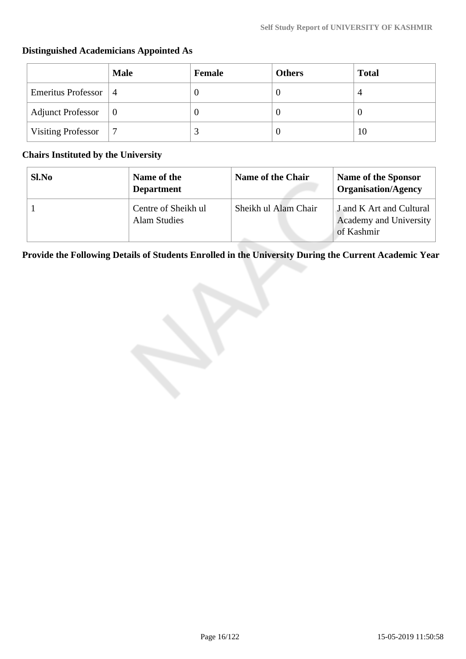# **Male Female Others Total** Emeritus Professor | 4 0 0 4 Adjunct Professor  $\begin{vmatrix} 0 & 0 \\ 0 & 0 \end{vmatrix}$   $\begin{vmatrix} 0 & 0 \\ 0 & 0 \\ 0 & 0 \end{vmatrix}$ Visiting Professor  $\begin{vmatrix} 7 & 3 & 0 \end{vmatrix}$  0 10

### **Distinguished Academicians Appointed As**

### **Chairs Instituted by the University**

| Sl.No | Name of the<br><b>Department</b>           | Name of the Chair    | Name of the Sponsor<br><b>Organisation/Agency</b>                |
|-------|--------------------------------------------|----------------------|------------------------------------------------------------------|
|       | Centre of Sheikh ul<br><b>Alam Studies</b> | Sheikh ul Alam Chair | J and K Art and Cultural<br>Academy and University<br>of Kashmir |

**Provide the Following Details of Students Enrolled in the University During the Current Academic Year**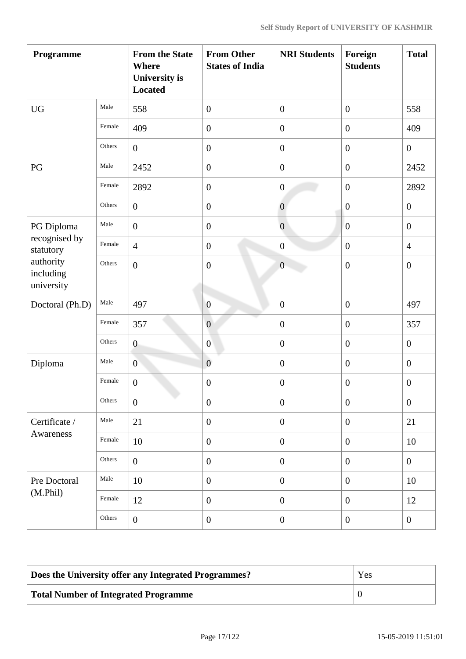| Programme                                                          |        | <b>From the State</b><br>Where<br><b>University</b> is<br><b>Located</b> | <b>From Other</b><br><b>States of India</b> | <b>NRI Students</b> | Foreign<br><b>Students</b> | <b>Total</b>     |
|--------------------------------------------------------------------|--------|--------------------------------------------------------------------------|---------------------------------------------|---------------------|----------------------------|------------------|
| <b>UG</b>                                                          | Male   | 558                                                                      | $\boldsymbol{0}$                            | $\boldsymbol{0}$    | $\boldsymbol{0}$           | 558              |
|                                                                    | Female | 409                                                                      | $\boldsymbol{0}$                            | $\boldsymbol{0}$    | $\boldsymbol{0}$           | 409              |
|                                                                    | Others | $\overline{0}$                                                           | $\boldsymbol{0}$                            | $\boldsymbol{0}$    | $\boldsymbol{0}$           | $\boldsymbol{0}$ |
| PG                                                                 | Male   | 2452                                                                     | $\boldsymbol{0}$                            | $\boldsymbol{0}$    | $\overline{0}$             | 2452             |
|                                                                    | Female | 2892                                                                     | $\boldsymbol{0}$                            | $\boldsymbol{0}$    | $\boldsymbol{0}$           | 2892             |
|                                                                    | Others | $\overline{0}$                                                           | $\boldsymbol{0}$                            | $\overline{0}$      | $\boldsymbol{0}$           | $\overline{0}$   |
| PG Diploma                                                         | Male   | $\mathbf{0}$                                                             | $\boldsymbol{0}$                            | $\overline{0}$      | $\overline{0}$             | $\overline{0}$   |
| recognised by<br>statutory<br>authority<br>including<br>university | Female | $\overline{4}$                                                           | $\boldsymbol{0}$                            | $\boldsymbol{0}$    | $\overline{0}$             | $\overline{4}$   |
|                                                                    | Others | $\boldsymbol{0}$                                                         | $\boldsymbol{0}$                            | $\mathbf{0}$        | $\boldsymbol{0}$           | $\boldsymbol{0}$ |
| Doctoral (Ph.D)                                                    | Male   | 497                                                                      | $\boldsymbol{0}$                            | $\boldsymbol{0}$    | $\boldsymbol{0}$           | 497              |
|                                                                    | Female | 357                                                                      | $\overline{0}$                              | $\boldsymbol{0}$    | $\boldsymbol{0}$           | 357              |
|                                                                    | Others | $\boldsymbol{0}$                                                         | $\overline{0}$                              | $\boldsymbol{0}$    | $\boldsymbol{0}$           | $\overline{0}$   |
| Diploma                                                            | Male   | $\overline{0}$                                                           | $\boldsymbol{0}$                            | $\boldsymbol{0}$    | $\overline{0}$             | $\overline{0}$   |
|                                                                    | Female | $\boldsymbol{0}$                                                         | $\boldsymbol{0}$                            | $\overline{0}$      | $\overline{0}$             | $\boldsymbol{0}$ |
|                                                                    | Others | $\overline{0}$                                                           | $\boldsymbol{0}$                            | $\boldsymbol{0}$    | $\overline{0}$             | $\boldsymbol{0}$ |
| Certificate /                                                      | Male   | 21                                                                       | $\overline{0}$                              | $\boldsymbol{0}$    | $\boldsymbol{0}$           | 21               |
| Awareness                                                          | Female | 10                                                                       | $\boldsymbol{0}$                            | $\boldsymbol{0}$    | $\boldsymbol{0}$           | 10               |
|                                                                    | Others | $\overline{0}$                                                           | $\boldsymbol{0}$                            | $\boldsymbol{0}$    | $\boldsymbol{0}$           | $\overline{0}$   |
| Pre Doctoral                                                       | Male   | 10                                                                       | $\boldsymbol{0}$                            | $\boldsymbol{0}$    | $\boldsymbol{0}$           | 10               |
| (M.Phil)                                                           | Female | 12                                                                       | $\boldsymbol{0}$                            | $\overline{0}$      | $\overline{0}$             | 12               |
|                                                                    | Others | $\boldsymbol{0}$                                                         | $\boldsymbol{0}$                            | $\boldsymbol{0}$    | $\overline{0}$             | $\overline{0}$   |

| Does the University offer any Integrated Programmes? | Yes |
|------------------------------------------------------|-----|
| Total Number of Integrated Programme                 |     |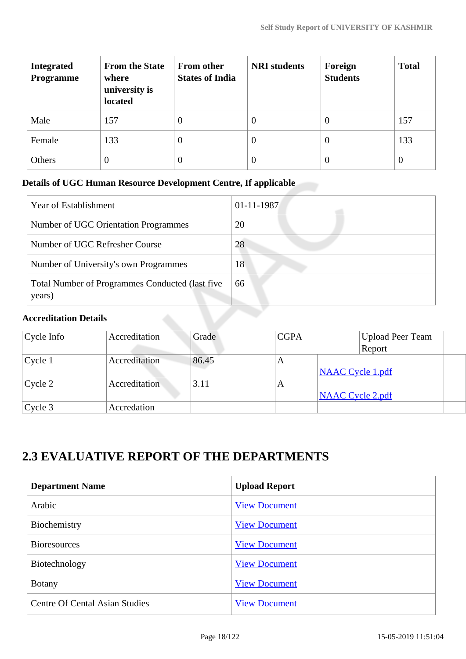| <b>Integrated</b><br><b>Programme</b> | <b>From the State</b><br>where<br>university is<br>located | <b>From other</b><br><b>States of India</b> | <b>NRI</b> students | Foreign<br><b>Students</b> | <b>Total</b>   |
|---------------------------------------|------------------------------------------------------------|---------------------------------------------|---------------------|----------------------------|----------------|
| Male                                  | 157                                                        | $\boldsymbol{0}$                            | $\theta$            | $\theta$                   | 157            |
| Female                                | 133                                                        | $\boldsymbol{0}$                            | $\theta$            | $\Omega$                   | 133            |
| Others                                | $\overline{0}$                                             | $\boldsymbol{0}$                            | O                   | $\theta$                   | $\overline{0}$ |

# **Details of UGC Human Resource Development Centre, If applicable**

| <b>Year of Establishment</b>                              | $01 - 11 - 1987$ |
|-----------------------------------------------------------|------------------|
| Number of UGC Orientation Programmes                      | 20               |
| Number of UGC Refresher Course                            | 28               |
| Number of University's own Programmes                     | 18               |
| Total Number of Programmes Conducted (last five<br>years) | 66               |

### **Accreditation Details**

| $Cycle$ Info | Accreditation | Grade | <b>CGPA</b> | <b>Upload Peer Team</b> |
|--------------|---------------|-------|-------------|-------------------------|
|              |               |       |             | Report                  |
| $ $ Cycle 1  | Accreditation | 86.45 | A           |                         |
|              |               |       |             | <b>NAAC Cycle 1.pdf</b> |
| $C$ ycle 2   | Accreditation | 3.11  | A           |                         |
|              |               |       |             | <b>NAAC Cycle 2.pdf</b> |
| Cycle 3      | Accredation   |       |             |                         |

# **2.3 EVALUATIVE REPORT OF THE DEPARTMENTS**

| <b>Department Name</b>         | <b>Upload Report</b> |
|--------------------------------|----------------------|
| Arabic                         | <b>View Document</b> |
| Biochemistry                   | <b>View Document</b> |
| <b>Bioresources</b>            | <b>View Document</b> |
| Biotechnology                  | <b>View Document</b> |
| <b>Botany</b>                  | <b>View Document</b> |
| Centre Of Cental Asian Studies | <b>View Document</b> |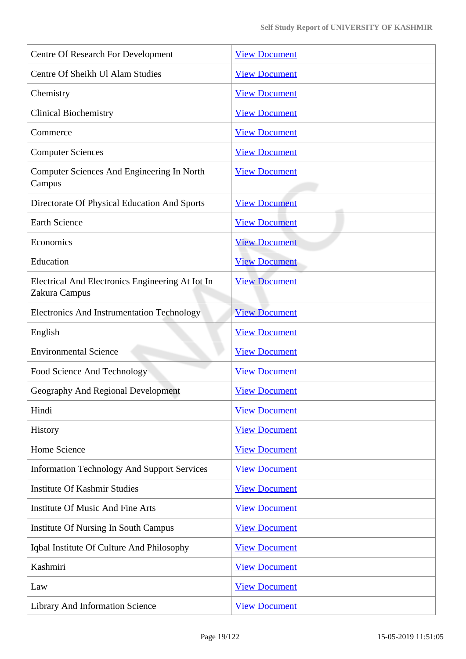| <b>Centre Of Research For Development</b>                         | <b>View Document</b> |
|-------------------------------------------------------------------|----------------------|
| Centre Of Sheikh Ul Alam Studies                                  | <b>View Document</b> |
| Chemistry                                                         | <b>View Document</b> |
| <b>Clinical Biochemistry</b>                                      | <b>View Document</b> |
| Commerce                                                          | <b>View Document</b> |
| <b>Computer Sciences</b>                                          | <b>View Document</b> |
| Computer Sciences And Engineering In North<br>Campus              | <b>View Document</b> |
| Directorate Of Physical Education And Sports                      | <b>View Document</b> |
| <b>Earth Science</b>                                              | <b>View Document</b> |
| Economics                                                         | <b>View Document</b> |
| Education                                                         | <b>View Document</b> |
| Electrical And Electronics Engineering At Iot In<br>Zakura Campus | <b>View Document</b> |
| <b>Electronics And Instrumentation Technology</b>                 | <b>View Document</b> |
| English                                                           | <b>View Document</b> |
| <b>Environmental Science</b>                                      | <b>View Document</b> |
| Food Science And Technology                                       | <b>View Document</b> |
| Geography And Regional Development                                | <b>View Document</b> |
| Hindi                                                             | <b>View Document</b> |
| History                                                           | <b>View Document</b> |
| Home Science                                                      | <b>View Document</b> |
| <b>Information Technology And Support Services</b>                | <b>View Document</b> |
| <b>Institute Of Kashmir Studies</b>                               | <b>View Document</b> |
| <b>Institute Of Music And Fine Arts</b>                           | <b>View Document</b> |
| Institute Of Nursing In South Campus                              | <b>View Document</b> |
| Iqbal Institute Of Culture And Philosophy                         | <b>View Document</b> |
| Kashmiri                                                          | <b>View Document</b> |
| Law                                                               | <b>View Document</b> |
| <b>Library And Information Science</b>                            | <b>View Document</b> |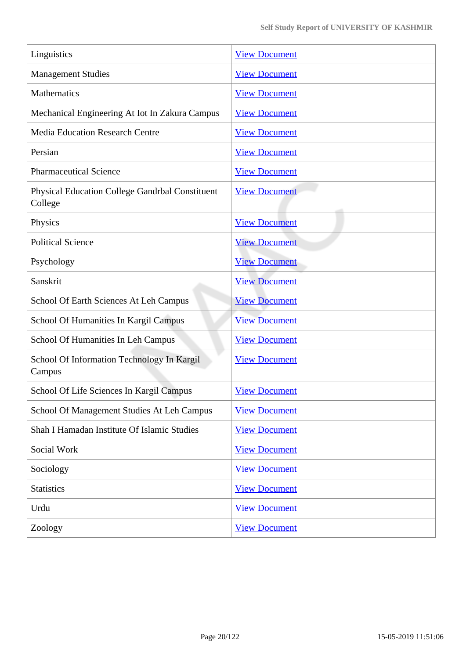| Linguistics                                                | <b>View Document</b> |
|------------------------------------------------------------|----------------------|
| <b>Management Studies</b>                                  | <b>View Document</b> |
| Mathematics                                                | <b>View Document</b> |
| Mechanical Engineering At Iot In Zakura Campus             | <b>View Document</b> |
| <b>Media Education Research Centre</b>                     | <b>View Document</b> |
| Persian                                                    | <b>View Document</b> |
| <b>Pharmaceutical Science</b>                              | <b>View Document</b> |
| Physical Education College Gandrbal Constituent<br>College | <b>View Document</b> |
| Physics                                                    | <b>View Document</b> |
| <b>Political Science</b>                                   | <b>View Document</b> |
| Psychology                                                 | <b>View Document</b> |
| Sanskrit                                                   | <b>View Document</b> |
| School Of Earth Sciences At Leh Campus                     | <b>View Document</b> |
| School Of Humanities In Kargil Campus                      | <b>View Document</b> |
| School Of Humanities In Leh Campus                         | <b>View Document</b> |
| School Of Information Technology In Kargil<br>Campus       | <b>View Document</b> |
| School Of Life Sciences In Kargil Campus                   | <b>View Document</b> |
| School Of Management Studies At Leh Campus                 | <b>View Document</b> |
| Shah I Hamadan Institute Of Islamic Studies                | <b>View Document</b> |
| Social Work                                                | <b>View Document</b> |
| Sociology                                                  | <b>View Document</b> |
| <b>Statistics</b>                                          | <b>View Document</b> |
| Urdu                                                       | <b>View Document</b> |
| Zoology                                                    | <b>View Document</b> |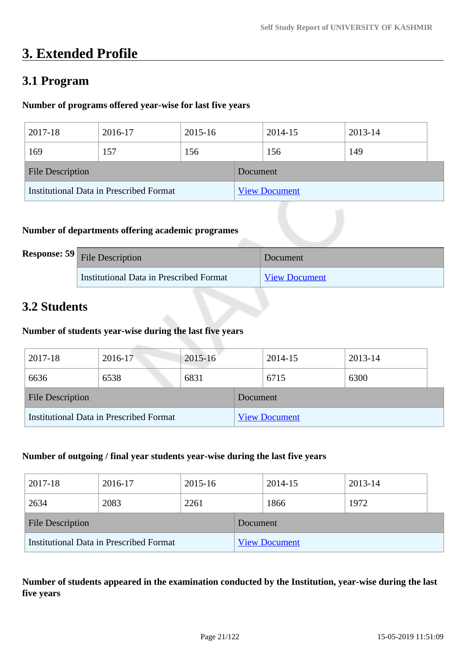# **3. Extended Profile**

# **3.1 Program**

### **Number of programs offered year-wise for last five years**

| 2017-18                                 | 2016-17 | 2015-16              |  | 2014-15 | 2013-14 |  |
|-----------------------------------------|---------|----------------------|--|---------|---------|--|
| 169                                     | 157     | 156                  |  | 156     | 149     |  |
| <b>File Description</b>                 |         | Document             |  |         |         |  |
| Institutional Data in Prescribed Format |         | <b>View Document</b> |  |         |         |  |

### **Number of departments offering academic programes**

| <b>Response: 59</b> File Description    | Document             |
|-----------------------------------------|----------------------|
| Institutional Data in Prescribed Format | <b>View Document</b> |

# **3.2 Students**

### **Number of students year-wise during the last five years**

| 2017-18                                        | 2016-17 | 2015-16  |                      | 2014-15 | 2013-14 |
|------------------------------------------------|---------|----------|----------------------|---------|---------|
| 6636                                           | 6538    | 6831     |                      | 6715    | 6300    |
| <b>File Description</b>                        |         | Document |                      |         |         |
| <b>Institutional Data in Prescribed Format</b> |         |          | <b>View Document</b> |         |         |

#### **Number of outgoing / final year students year-wise during the last five years**

| 2017-18                 | 2016-17                                 | 2015-16  |                      | 2014-15 |  | 2013-14 |  |
|-------------------------|-----------------------------------------|----------|----------------------|---------|--|---------|--|
| 2634                    | 2083                                    | 2261     |                      | 1866    |  | 1972    |  |
| <b>File Description</b> |                                         | Document |                      |         |  |         |  |
|                         | Institutional Data in Prescribed Format |          | <b>View Document</b> |         |  |         |  |

**Number of students appeared in the examination conducted by the Institution, year-wise during the last five years**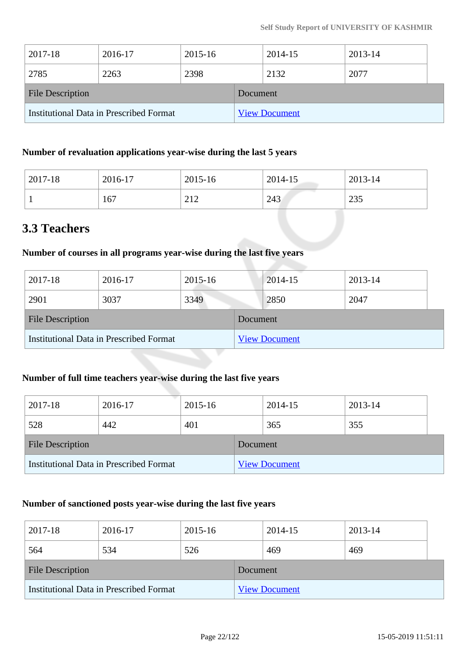| 2017-18                                 | 2016-17 | 2015-16  |                      | 2014-15 | 2013-14 |  |
|-----------------------------------------|---------|----------|----------------------|---------|---------|--|
| 2785                                    | 2263    | 2398     |                      | 2132    | 2077    |  |
| <b>File Description</b>                 |         | Document |                      |         |         |  |
| Institutional Data in Prescribed Format |         |          | <b>View Document</b> |         |         |  |

### **Number of revaluation applications year-wise during the last 5 years**

| 2017-18 | 2016-17 | 2015-16                                                  | 2014-15 | 2013-14    |
|---------|---------|----------------------------------------------------------|---------|------------|
|         | 167     | $\bigcap$ 1 $\bigcap$<br>$\overline{a}$ 1 $\overline{a}$ | 243     | 225<br>299 |

# **3.3 Teachers**

### **Number of courses in all programs year-wise during the last five years**

| 2017-18                                 | 2016-17 | 2015-16              |  | 2014-15 | 2013-14 |
|-----------------------------------------|---------|----------------------|--|---------|---------|
| 2901                                    | 3037    | 3349                 |  | 2850    | 2047    |
| <b>File Description</b>                 |         | Document             |  |         |         |
| Institutional Data in Prescribed Format |         | <b>View Document</b> |  |         |         |

## **Number of full time teachers year-wise during the last five years**

| 2017-18                 | 2016-17                                 | 2015-16  |  | 2014-15              | 2013-14 |  |
|-------------------------|-----------------------------------------|----------|--|----------------------|---------|--|
| 528                     | 442                                     | 401      |  | 365                  | 355     |  |
| <b>File Description</b> |                                         | Document |  |                      |         |  |
|                         | Institutional Data in Prescribed Format |          |  | <b>View Document</b> |         |  |

### **Number of sanctioned posts year-wise during the last five years**

| 2017-18                                 | 2016-17 | 2015-16  |                      | 2014-15 | 2013-14 |
|-----------------------------------------|---------|----------|----------------------|---------|---------|
| 564                                     | 534     | 526      |                      | 469     | 469     |
| <b>File Description</b>                 |         | Document |                      |         |         |
| Institutional Data in Prescribed Format |         |          | <b>View Document</b> |         |         |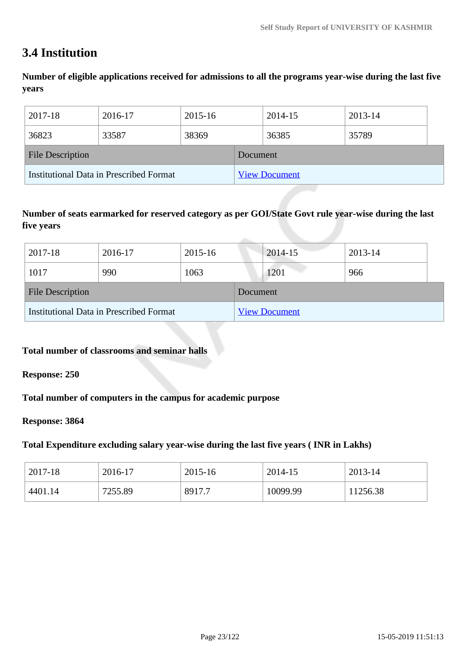# **3.4 Institution**

**Number of eligible applications received for admissions to all the programs year-wise during the last five years**

| 2017-18                                 | 2016-17 | 2015-16  |                      | 2014-15 | 2013-14 |
|-----------------------------------------|---------|----------|----------------------|---------|---------|
| 36823                                   | 33587   | 38369    |                      | 36385   | 35789   |
| <b>File Description</b>                 |         | Document |                      |         |         |
| Institutional Data in Prescribed Format |         |          | <b>View Document</b> |         |         |

### **Number of seats earmarked for reserved category as per GOI/State Govt rule year-wise during the last five years**

| 2017-18                                 | 2016-17 | 2015-16  |                      | 2014-15 | 2013-14 |  |
|-----------------------------------------|---------|----------|----------------------|---------|---------|--|
| 1017                                    | 990     | 1063     |                      | 1201    | 966     |  |
| <b>File Description</b>                 |         | Document |                      |         |         |  |
| Institutional Data in Prescribed Format |         |          | <b>View Document</b> |         |         |  |

### **Total number of classrooms and seminar halls**

#### **Response: 250**

**Total number of computers in the campus for academic purpose**

#### **Response: 3864**

### **Total Expenditure excluding salary year-wise during the last five years ( INR in Lakhs)**

| 2017-18 | 2016-17 | 2015-16 | 2014-15  | 2013-14  |
|---------|---------|---------|----------|----------|
| 4401.14 | 7255.89 | 8917.7  | 10099.99 | 11256.38 |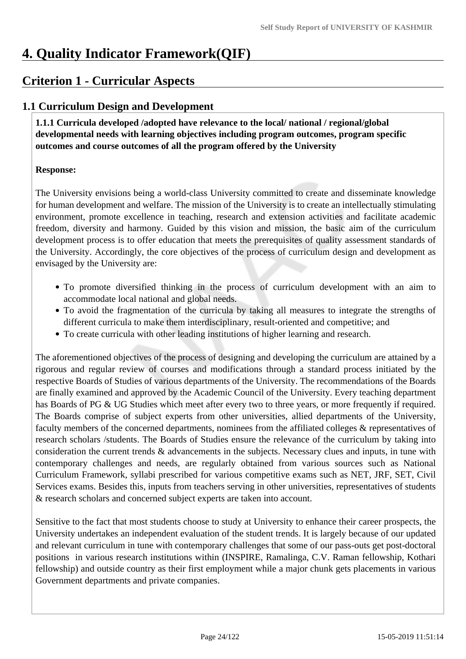# **4. Quality Indicator Framework(QIF)**

# **Criterion 1 - Curricular Aspects**

# **1.1 Curriculum Design and Development**

 **1.1.1 Curricula developed /adopted have relevance to the local/ national / regional/global developmental needs with learning objectives including program outcomes, program specific outcomes and course outcomes of all the program offered by the University**

### **Response:**

The University envisions being a world-class University committed to create and disseminate knowledge for human development and welfare. The mission of the University is to create an intellectually stimulating environment, promote excellence in teaching, research and extension activities and facilitate academic freedom, diversity and harmony*.* Guided by this vision and mission, the basic aim of the curriculum development process is to offer education that meets the prerequisites of quality assessment standards of the University. Accordingly, the core objectives of the process of curriculum design and development as envisaged by the University are:

- To promote diversified thinking in the process of curriculum development with an aim to accommodate local national and global needs.
- To avoid the fragmentation of the curricula by taking all measures to integrate the strengths of different curricula to make them interdisciplinary, result-oriented and competitive; and
- To create curricula with other leading institutions of higher learning and research.

The aforementioned objectives of the process of designing and developing the curriculum are attained by a rigorous and regular review of courses and modifications through a standard process initiated by the respective Boards of Studies of various departments of the University. The recommendations of the Boards are finally examined and approved by the Academic Council of the University. Every teaching department has Boards of PG & UG Studies which meet after every two to three years, or more frequently if required. The Boards comprise of subject experts from other universities, allied departments of the University, faculty members of the concerned departments, nominees from the affiliated colleges & representatives of research scholars /students. The Boards of Studies ensure the relevance of the curriculum by taking into consideration the current trends & advancements in the subjects. Necessary clues and inputs, in tune with contemporary challenges and needs, are regularly obtained from various sources such as National Curriculum Framework, syllabi prescribed for various competitive exams such as NET, JRF, SET, Civil Services exams. Besides this, inputs from teachers serving in other universities, representatives of students & research scholars and concerned subject experts are taken into account.

Sensitive to the fact that most students choose to study at University to enhance their career prospects, the University undertakes an independent evaluation of the student trends. It is largely because of our updated and relevant curriculum in tune with contemporary challenges that some of our pass-outs get post-doctoral positions in various research institutions within (INSPIRE, Ramalinga, C.V. Raman fellowship, Kothari fellowship) and outside country as their first employment while a major chunk gets placements in various Government departments and private companies.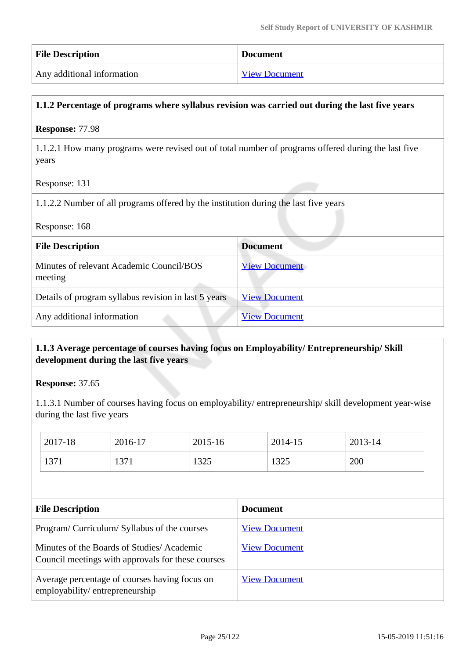| <b>File Description</b>    | <b>Document</b>      |
|----------------------------|----------------------|
| Any additional information | <b>View Document</b> |

### **1.1.2 Percentage of programs where syllabus revision was carried out during the last five years**

#### **Response:** 77.98

1.1.2.1 How many programs were revised out of total number of programs offered during the last five years

Response: 131

1.1.2.2 Number of all programs offered by the institution during the last five years

| Response: 168 |  |
|---------------|--|
|---------------|--|

| <b>File Description</b>                              | <b>Document</b>      |
|------------------------------------------------------|----------------------|
| Minutes of relevant Academic Council/BOS<br>meeting  | <b>View Document</b> |
| Details of program syllabus revision in last 5 years | <b>View Document</b> |
| Any additional information                           | <b>View Document</b> |

### **1.1.3 Average percentage of courses having focus on Employability/ Entrepreneurship/ Skill development during the last five years**

**Response:** 37.65

1.1.3.1 Number of courses having focus on employability/ entrepreneurship/ skill development year-wise during the last five years

| 2017-18 | 2016-17 | 2015-16         | 2014-15 | 2013-14 |
|---------|---------|-----------------|---------|---------|
| 1371    | 1371    | 1225<br>1 J Z J | 1325    | 200     |

| <b>File Description</b>                                                                        | <b>Document</b>      |
|------------------------------------------------------------------------------------------------|----------------------|
| Program/Curriculum/Syllabus of the courses                                                     | <b>View Document</b> |
| Minutes of the Boards of Studies/Academic<br>Council meetings with approvals for these courses | <b>View Document</b> |
| Average percentage of courses having focus on<br>employability/entrepreneurship                | <b>View Document</b> |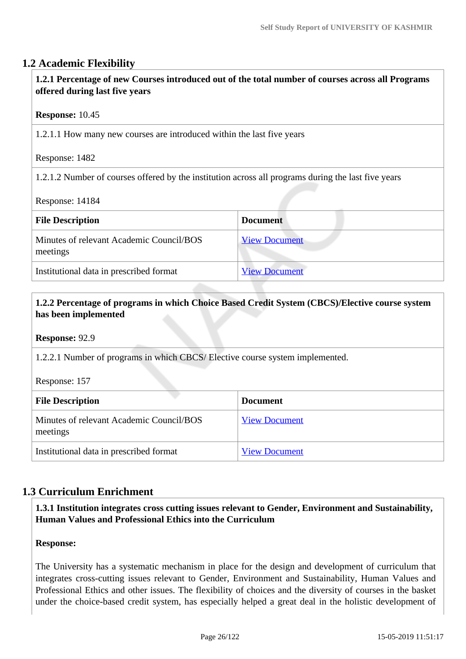### **1.2 Academic Flexibility**

 **1.2.1 Percentage of new Courses introduced out of the total number of courses across all Programs offered during last five years**

#### **Response:** 10.45

1.2.1.1 How many new courses are introduced within the last five years

Response: 1482

1.2.1.2 Number of courses offered by the institution across all programs during the last five years

Response: 14184

| <b>Document</b>      |
|----------------------|
| <b>View Document</b> |
| <b>View Document</b> |
|                      |

### **1.2.2 Percentage of programs in which Choice Based Credit System (CBCS)/Elective course system has been implemented**

**Response:** 92.9

1.2.2.1 Number of programs in which CBCS/ Elective course system implemented.

Response: 157

| <b>File Description</b>                              | <b>Document</b>      |
|------------------------------------------------------|----------------------|
| Minutes of relevant Academic Council/BOS<br>meetings | <b>View Document</b> |
| Institutional data in prescribed format              | <b>View Document</b> |

### **1.3 Curriculum Enrichment**

 **1.3.1 Institution integrates cross cutting issues relevant to Gender, Environment and Sustainability, Human Values and Professional Ethics into the Curriculum**

### **Response:**

The University has a systematic mechanism in place for the design and development of curriculum that integrates cross-cutting issues relevant to Gender, Environment and Sustainability, Human Values and Professional Ethics and other issues. The flexibility of choices and the diversity of courses in the basket under the choice-based credit system, has especially helped a great deal in the holistic development of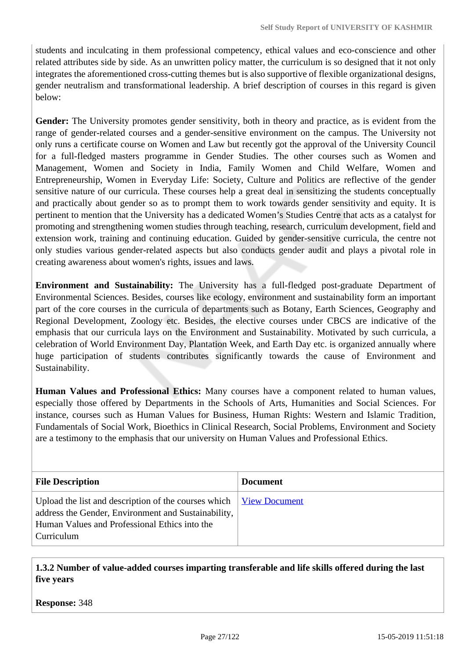students and inculcating in them professional competency, ethical values and eco-conscience and other related attributes side by side. As an unwritten policy matter, the curriculum is so designed that it not only integrates the aforementioned cross-cutting themes but is also supportive of flexible organizational designs, gender neutralism and transformational leadership. A brief description of courses in this regard is given below:

**Gender:** The University promotes gender sensitivity, both in theory and practice, as is evident from the range of gender-related courses and a gender-sensitive environment on the campus. The University not only runs a certificate course on Women and Law but recently got the approval of the University Council for a full-fledged masters programme in Gender Studies. The other courses such as Women and Management, Women and Society in India, Family Women and Child Welfare, Women and Entrepreneurship, Women in Everyday Life: Society, Culture and Politics are reflective of the gender sensitive nature of our curricula. These courses help a great deal in sensitizing the students conceptually and practically about gender so as to prompt them to work towards gender sensitivity and equity. It is pertinent to mention that the University has a dedicated Women's Studies Centre that acts as a catalyst for promoting and strengthening women studies through teaching, research, curriculum development, field and extension work, training and continuing education. Guided by gender-sensitive curricula, the centre not only studies various gender-related aspects but also conducts gender audit and plays a pivotal role in creating awareness about women's rights, issues and laws.

**Environment and Sustainability:** The University has a full-fledged post-graduate Department of Environmental Sciences. Besides, courses like ecology, environment and sustainability form an important part of the core courses in the curricula of departments such as Botany, Earth Sciences, Geography and Regional Development, Zoology etc. Besides, the elective courses under CBCS are indicative of the emphasis that our curricula lays on the Environment and Sustainability. Motivated by such curricula, a celebration of World Environment Day, Plantation Week, and Earth Day etc. is organized annually where huge participation of students contributes significantly towards the cause of Environment and Sustainability.

**Human Values and Professional Ethics:** Many courses have a component related to human values, especially those offered by Departments in the Schools of Arts, Humanities and Social Sciences. For instance, courses such as Human Values for Business, Human Rights: Western and Islamic Tradition, Fundamentals of Social Work, Bioethics in Clinical Research, Social Problems, Environment and Society are a testimony to the emphasis that our university on Human Values and Professional Ethics.

| <b>File Description</b>                                                                                                                                                                                                     | <b>Document</b> |
|-----------------------------------------------------------------------------------------------------------------------------------------------------------------------------------------------------------------------------|-----------------|
| Upload the list and description of the courses which $\frac{V_{\text{icw}}}{V_{\text{icw}}}$ Document<br>address the Gender, Environment and Sustainability,<br>Human Values and Professional Ethics into the<br>Curriculum |                 |

 **1.3.2 Number of value-added courses imparting transferable and life skills offered during the last five years**

**Response:** 348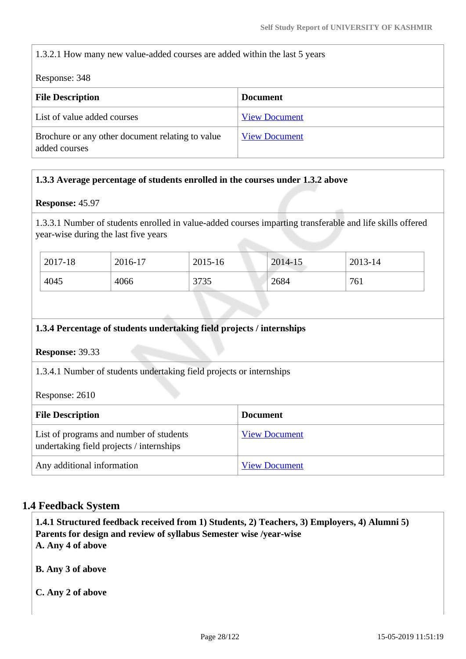1.3.2.1 How many new value-added courses are added within the last 5 years

Response: 348

| <b>File Description</b>                                           | <b>Document</b>      |
|-------------------------------------------------------------------|----------------------|
| List of value added courses                                       | <b>View Document</b> |
| Brochure or any other document relating to value<br>added courses | <b>View Document</b> |

### **1.3.3 Average percentage of students enrolled in the courses under 1.3.2 above**

#### **Response:** 45.97

1.3.3.1 Number of students enrolled in value-added courses imparting transferable and life skills offered year-wise during the last five years

| 2017-18 | 2016-17 | 2015-16 | 2014-15 | 2013-14 |
|---------|---------|---------|---------|---------|
| 4045    | 4066    | 3735    | 2684    | 761     |

#### **1.3.4 Percentage of students undertaking field projects / internships**

### **Response:** 39.33

1.3.4.1 Number of students undertaking field projects or internships

Response: 2610

| <b>File Description</b>                                                             | <b>Document</b>      |
|-------------------------------------------------------------------------------------|----------------------|
| List of programs and number of students<br>undertaking field projects / internships | <b>View Document</b> |
| Any additional information                                                          | <b>View Document</b> |

### **1.4 Feedback System**

 **1.4.1 Structured feedback received from 1) Students, 2) Teachers, 3) Employers, 4) Alumni 5) Parents for design and review of syllabus Semester wise /year-wise A. Any 4 of above**

**B. Any 3 of above**

**C. Any 2 of above**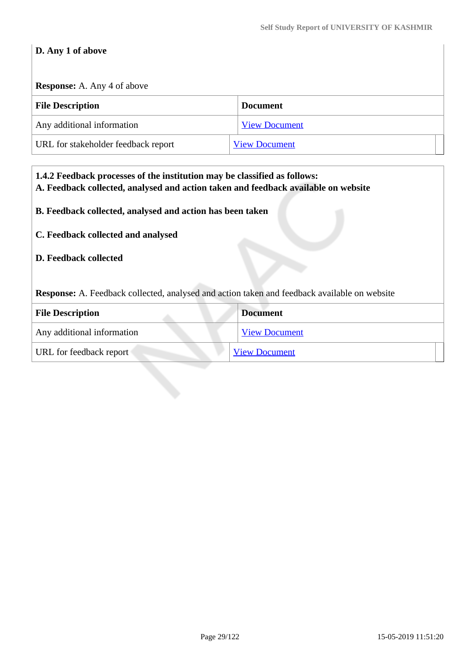# **D. Any 1 of above**

# **Response:** A. Any 4 of above

| <b>File Description</b>             | <b>Document</b>      |
|-------------------------------------|----------------------|
| Any additional information          | <b>View Document</b> |
| URL for stakeholder feedback report | <b>View Document</b> |

| 1.4.2 Feedback processes of the institution may be classified as follows:<br>A. Feedback collected, analysed and action taken and feedback available on website |                                                           |  |  |
|-----------------------------------------------------------------------------------------------------------------------------------------------------------------|-----------------------------------------------------------|--|--|
|                                                                                                                                                                 | B. Feedback collected, analysed and action has been taken |  |  |
| C. Feedback collected and analysed                                                                                                                              |                                                           |  |  |
| <b>D. Feedback collected</b>                                                                                                                                    |                                                           |  |  |
| Response: A. Feedback collected, analysed and action taken and feedback available on website                                                                    |                                                           |  |  |
| <b>Document</b><br><b>File Description</b>                                                                                                                      |                                                           |  |  |
| Any additional information                                                                                                                                      | <b>View Document</b>                                      |  |  |
| URL for feedback report                                                                                                                                         | <b>View Document</b>                                      |  |  |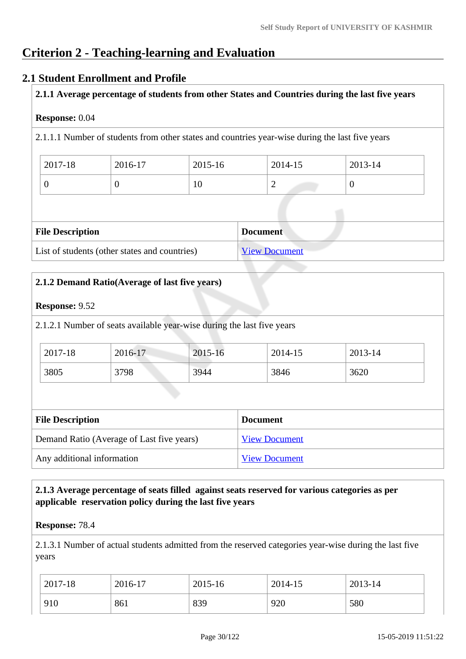# **Criterion 2 - Teaching-learning and Evaluation**

### **2.1 Student Enrollment and Profile**

**2.1.1 Average percentage of students from other States and Countries during the last five years**

### **Response:** 0.04

2.1.1.1 Number of students from other states and countries year-wise during the last five years

| 2017-18 | 2016-17 | 2015-16 | 2014-15 | 2013-14 |
|---------|---------|---------|---------|---------|
|         |         | 10      | ∼       |         |

| <b>File Description</b>                       | <b>Document</b>      |
|-----------------------------------------------|----------------------|
| List of students (other states and countries) | <b>View Document</b> |

|                                           | 2.1.2 Demand Ratio(Average of last five years)                         |                      |                 |         |
|-------------------------------------------|------------------------------------------------------------------------|----------------------|-----------------|---------|
| <b>Response: 9.52</b>                     |                                                                        |                      |                 |         |
|                                           | 2.1.2.1 Number of seats available year-wise during the last five years |                      |                 |         |
| 2017-18                                   | 2016-17                                                                | 2015-16              | 2014-15         | 2013-14 |
| 3805                                      | 3798                                                                   | 3944                 | 3846            | 3620    |
|                                           |                                                                        |                      |                 |         |
| <b>File Description</b>                   |                                                                        |                      | <b>Document</b> |         |
| Demand Ratio (Average of Last five years) |                                                                        | <b>View Document</b> |                 |         |
| Any additional information                |                                                                        | <b>View Document</b> |                 |         |

### **2.1.3 Average percentage of seats filled against seats reserved for various categories as per applicable reservation policy during the last five years**

#### **Response:** 78.4

2.1.3.1 Number of actual students admitted from the reserved categories year-wise during the last five years

| 2017-18 | 2016-17 | 2015-16 | 2014-15 | 2013-14 |
|---------|---------|---------|---------|---------|
| 910     | 861     | 839     | 920     | 580     |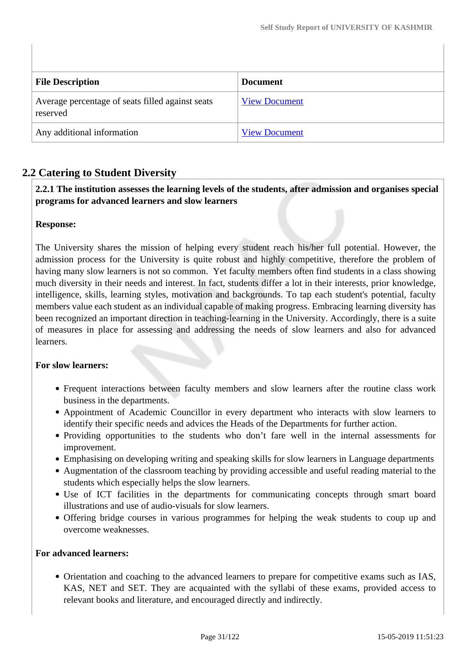| <b>File Description</b>                                      | <b>Document</b>      |
|--------------------------------------------------------------|----------------------|
| Average percentage of seats filled against seats<br>reserved | <b>View Document</b> |
| Any additional information                                   | <b>View Document</b> |

## **2.2 Catering to Student Diversity**

 **2.2.1 The institution assesses the learning levels of the students, after admission and organises special programs for advanced learners and slow learners**

### **Response:**

The University shares the mission of helping every student reach his/her full potential. However, the admission process for the University is quite robust and highly competitive, therefore the problem of having many slow learners is not so common. Yet faculty members often find students in a class showing much diversity in their needs and interest. In fact, students differ a lot in their interests, prior knowledge, intelligence, skills, learning styles, motivation and backgrounds. To tap each student's potential, faculty members value each student as an individual capable of making progress. Embracing learning diversity has been recognized an important direction in teaching-learning in the University. Accordingly, there is a suite of measures in place for assessing and addressing the needs of slow learners and also for advanced learners.

#### **For slow learners:**

- Frequent interactions between faculty members and slow learners after the routine class work business in the departments.
- Appointment of Academic Councillor in every department who interacts with slow learners to identify their specific needs and advices the Heads of the Departments for further action.
- Providing opportunities to the students who don't fare well in the internal assessments for improvement.
- Emphasising on developing writing and speaking skills for slow learners in Language departments
- Augmentation of the classroom teaching by providing accessible and useful reading material to the students which especially helps the slow learners.
- Use of ICT facilities in the departments for communicating concepts through smart board illustrations and use of audio-visuals for slow learners.
- Offering bridge courses in various programmes for helping the weak students to coup up and overcome weaknesses.

#### **For advanced learners:**

Orientation and coaching to the advanced learners to prepare for competitive exams such as IAS, KAS, NET and SET. They are acquainted with the syllabi of these exams, provided access to relevant books and literature, and encouraged directly and indirectly.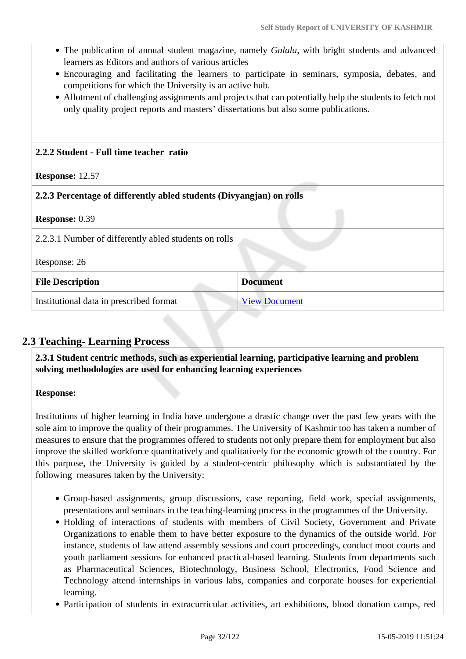- The publication of annual student magazine, namely *Gulala*, with bright students and advanced learners as Editors and authors of various articles
- Encouraging and facilitating the learners to participate in seminars, symposia, debates, and competitions for which the University is an active hub.
- Allotment of challenging assignments and projects that can potentially help the students to fetch not only quality project reports and masters' dissertations but also some publications.

# **2.2.2 Student - Full time teacher ratio Response:** 12.57 **2.2.3 Percentage of differently abled students (Divyangjan) on rolls Response:** 0.39 2.2.3.1 Number of differently abled students on rolls Response: 26 **File Description Document** Institutional data in prescribed format [View Document](https://assessmentonline.naac.gov.in/storage/app/hei/SSR/100028/2.2.3_1545576389_1647.xlsx)

## **2.3 Teaching- Learning Process**

 **2.3.1 Student centric methods, such as experiential learning, participative learning and problem solving methodologies are used for enhancing learning experiences**

### **Response:**

Institutions of higher learning in India have undergone a drastic change over the past few years with the sole aim to improve the quality of their programmes. The University of Kashmir too has taken a number of measures to ensure that the programmes offered to students not only prepare them for employment but also improve the skilled workforce quantitatively and qualitatively for the economic growth of the country. For this purpose, the University is guided by a student-centric philosophy which is substantiated by the following measures taken by the University:

- Group-based assignments, group discussions, case reporting, field work, special assignments, presentations and seminars in the teaching-learning process in the programmes of the University.
- Holding of interactions of students with members of Civil Society, Government and Private Organizations to enable them to have better exposure to the dynamics of the outside world. For instance, students of law attend assembly sessions and court proceedings, conduct moot courts and youth parliament sessions for enhanced practical-based learning. Students from departments such as Pharmaceutical Sciences, Biotechnology, Business School, Electronics, Food Science and Technology attend internships in various labs, companies and corporate houses for experiential learning.
- Participation of students in extracurricular activities, art exhibitions, blood donation camps, red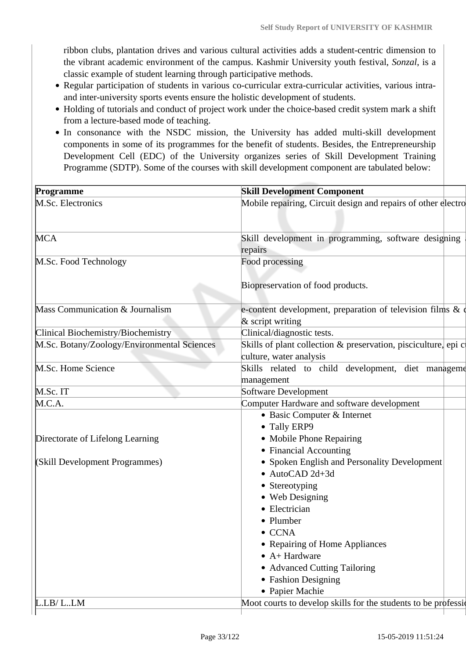ribbon clubs, plantation drives and various cultural activities adds a student-centric dimension to the vibrant academic environment of the campus. Kashmir University youth festival, *Sonzal*, is a classic example of student learning through participative methods.

- Regular participation of students in various co-curricular extra-curricular activities, various intraand inter-university sports events ensure the holistic development of students.
- Holding of tutorials and conduct of project work under the choice-based credit system mark a shift from a lecture-based mode of teaching.
- In consonance with the NSDC mission, the University has added multi-skill development components in some of its programmes for the benefit of students. Besides, the Entrepreneurship Development Cell (EDC) of the University organizes series of Skill Development Training Programme (SDTP). Some of the courses with skill development component are tabulated below:

| Programme                                   | <b>Skill Development Component</b>                                                                                                                                                                                                                                                                                          |
|---------------------------------------------|-----------------------------------------------------------------------------------------------------------------------------------------------------------------------------------------------------------------------------------------------------------------------------------------------------------------------------|
| M.Sc. Electronics                           | Mobile repairing, Circuit design and repairs of other electro                                                                                                                                                                                                                                                               |
| MCA                                         | Skill development in programming, software designing<br>repairs                                                                                                                                                                                                                                                             |
| M.Sc. Food Technology                       | Food processing<br>Biopreservation of food products.                                                                                                                                                                                                                                                                        |
| Mass Communication & Journalism             | e-content development, preparation of television films & of<br>$&$ script writing                                                                                                                                                                                                                                           |
| Clinical Biochemistry/Biochemistry          | Clinical/diagnostic tests.                                                                                                                                                                                                                                                                                                  |
| M.Sc. Botany/Zoology/Environmental Sciences | Skills of plant collection & preservation, pisciculture, epi c<br>culture, water analysis                                                                                                                                                                                                                                   |
| M.Sc. Home Science                          | Skills related to child development, diet management<br>management                                                                                                                                                                                                                                                          |
| M.Sc. IT                                    | Software Development                                                                                                                                                                                                                                                                                                        |
| M.C.A.                                      | Computer Hardware and software development                                                                                                                                                                                                                                                                                  |
| Directorate of Lifelong Learning            | • Basic Computer & Internet<br>• Tally ERP9<br>• Mobile Phone Repairing                                                                                                                                                                                                                                                     |
| (Skill Development Programmes)              | • Financial Accounting<br>• Spoken English and Personality Development<br>$\bullet$ AutoCAD 2d+3d<br>• Stereotyping<br>• Web Designing<br>• Electrician<br>• Plumber<br>$\bullet$ CCNA<br>• Repairing of Home Appliances<br>$\bullet$ A+ Hardware<br>• Advanced Cutting Tailoring<br>• Fashion Designing<br>• Papier Machie |
| L.LB/ LLM                                   | Moot courts to develop skills for the students to be profession                                                                                                                                                                                                                                                             |
|                                             |                                                                                                                                                                                                                                                                                                                             |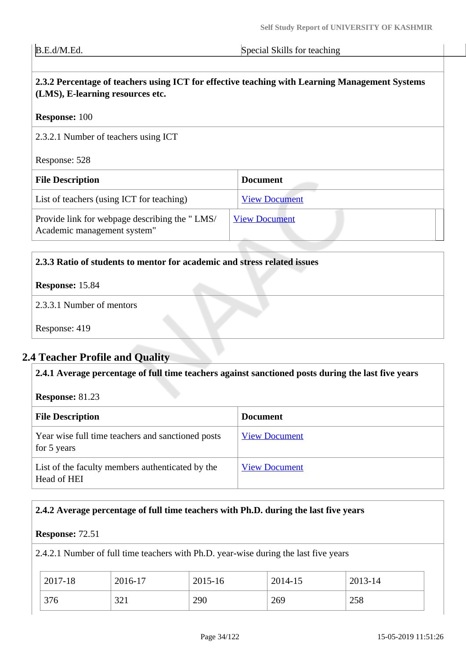B.E.d/M.Ed. Special Skills for teaching

# **2.3.2 Percentage of teachers using ICT for effective teaching with Learning Management Systems (LMS), E-learning resources etc.**

#### **Response:** 100

2.3.2.1 Number of teachers using ICT

Response: 528

| <b>File Description</b>                                                      | <b>Document</b>      |
|------------------------------------------------------------------------------|----------------------|
| List of teachers (using ICT for teaching)                                    | <b>View Document</b> |
| Provide link for webpage describing the "LMS/<br>Academic management system" | <b>View Document</b> |

#### **2.3.3 Ratio of students to mentor for academic and stress related issues**

### **Response:** 15.84

2.3.3.1 Number of mentors

Response: 419

# **2.4 Teacher Profile and Quality**

**2.4.1 Average percentage of full time teachers against sanctioned posts during the last five years**

**Response:** 81.23

| <b>File Description</b>                                          | <b>Document</b>      |
|------------------------------------------------------------------|----------------------|
| Year wise full time teachers and sanctioned posts<br>for 5 years | <b>View Document</b> |
| List of the faculty members authenticated by the<br>Head of HEI  | <b>View Document</b> |

### **2.4.2 Average percentage of full time teachers with Ph.D. during the last five years**

#### **Response:** 72.51

2.4.2.1 Number of full time teachers with Ph.D. year-wise during the last five years

| 2017-18 | 2016-17 | 2015-16 | 2014-15 | 2013-14 |
|---------|---------|---------|---------|---------|
| 376     | 321     | 290     | 269     | 258     |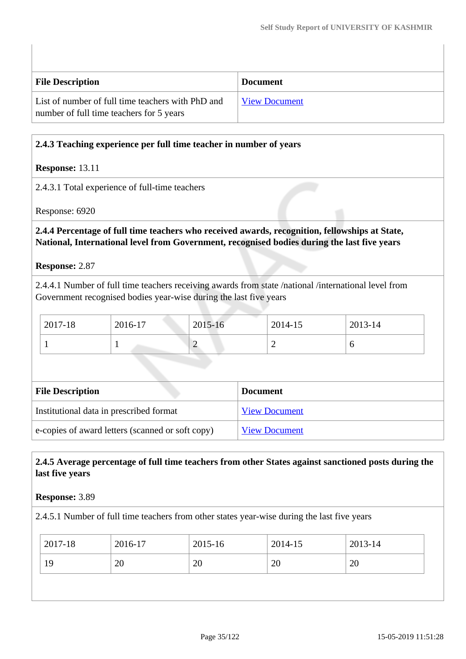| <b>File Description</b>                                                                       | <b>Document</b>      |
|-----------------------------------------------------------------------------------------------|----------------------|
| List of number of full time teachers with PhD and<br>number of full time teachers for 5 years | <b>View Document</b> |

### **2.4.3 Teaching experience per full time teacher in number of years**

### **Response:** 13.11

2.4.3.1 Total experience of full-time teachers

Response: 6920

 **2.4.4 Percentage of full time teachers who received awards, recognition, fellowships at State, National, International level from Government, recognised bodies during the last five years**

**Response:** 2.87

2.4.4.1 Number of full time teachers receiving awards from state /national /international level from Government recognised bodies year-wise during the last five years

| 2017-18 | 2016-17 | 2015-16 | 2014-15 | 2013-14 |
|---------|---------|---------|---------|---------|
|         |         | ∽       | ∽       |         |

| <b>File Description</b>                          | <b>Document</b>      |
|--------------------------------------------------|----------------------|
| Institutional data in prescribed format          | <b>View Document</b> |
| e-copies of award letters (scanned or soft copy) | <b>View Document</b> |

### **2.4.5 Average percentage of full time teachers from other States against sanctioned posts during the last five years**

#### **Response:** 3.89

2.4.5.1 Number of full time teachers from other states year-wise during the last five years

| 2017-18 | 2016-17 | 2015-16 | 2014-15 | 2013-14 |
|---------|---------|---------|---------|---------|
| 19      | 20      | 20      | 20      | 20      |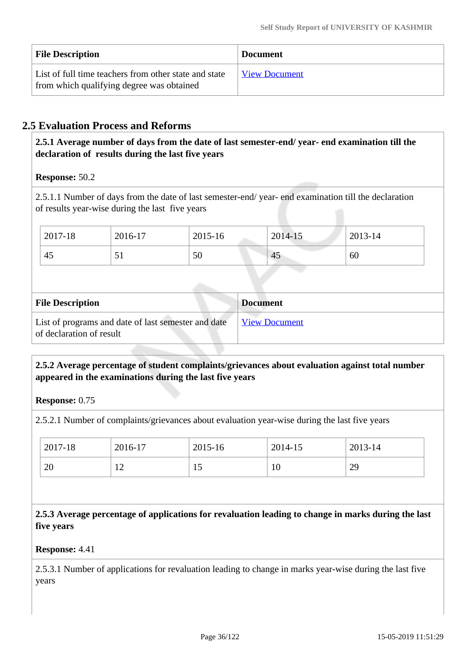| <b>File Description</b>                                                                            | <b>Document</b>      |
|----------------------------------------------------------------------------------------------------|----------------------|
| List of full time teachers from other state and state<br>from which qualifying degree was obtained | <b>View Document</b> |

## **2.5 Evaluation Process and Reforms**

 **2.5.1 Average number of days from the date of last semester-end/ year- end examination till the declaration of results during the last five years**

### **Response:** 50.2

2.5.1.1 Number of days from the date of last semester-end/ year- end examination till the declaration of results year-wise during the last five years

| 2017-18 | 2016-17      | 2015-16 | 2014-15 | 2013-14 |
|---------|--------------|---------|---------|---------|
| 45      | $\mathbf{v}$ | 50      | 45      | 60      |

| <b>File Description</b>                                                         | <b>Document</b>      |
|---------------------------------------------------------------------------------|----------------------|
| List of programs and date of last semester and date<br>of declaration of result | <b>View Document</b> |

### **2.5.2 Average percentage of student complaints/grievances about evaluation against total number appeared in the examinations during the last five years**

### **Response:** 0.75

2.5.2.1 Number of complaints/grievances about evaluation year-wise during the last five years

| 2017-18 | 2016-17            | 2015-16 | 2014-15 | 2013-14 |
|---------|--------------------|---------|---------|---------|
| 20      | $1^{\wedge}$<br>∸∸ | ⊥◡      | 10      | 29      |

 **2.5.3 Average percentage of applications for revaluation leading to change in marks during the last five years** 

#### **Response:** 4.41

2.5.3.1 Number of applications for revaluation leading to change in marks year-wise during the last five years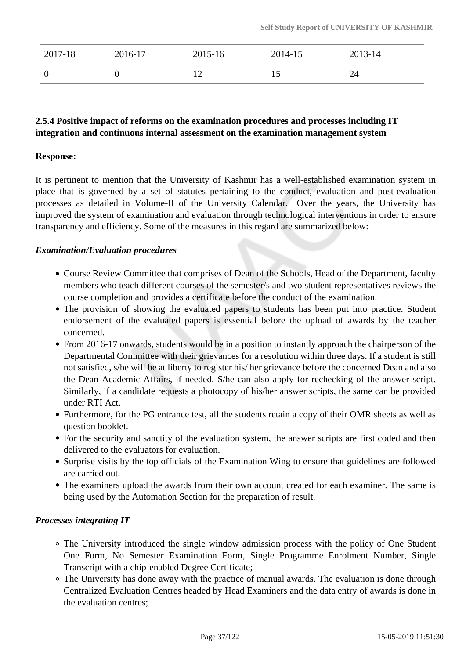| $\frac{1}{2017}$ -18 | 2016-17 | 2015-16 | 2014-15 | 2013-14 |
|----------------------|---------|---------|---------|---------|
| v                    | ◡       | ∸       | ⊥ັ      | 24      |

# **2.5.4 Positive impact of reforms on the examination procedures and processes including IT integration and continuous internal assessment on the examination management system**

#### **Response:**

It is pertinent to mention that the University of Kashmir has a well-established examination system in place that is governed by a set of statutes pertaining to the conduct, evaluation and post-evaluation processes as detailed in Volume-II of the University Calendar. Over the years, the University has improved the system of examination and evaluation through technological interventions in order to ensure transparency and efficiency. Some of the measures in this regard are summarized below:

#### *Examination/Evaluation procedures*

- Course Review Committee that comprises of Dean of the Schools, Head of the Department, faculty members who teach different courses of the semester/s and two student representatives reviews the course completion and provides a certificate before the conduct of the examination.
- The provision of showing the evaluated papers to students has been put into practice. Student endorsement of the evaluated papers is essential before the upload of awards by the teacher concerned.
- From 2016-17 onwards, students would be in a position to instantly approach the chairperson of the Departmental Committee with their grievances for a resolution within three days. If a student is still not satisfied, s/he will be at liberty to register his/ her grievance before the concerned Dean and also the Dean Academic Affairs, if needed. S/he can also apply for rechecking of the answer script. Similarly, if a candidate requests a photocopy of his/her answer scripts, the same can be provided under RTI Act.
- Furthermore, for the PG entrance test, all the students retain a copy of their OMR sheets as well as question booklet.
- For the security and sanctity of the evaluation system, the answer scripts are first coded and then delivered to the evaluators for evaluation.
- Surprise visits by the top officials of the Examination Wing to ensure that guidelines are followed are carried out.
- The examiners upload the awards from their own account created for each examiner. The same is being used by the Automation Section for the preparation of result.

## *Processes integrating IT*

- The University introduced the single window admission process with the policy of One Student One Form, No Semester Examination Form, Single Programme Enrolment Number, Single Transcript with a chip-enabled Degree Certificate;
- The University has done away with the practice of manual awards. The evaluation is done through Centralized Evaluation Centres headed by Head Examiners and the data entry of awards is done in the evaluation centres;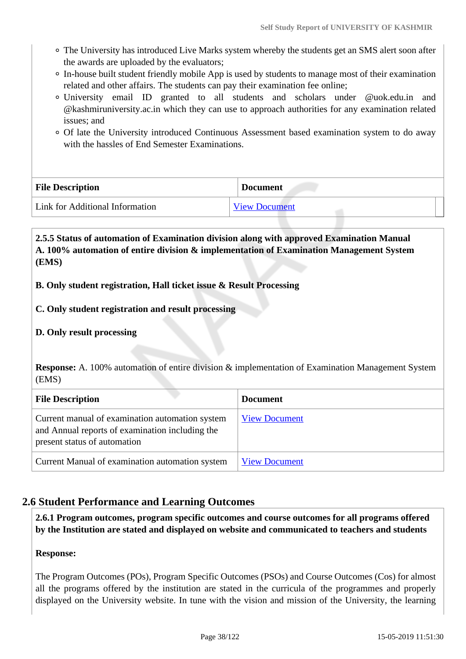- The University has introduced Live Marks system whereby the students get an SMS alert soon after the awards are uploaded by the evaluators;
- In-house built student friendly mobile App is used by students to manage most of their examination related and other affairs. The students can pay their examination fee online;
- University email ID granted to all students and scholars under @uok.edu.in and @kashmiruniversity.ac.in which they can use to approach authorities for any examination related issues; and
- Of late the University introduced Continuous Assessment based examination system to do away with the hassles of End Semester Examinations.

| <b>File Description</b>         | <b>Document</b>      |
|---------------------------------|----------------------|
| Link for Additional Information | <b>View Document</b> |

 **2.5.5 Status of automation of Examination division along with approved Examination Manual A. 100% automation of entire division & implementation of Examination Management System (EMS)**

## **B. Only student registration, Hall ticket issue & Result Processing**

- **C. Only student registration and result processing**
- **D. Only result processing**

**Response:** A. 100% automation of entire division & implementation of Examination Management System (EMS)

| <b>File Description</b>                                                                                                            | <b>Document</b>      |
|------------------------------------------------------------------------------------------------------------------------------------|----------------------|
| Current manual of examination automation system<br>and Annual reports of examination including the<br>present status of automation | <b>View Document</b> |
| Current Manual of examination automation system                                                                                    | <b>View Document</b> |

# **2.6 Student Performance and Learning Outcomes**

 **2.6.1 Program outcomes, program specific outcomes and course outcomes for all programs offered by the Institution are stated and displayed on website and communicated to teachers and students**

#### **Response:**

The Program Outcomes (POs), Program Specific Outcomes (PSOs) and Course Outcomes (Cos) for almost all the programs offered by the institution are stated in the curricula of the programmes and properly displayed on the University website. In tune with the vision and mission of the University, the learning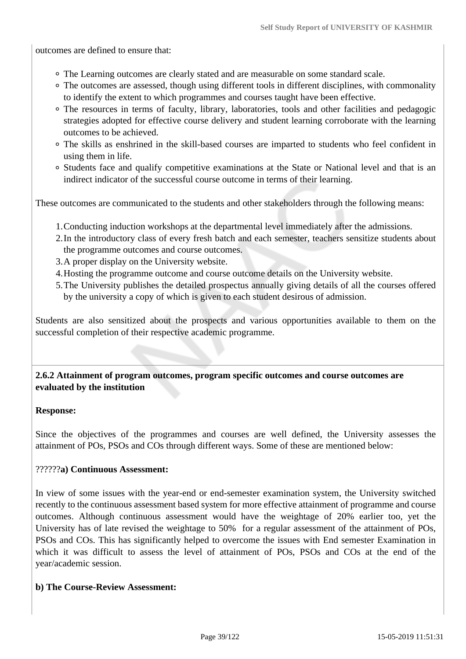outcomes are defined to ensure that:

- The Learning outcomes are clearly stated and are measurable on some standard scale.
- The outcomes are assessed, though using different tools in different disciplines, with commonality to identify the extent to which programmes and courses taught have been effective.
- The resources in terms of faculty, library, laboratories, tools and other facilities and pedagogic strategies adopted for effective course delivery and student learning corroborate with the learning outcomes to be achieved.
- The skills as enshrined in the skill-based courses are imparted to students who feel confident in using them in life.
- Students face and qualify competitive examinations at the State or National level and that is an indirect indicator of the successful course outcome in terms of their learning.

These outcomes are communicated to the students and other stakeholders through the following means:

- 1.Conducting induction workshops at the departmental level immediately after the admissions.
- 2.In the introductory class of every fresh batch and each semester, teachers sensitize students about the programme outcomes and course outcomes.
- 3.A proper display on the University website.
- 4.Hosting the programme outcome and course outcome details on the University website.
- 5.The University publishes the detailed prospectus annually giving details of all the courses offered by the university a copy of which is given to each student desirous of admission.

Students are also sensitized about the prospects and various opportunities available to them on the successful completion of their respective academic programme.

 **2.6.2 Attainment of program outcomes, program specific outcomes and course outcomes are evaluated by the institution**

#### **Response:**

Since the objectives of the programmes and courses are well defined, the University assesses the attainment of POs, PSOs and COs through different ways. Some of these are mentioned below:

#### ??????**a) Continuous Assessment:**

In view of some issues with the year-end or end-semester examination system, the University switched recently to the continuous assessment based system for more effective attainment of programme and course outcomes. Although continuous assessment would have the weightage of 20% earlier too, yet the University has of late revised the weightage to 50% for a regular assessment of the attainment of POs, PSOs and COs. This has significantly helped to overcome the issues with End semester Examination in which it was difficult to assess the level of attainment of POs, PSOs and COs at the end of the year/academic session.

#### **b) The Course-Review Assessment:**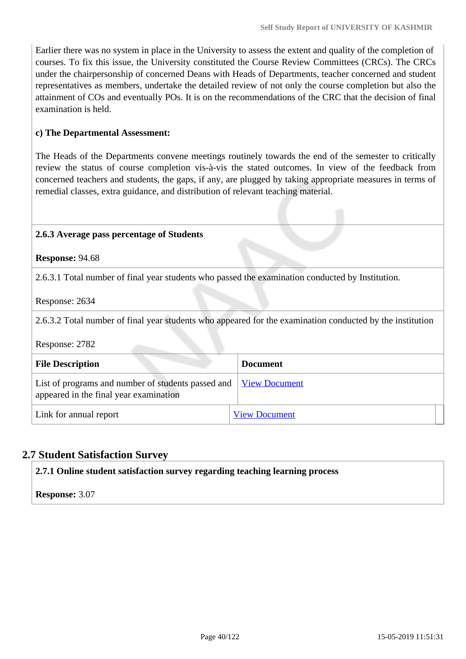Earlier there was no system in place in the University to assess the extent and quality of the completion of courses. To fix this issue, the University constituted the Course Review Committees (CRCs). The CRCs under the chairpersonship of concerned Deans with Heads of Departments, teacher concerned and student representatives as members, undertake the detailed review of not only the course completion but also the attainment of COs and eventually POs. It is on the recommendations of the CRC that the decision of final examination is held.

### **c) The Departmental Assessment:**

The Heads of the Departments convene meetings routinely towards the end of the semester to critically review the status of course completion vis-à-vis the stated outcomes. In view of the feedback from concerned teachers and students, the gaps, if any, are plugged by taking appropriate measures in terms of remedial classes, extra guidance, and distribution of relevant teaching material.

#### **2.6.3 Average pass percentage of Students**

**Response:** 94.68

2.6.3.1 Total number of final year students who passed the examination conducted by Institution.

Response: 2634

2.6.3.2 Total number of final year students who appeared for the examination conducted by the institution

Response: 2782

| <b>File Description</b>                                                                                           | <b>Document</b>      |
|-------------------------------------------------------------------------------------------------------------------|----------------------|
| List of programs and number of students passed and <u>View Document</u><br>appeared in the final year examination |                      |
| Link for annual report                                                                                            | <b>View Document</b> |

# **2.7 Student Satisfaction Survey**

**2.7.1 Online student satisfaction survey regarding teaching learning process**

**Response:** 3.07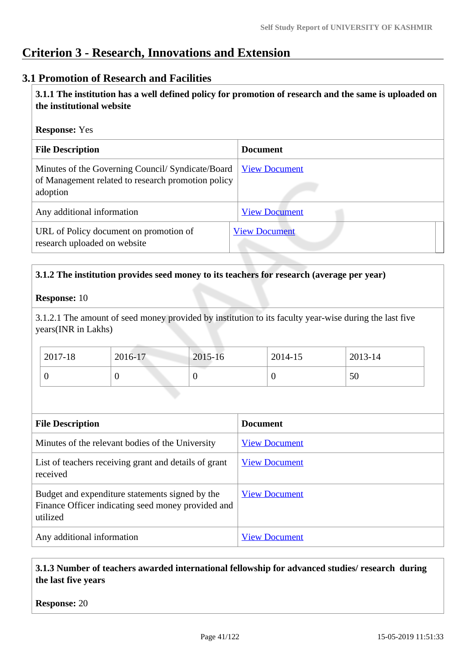# **Criterion 3 - Research, Innovations and Extension**

# **3.1 Promotion of Research and Facilities**

 **3.1.1 The institution has a well defined policy for promotion of research and the same is uploaded on the institutional website**

#### **Response:** Yes

| <b>File Description</b>                                                                                            | <b>Document</b>      |
|--------------------------------------------------------------------------------------------------------------------|----------------------|
| Minutes of the Governing Council/Syndicate/Board<br>of Management related to research promotion policy<br>adoption | <b>View Document</b> |
| Any additional information                                                                                         | <b>View Document</b> |
| URL of Policy document on promotion of<br>research uploaded on website                                             | <b>View Document</b> |

## **3.1.2 The institution provides seed money to its teachers for research (average per year)**

#### **Response:** 10

3.1.2.1 The amount of seed money provided by institution to its faculty year-wise during the last five years(INR in Lakhs)

| 2017-18 | 2016-17 | 2015-16 | 2014-15 | 2013-14 |
|---------|---------|---------|---------|---------|
|         |         | ν       |         | 50      |

| <b>File Description</b>                                                                                           | <b>Document</b>      |
|-------------------------------------------------------------------------------------------------------------------|----------------------|
| Minutes of the relevant bodies of the University                                                                  | <b>View Document</b> |
| List of teachers receiving grant and details of grant<br>received                                                 | <b>View Document</b> |
| Budget and expenditure statements signed by the<br>Finance Officer indicating seed money provided and<br>utilized | <b>View Document</b> |
| Any additional information                                                                                        | <b>View Document</b> |

## **3.1.3 Number of teachers awarded international fellowship for advanced studies/ research during the last five years**

#### **Response:** 20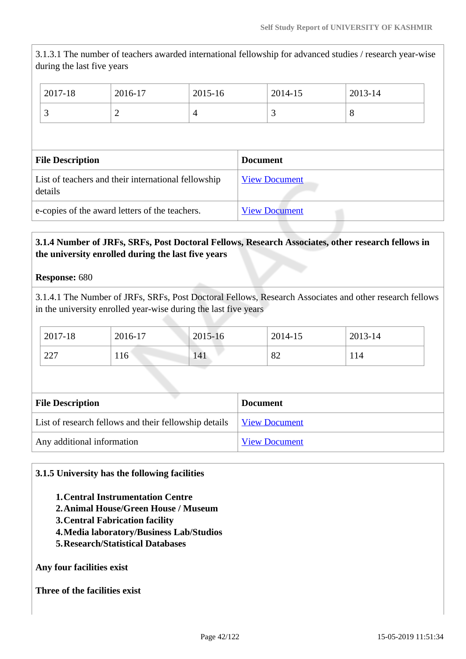3.1.3.1 The number of teachers awarded international fellowship for advanced studies / research year-wise during the last five years

|                    | 2017-18 | 2016-17 | 2015-16 | 2014-15 | 2013-14 |
|--------------------|---------|---------|---------|---------|---------|
| $\delta$<br>4<br>∸ |         |         |         |         |         |

| <b>File Description</b>                                        | <b>Document</b>      |
|----------------------------------------------------------------|----------------------|
| List of teachers and their international fellowship<br>details | <b>View Document</b> |
| e-copies of the award letters of the teachers.                 | <b>View Document</b> |

# **3.1.4 Number of JRFs, SRFs, Post Doctoral Fellows, Research Associates, other research fellows in the university enrolled during the last five years**

## **Response:** 680

3.1.4.1 The Number of JRFs, SRFs, Post Doctoral Fellows, Research Associates and other research fellows in the university enrolled year-wise during the last five years

| 2017-18 | 2016-17 | $2015 - 16$ | 2014-15       | 2013-14 |
|---------|---------|-------------|---------------|---------|
| 227     | 116     | 141         | $\circ$<br>04 | 114     |

| <b>File Description</b>                               | <b>Document</b>      |
|-------------------------------------------------------|----------------------|
| List of research fellows and their fellowship details | <b>View Document</b> |
| Any additional information                            | <b>View Document</b> |

## **3.1.5 University has the following facilities**

- **1.Central Instrumentation Centre**
- **2.Animal House/Green House / Museum**
- **3.Central Fabrication facility**
- **4.Media laboratory/Business Lab/Studios**
- **5.Research/Statistical Databases**

**Any four facilities exist**

**Three of the facilities exist**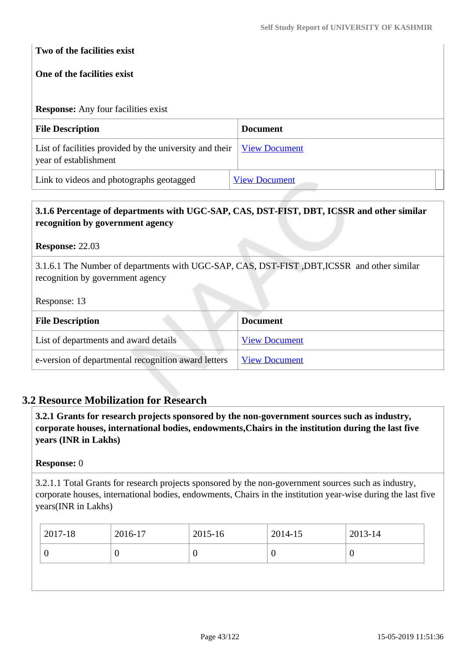## **Two of the facilities exist**

## **One of the facilities exist**

# **Response:** Any four facilities exist **File Description Document** List of facilities provided by the university and their year of establishment [View Document](https://assessmentonline.naac.gov.in/storage/app/hei/SSR/100028/3.1.5_1545294985_1647.xlsx) Link to videos and photographs geotagged [View Document](http://diqa.uok.edu.in/Main/ViewPage.aspx?Page=NAACVideos)

# **3.1.6 Percentage of departments with UGC-SAP, CAS, DST-FIST, DBT, ICSSR and other similar recognition by government agency**

**Response:** 22.03

3.1.6.1 The Number of departments with UGC-SAP, CAS, DST-FIST ,DBT,ICSSR and other similar recognition by government agency

Response: 13

| <b>File Description</b>                             | <b>Document</b>      |
|-----------------------------------------------------|----------------------|
| List of departments and award details               | <b>View Document</b> |
| e-version of departmental recognition award letters | <b>View Document</b> |

# **3.2 Resource Mobilization for Research**

 **3.2.1 Grants for research projects sponsored by the non-government sources such as industry, corporate houses, international bodies, endowments,Chairs in the institution during the last five years (INR in Lakhs)**

#### **Response:** 0

3.2.1.1 Total Grants for research projects sponsored by the non-government sources such as industry, corporate houses, international bodies, endowments, Chairs in the institution year-wise during the last five years(INR in Lakhs)

| 2017-18<br>2016-17 | 2015-16 | 2014-15 | $2013 - 14$ |
|--------------------|---------|---------|-------------|
| U                  |         |         | v           |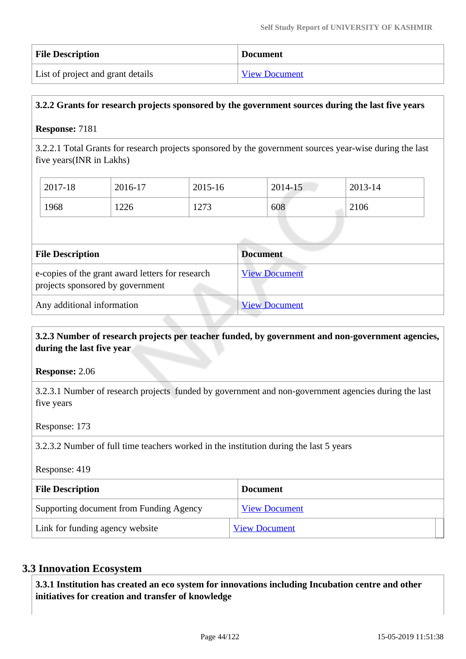| <b>File Description</b>           | <b>Document</b>      |
|-----------------------------------|----------------------|
| List of project and grant details | <b>View Document</b> |

## **3.2.2 Grants for research projects sponsored by the government sources during the last five years**

#### **Response:** 7181

3.2.2.1 Total Grants for research projects sponsored by the government sources year-wise during the last five years(INR in Lakhs)

| 2017-18 | 2016-17 | 2015-16 | 2014-15 | 2013-14 |
|---------|---------|---------|---------|---------|
| 1968    | 1226    | 1273    | 608     | 2106    |

| <b>File Description</b>                                                              | <b>Document</b>      |
|--------------------------------------------------------------------------------------|----------------------|
| e-copies of the grant award letters for research<br>projects sponsored by government | <b>View Document</b> |
| Any additional information                                                           | <b>View Document</b> |

## **3.2.3 Number of research projects per teacher funded, by government and non-government agencies, during the last five year**

#### **Response:** 2.06

3.2.3.1 Number of research projects funded by government and non-government agencies during the last five years

#### Response: 173

3.2.3.2 Number of full time teachers worked in the institution during the last 5 years

Response: 419

| <b>File Description</b>                 | <b>Document</b>      |
|-----------------------------------------|----------------------|
| Supporting document from Funding Agency | <b>View Document</b> |
| Link for funding agency website         | <b>View Document</b> |

#### **3.3 Innovation Ecosystem**

 **3.3.1 Institution has created an eco system for innovations including Incubation centre and other initiatives for creation and transfer of knowledge**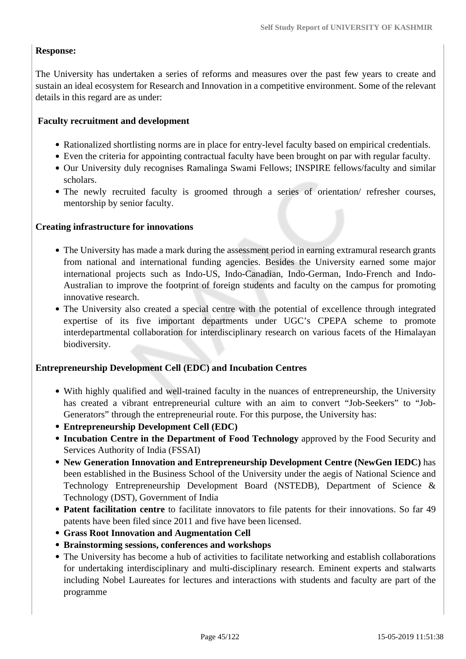## **Response:**

The University has undertaken a series of reforms and measures over the past few years to create and sustain an ideal ecosystem for Research and Innovation in a competitive environment. Some of the relevant details in this regard are as under:

## **Faculty recruitment and development**

- Rationalized shortlisting norms are in place for entry-level faculty based on empirical credentials.
- Even the criteria for appointing contractual faculty have been brought on par with regular faculty.
- Our University duly recognises Ramalinga Swami Fellows; INSPIRE fellows/faculty and similar scholars.
- The newly recruited faculty is groomed through a series of orientation/ refresher courses, mentorship by senior faculty.

## **Creating infrastructure for innovations**

- The University has made a mark during the assessment period in earning extramural research grants from national and international funding agencies. Besides the University earned some major international projects such as Indo-US, Indo-Canadian, Indo-German, Indo-French and Indo-Australian to improve the footprint of foreign students and faculty on the campus for promoting innovative research.
- The University also created a special centre with the potential of excellence through integrated expertise of its five important departments under UGC's CPEPA scheme to promote interdepartmental collaboration for interdisciplinary research on various facets of the Himalayan biodiversity.

## **Entrepreneurship Development Cell (EDC) and Incubation Centres**

- With highly qualified and well-trained faculty in the nuances of entrepreneurship, the University has created a vibrant entrepreneurial culture with an aim to convert "Job-Seekers" to "Job-Generators" through the entrepreneurial route. For this purpose, the University has:
- **Entrepreneurship Development Cell (EDC)**
- **Incubation Centre in the Department of Food Technology** approved by the Food Security and Services Authority of India (FSSAI)
- **New Generation Innovation and Entrepreneurship Development Centre (NewGen IEDC)** has been established in the Business School of the University under the aegis of National Science and Technology Entrepreneurship Development Board (NSTEDB), Department of Science & Technology (DST), Government of India
- **Patent facilitation centre** to facilitate innovators to file patents for their innovations. So far 49 patents have been filed since 2011 and five have been licensed.
- **Grass Root Innovation and Augmentation Cell**
- **Brainstorming sessions, conferences and workshops**
- The University has become a hub of activities to facilitate networking and establish collaborations for undertaking interdisciplinary and multi-disciplinary research. Eminent experts and stalwarts including Nobel Laureates for lectures and interactions with students and faculty are part of the programme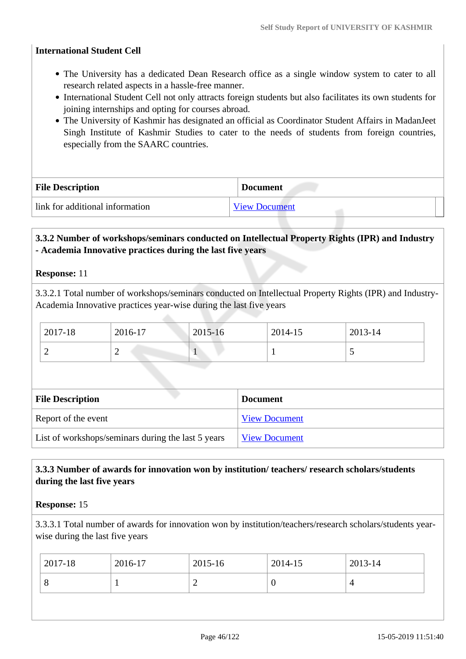#### **International Student Cell**

- The University has a dedicated Dean Research office as a single window system to cater to all research related aspects in a hassle-free manner.
- International Student Cell not only attracts foreign students but also facilitates its own students for joining internships and opting for courses abroad.
- The University of Kashmir has designated an official as Coordinator Student Affairs in MadanJeet Singh Institute of Kashmir Studies to cater to the needs of students from foreign countries, especially from the SAARC countries.

| <b>File Description</b>         | <b>Document</b>      |  |
|---------------------------------|----------------------|--|
| link for additional information | <b>View Document</b> |  |

## **3.3.2 Number of workshops/seminars conducted on Intellectual Property Rights (IPR) and Industry - Academia Innovative practices during the last five years**

#### **Response:** 11

3.3.2.1 Total number of workshops/seminars conducted on Intellectual Property Rights (IPR) and Industry-Academia Innovative practices year-wise during the last five years

| $2017 - 18$ | 2016-17 | 2015-16 | 2014-15 | 2013-14 |
|-------------|---------|---------|---------|---------|
| ∼           | -       |         |         |         |

| <b>File Description</b>                            | <b>Document</b>      |
|----------------------------------------------------|----------------------|
| Report of the event                                | <b>View Document</b> |
| List of workshops/seminars during the last 5 years | <b>View Document</b> |

## **3.3.3 Number of awards for innovation won by institution/ teachers/ research scholars/students during the last five years**

#### **Response:** 15

3.3.3.1 Total number of awards for innovation won by institution/teachers/research scholars/students yearwise during the last five years

|   | $12017 - 18$ | 2016-17 | 2015-16 | 2014-15 | $12013 - 14$ |
|---|--------------|---------|---------|---------|--------------|
| ∽ |              |         |         |         |              |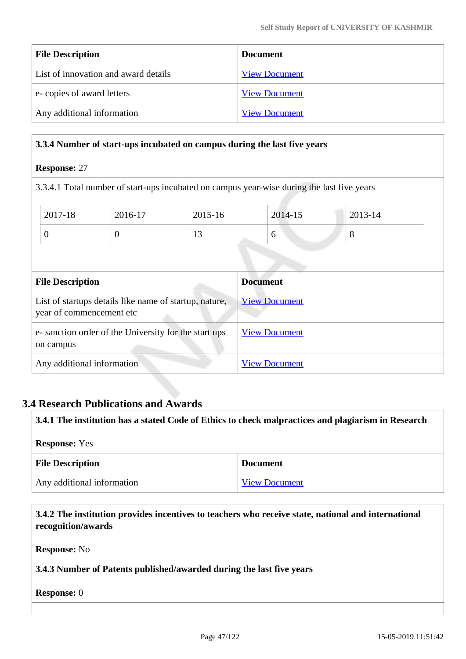| <b>File Description</b>              | <b>Document</b>      |
|--------------------------------------|----------------------|
| List of innovation and award details | <b>View Document</b> |
| e-copies of award letters            | <b>View Document</b> |
| Any additional information           | <b>View Document</b> |

#### **3.3.4 Number of start-ups incubated on campus during the last five years**

#### **Response:** 27

3.3.4.1 Total number of start-ups incubated on campus year-wise during the last five years

| 2017-18 | 2016-17 | 2015-16 | 2014-15 | $2013 - 14$ |
|---------|---------|---------|---------|-------------|
| υ       | ◡       | $\sim$  | O       | $\circ$     |

| <b>File Description</b>                                                            | <b>Document</b>      |
|------------------------------------------------------------------------------------|----------------------|
| List of startups details like name of startup, nature,<br>year of commencement etc | <b>View Document</b> |
| e-sanction order of the University for the start ups<br>on campus                  | <b>View Document</b> |
| Any additional information                                                         | <b>View Document</b> |

# **3.4 Research Publications and Awards**

| 3.4.1 The institution has a stated Code of Ethics to check malpractices and plagiarism in Research |                      |  |
|----------------------------------------------------------------------------------------------------|----------------------|--|
| <b>Response:</b> Yes                                                                               |                      |  |
| <b>File Description</b>                                                                            | <b>Document</b>      |  |
| Any additional information                                                                         | <b>View Document</b> |  |

 **3.4.2 The institution provides incentives to teachers who receive state, national and international recognition/awards**

**Response:** No

### **3.4.3 Number of Patents published/awarded during the last five years**

**Response:** 0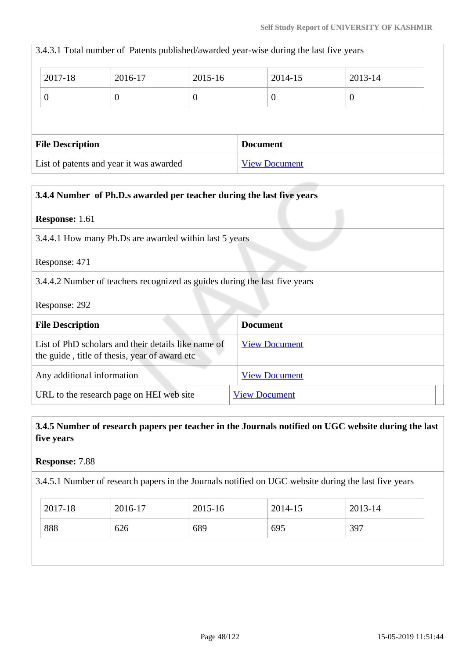3.4.3.1 Total number of Patents published/awarded year-wise during the last five years

| 2017-18                 | 2016-17  | 2015-16 |                 | 2014-15  | 2013-14 |  |
|-------------------------|----------|---------|-----------------|----------|---------|--|
| 0                       | $\theta$ | U       |                 | $\theta$ | U       |  |
|                         |          |         |                 |          |         |  |
|                         |          |         |                 |          |         |  |
| <b>File Description</b> |          |         | <b>Document</b> |          |         |  |

| 3.4.4 Number of Ph.D.s awarded per teacher during the last five years                                |                                                        |  |  |
|------------------------------------------------------------------------------------------------------|--------------------------------------------------------|--|--|
| <b>Response:</b> 1.61                                                                                |                                                        |  |  |
|                                                                                                      | 3.4.4.1 How many Ph.Ds are awarded within last 5 years |  |  |
| Response: 471                                                                                        |                                                        |  |  |
| 3.4.4.2 Number of teachers recognized as guides during the last five years                           |                                                        |  |  |
| Response: 292                                                                                        |                                                        |  |  |
| <b>File Description</b>                                                                              | <b>Document</b>                                        |  |  |
| List of PhD scholars and their details like name of<br>the guide, title of thesis, year of award etc | <b>View Document</b>                                   |  |  |
| Any additional information                                                                           | <b>View Document</b>                                   |  |  |
| URL to the research page on HEI web site                                                             | <b>View Document</b>                                   |  |  |

 **3.4.5 Number of research papers per teacher in the Journals notified on UGC website during the last five years**

**Response:** 7.88

3.4.5.1 Number of research papers in the Journals notified on UGC website during the last five years

| 2017-18<br>2016-17 | 2015-16 | 2014-15 | 2013-14 |
|--------------------|---------|---------|---------|
| 888<br>626         | 689     | 695     | 397     |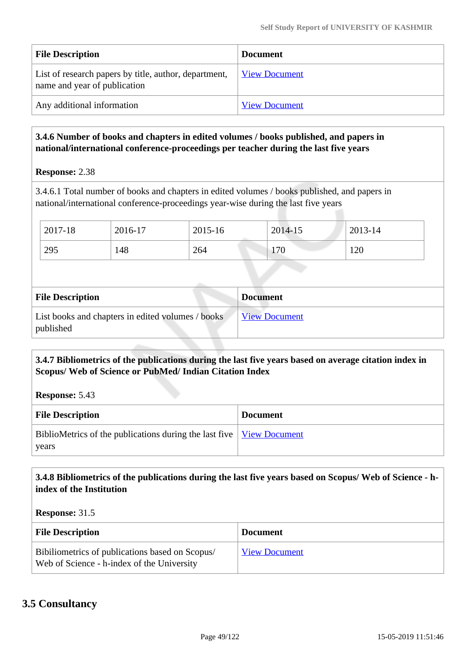| <b>File Description</b>                                                               | <b>Document</b>      |
|---------------------------------------------------------------------------------------|----------------------|
| List of research papers by title, author, department,<br>name and year of publication | <b>View Document</b> |
| Any additional information                                                            | <b>View Document</b> |

# **3.4.6 Number of books and chapters in edited volumes / books published, and papers in national/international conference-proceedings per teacher during the last five years**

**Response:** 2.38

3.4.6.1 Total number of books and chapters in edited volumes / books published, and papers in national/international conference-proceedings year-wise during the last five years

| 2017-18 | 2016-17 | 2015-16 | 2014-15 | 2013-14 |
|---------|---------|---------|---------|---------|
| 295     | 148     | 264     | 170     | 120     |

| <b>File Description</b>                                        | <b>Document</b>      |
|----------------------------------------------------------------|----------------------|
| List books and chapters in edited volumes / books<br>published | <b>View Document</b> |

## **3.4.7 Bibliometrics of the publications during the last five years based on average citation index in Scopus/ Web of Science or PubMed/ Indian Citation Index**

**Response:** 5.43

| <b>File Description</b>                                                                               | <b>Document</b> |
|-------------------------------------------------------------------------------------------------------|-----------------|
| BiblioMetrics of the publications during the last five $\sqrt{\frac{V_{\text{icW}}}{V_{\text{icW}}}}$ |                 |
| years                                                                                                 |                 |

## **3.4.8 Bibliometrics of the publications during the last five years based on Scopus/ Web of Science - hindex of the Institution**

**Response:** 31.5

| <b>File Description</b>                                                                       | <b>Document</b>      |
|-----------------------------------------------------------------------------------------------|----------------------|
| Bibiliometrics of publications based on Scopus/<br>Web of Science - h-index of the University | <b>View Document</b> |

# **3.5 Consultancy**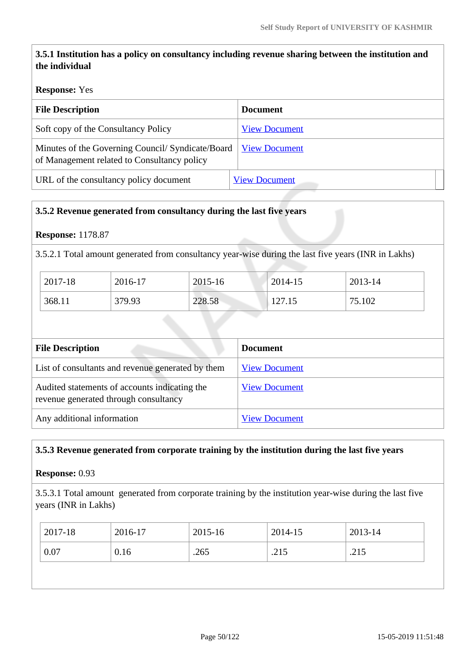# **3.5.1 Institution has a policy on consultancy including revenue sharing between the institution and the individual**

## **Response:** Yes

| <b>File Description</b>                                                                         | <b>Document</b>      |  |  |
|-------------------------------------------------------------------------------------------------|----------------------|--|--|
| Soft copy of the Consultancy Policy                                                             | <b>View Document</b> |  |  |
| Minutes of the Governing Council/Syndicate/Board<br>of Management related to Consultancy policy | <b>View Document</b> |  |  |
| URL of the consultancy policy document                                                          | <b>View Document</b> |  |  |

## **3.5.2 Revenue generated from consultancy during the last five years**

## **Response:** 1178.87

3.5.2.1 Total amount generated from consultancy year-wise during the last five years (INR in Lakhs)

| 2017-18 | 2016-17 | 2015-16 | 2014-15          | 2013-14 |
|---------|---------|---------|------------------|---------|
| 368.11  | 379.93  | 228.58  | 127.15<br>141.19 | 75.102  |

| <b>File Description</b>                                                                | <b>Document</b>      |
|----------------------------------------------------------------------------------------|----------------------|
| List of consultants and revenue generated by them                                      | <b>View Document</b> |
| Audited statements of accounts indicating the<br>revenue generated through consultancy | <b>View Document</b> |
| Any additional information                                                             | <b>View Document</b> |

## **3.5.3 Revenue generated from corporate training by the institution during the last five years**

**Response:** 0.93

3.5.3.1 Total amount generated from corporate training by the institution year-wise during the last five years (INR in Lakhs)

| 2017-18 | 2016-17 | 2015-16 | 2014-15 | 2013-14 |
|---------|---------|---------|---------|---------|
| 0.07    | 0.16    | .265    | .215    | .215    |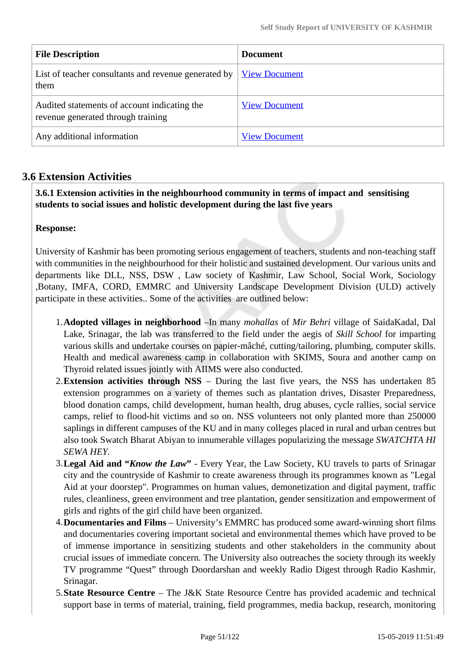| <b>File Description</b>                                                            | <b>Document</b>      |
|------------------------------------------------------------------------------------|----------------------|
| List of teacher consultants and revenue generated by<br>them                       | <b>View Document</b> |
| Audited statements of account indicating the<br>revenue generated through training | <b>View Document</b> |
| Any additional information                                                         | <b>View Document</b> |

# **3.6 Extension Activities**

 **3.6.1 Extension activities in the neighbourhood community in terms of impact and sensitising students to social issues and holistic development during the last five years**

#### **Response:**

University of Kashmir has been promoting serious engagement of teachers, students and non-teaching staff with communities in the neighbourhood for their holistic and sustained development. Our various units and departments like DLL, NSS, DSW , Law society of Kashmir, Law School, Social Work, Sociology ,Botany, IMFA, CORD, EMMRC and University Landscape Development Division (ULD) actively participate in these activities.. Some of the activities are outlined below:

- 1.**Adopted villages in neighborhood** –In many *mohallas* of *Mir Behri* village of SaidaKadal, Dal Lake, Srinagar, the lab was transferred to the field under the aegis of *Skill School* for imparting various skills and undertake courses on papier-mâché, cutting/tailoring, plumbing, computer skills. Health and medical awareness camp in collaboration with SKIMS, Soura and another camp on Thyroid related issues jointly with AIIMS were also conducted.
- 2.**Extension activities through NSS** During the last five years, the NSS has undertaken 85 extension programmes on a variety of themes such as plantation drives, Disaster Preparedness, blood donation camps, child development, human health, drug abuses, cycle rallies, social service camps, relief to flood-hit victims and so on. NSS volunteers not only planted more than 250000 saplings in different campuses of the KU and in many colleges placed in rural and urban centres but also took Swatch Bharat Abiyan to innumerable villages popularizing the message *SWATCHTA HI SEWA HEY.*
- 3.**Legal Aid and "***Know the Law***"** Every Year, the Law Society, KU travels to parts of Srinagar city and the countryside of Kashmir to create awareness through its programmes known as "Legal Aid at your doorstep". Programmes on human values, demonetization and digital payment, traffic rules, cleanliness, green environment and tree plantation, gender sensitization and empowerment of girls and rights of the girl child have been organized.
- 4.**Documentaries and Films** University's EMMRC has produced some award-winning short films and documentaries covering important societal and environmental themes which have proved to be of immense importance in sensitizing students and other stakeholders in the community about crucial issues of immediate concern. The University also outreaches the society through its weekly TV programme "Quest" through Doordarshan and weekly Radio Digest through Radio Kashmir, Srinagar.
- 5.**State Resource Centre** The J&K State Resource Centre has provided academic and technical support base in terms of material, training, field programmes, media backup, research, monitoring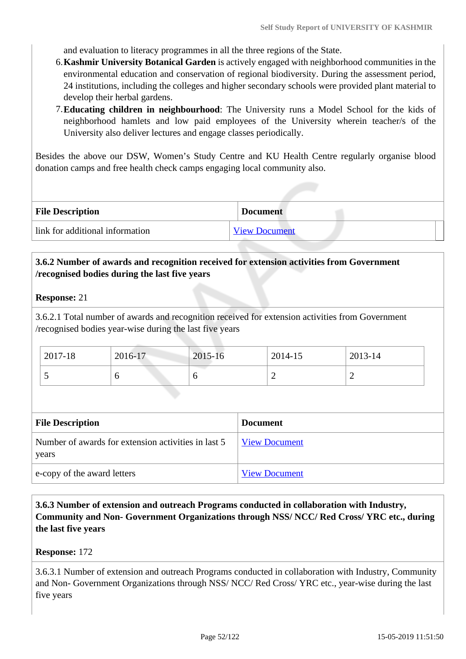and evaluation to literacy programmes in all the three regions of the State.

- 6.**Kashmir University Botanical Garden** is actively engaged with neighborhood communities in the environmental education and conservation of regional biodiversity. During the assessment period, 24 institutions, including the colleges and higher secondary schools were provided plant material to develop their herbal gardens.
- 7.**Educating children in neighbourhood**: The University runs a Model School for the kids of neighborhood hamlets and low paid employees of the University wherein teacher/s of the University also deliver lectures and engage classes periodically.

Besides the above our DSW, Women's Study Centre and KU Health Centre regularly organise blood donation camps and free health check camps engaging local community also.

| <b>File Description</b>         | <b>Document</b>      |
|---------------------------------|----------------------|
| link for additional information | <b>View Document</b> |

## **3.6.2 Number of awards and recognition received for extension activities from Government /recognised bodies during the last five years**

#### **Response:** 21

3.6.2.1 Total number of awards and recognition received for extension activities from Government /recognised bodies year-wise during the last five years

| 2017-18 | 2016-17 | 2015-16 | 2014-15 | 2013-14 |  |
|---------|---------|---------|---------|---------|--|
| ັ       |         |         | ∽       | ∽       |  |

| <b>File Description</b>                                      | <b>Document</b>      |
|--------------------------------------------------------------|----------------------|
| Number of awards for extension activities in last 5<br>years | <b>View Document</b> |
| e-copy of the award letters                                  | <b>View Document</b> |

 **3.6.3 Number of extension and outreach Programs conducted in collaboration with Industry, Community and Non- Government Organizations through NSS/ NCC/ Red Cross/ YRC etc., during the last five years** 

#### **Response:** 172

3.6.3.1 Number of extension and outreach Programs conducted in collaboration with Industry, Community and Non- Government Organizations through NSS/ NCC/ Red Cross/ YRC etc., year-wise during the last five years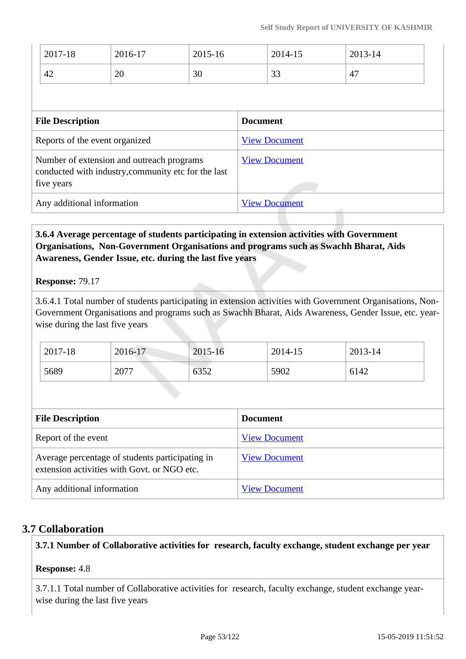| $\frac{1}{2017-18}$ | 2016-17 | 2015-16 | 2014-15 | 2013-14 |
|---------------------|---------|---------|---------|---------|
| 42                  | 20      | 30      | 33      | 47      |

| <b>File Description</b>                                                                                        | <b>Document</b>      |
|----------------------------------------------------------------------------------------------------------------|----------------------|
| Reports of the event organized                                                                                 | <b>View Document</b> |
| Number of extension and outreach programs<br>conducted with industry, community etc for the last<br>five years | <b>View Document</b> |
| Any additional information                                                                                     | <b>View Document</b> |

# **3.6.4 Average percentage of students participating in extension activities with Government Organisations, Non-Government Organisations and programs such as Swachh Bharat, Aids Awareness, Gender Issue, etc. during the last five years**

**Response:** 79.17

3.6.4.1 Total number of students participating in extension activities with Government Organisations, Non-Government Organisations and programs such as Swachh Bharat, Aids Awareness, Gender Issue, etc. yearwise during the last five years

| 2017-18 | 2016-17 | 2015-16 | 2014-15 | 2013-14 |
|---------|---------|---------|---------|---------|
| 5689    | 2077    | 6352    | 5902    | 6142    |

| <b>File Description</b>                                                                        | <b>Document</b>      |
|------------------------------------------------------------------------------------------------|----------------------|
| Report of the event                                                                            | <b>View Document</b> |
| Average percentage of students participating in<br>extension activities with Govt. or NGO etc. | <b>View Document</b> |
| Any additional information                                                                     | <b>View Document</b> |

# **3.7 Collaboration**

# **3.7.1 Number of Collaborative activities for research, faculty exchange, student exchange per year**

## **Response:** 4.8

3.7.1.1 Total number of Collaborative activities for research, faculty exchange, student exchange yearwise during the last five years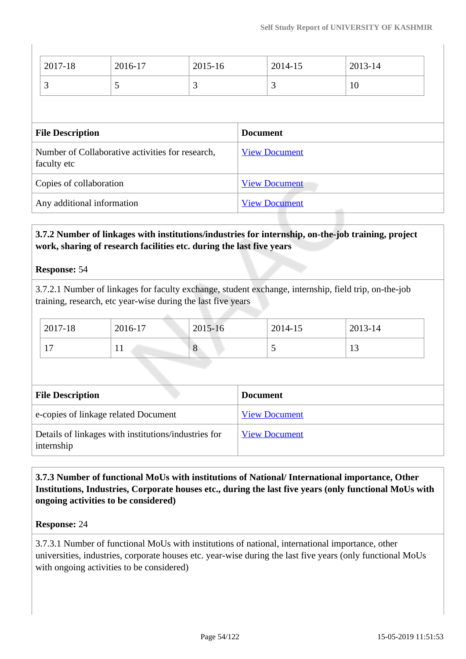| 2017-18                                                         | 2016-17 | 2015-16                                          |                      | 2014-15 | 2013-14 |  |
|-----------------------------------------------------------------|---------|--------------------------------------------------|----------------------|---------|---------|--|
| 3                                                               | 5       | 3                                                |                      | 3       | 10      |  |
|                                                                 |         |                                                  |                      |         |         |  |
| <b>File Description</b>                                         |         |                                                  | <b>Document</b>      |         |         |  |
| Number of Collaborative activities for research,<br>faculty etc |         |                                                  | <b>View Document</b> |         |         |  |
| Copies of collaboration                                         |         | <b>View Document</b>                             |                      |         |         |  |
| Any additional information                                      |         | <b>View Document</b><br><b>Contract Contract</b> |                      |         |         |  |

# **3.7.2 Number of linkages with institutions/industries for internship, on-the-job training, project work, sharing of research facilities etc. during the last five years**

#### **Response:** 54

3.7.2.1 Number of linkages for faculty exchange, student exchange, internship, field trip, on-the-job training, research, etc year-wise during the last five years

| 2017-18               | 2016-17 | 2015-16 | 2014-15                  | 2013-14 |
|-----------------------|---------|---------|--------------------------|---------|
| $\overline{ }$<br>. . | . .     | Ő       | $\overline{\phantom{0}}$ | . L.J   |

| <b>File Description</b>                                            | <b>Document</b>      |
|--------------------------------------------------------------------|----------------------|
| e-copies of linkage related Document                               | <b>View Document</b> |
| Details of linkages with institutions/industries for<br>internship | <b>View Document</b> |

# **3.7.3 Number of functional MoUs with institutions of National/ International importance, Other Institutions, Industries, Corporate houses etc., during the last five years (only functional MoUs with ongoing activities to be considered)**

## **Response:** 24

3.7.3.1 Number of functional MoUs with institutions of national, international importance, other universities, industries, corporate houses etc. year-wise during the last five years (only functional MoUs with ongoing activities to be considered)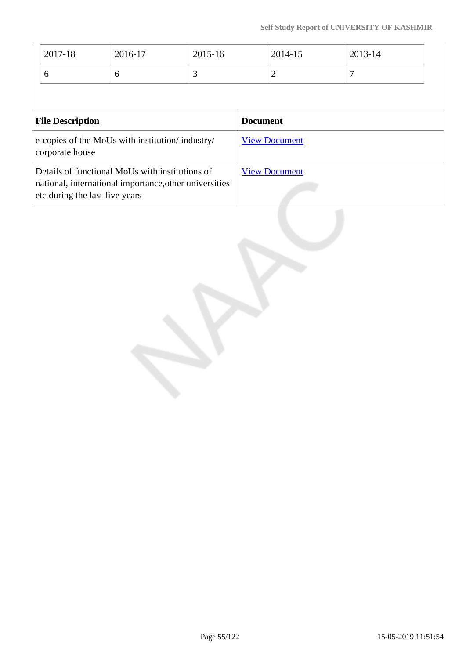| 2017-18                                                                                                                                     | 2016-17 | 2015-16 |                 | 2014-15              | 2013-14 |
|---------------------------------------------------------------------------------------------------------------------------------------------|---------|---------|-----------------|----------------------|---------|
| 6                                                                                                                                           | 6       | 3       |                 | 2                    | 7       |
|                                                                                                                                             |         |         |                 |                      |         |
| <b>File Description</b>                                                                                                                     |         |         | <b>Document</b> |                      |         |
| e-copies of the MoUs with institution/industry/<br>corporate house                                                                          |         |         |                 | <b>View Document</b> |         |
| Details of functional MoUs with institutions of<br>national, international importance, other universities<br>etc during the last five years |         |         |                 | <b>View Document</b> |         |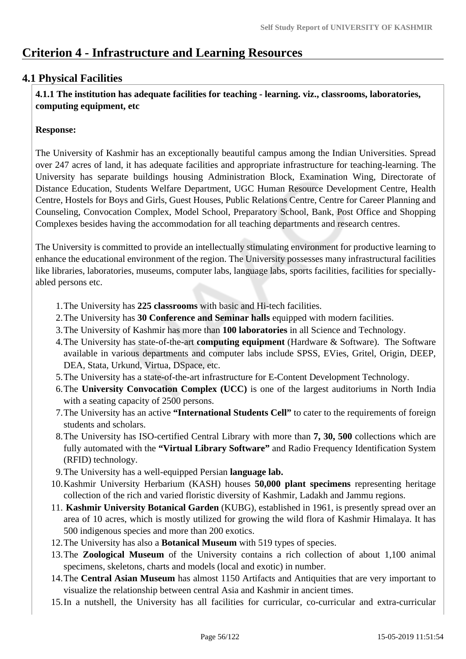# **Criterion 4 - Infrastructure and Learning Resources**

# **4.1 Physical Facilities**

 **4.1.1 The institution has adequate facilities for teaching - learning. viz., classrooms, laboratories, computing equipment, etc**

## **Response:**

The University of Kashmir has an exceptionally beautiful campus among the Indian Universities. Spread over 247 acres of land, it has adequate facilities and appropriate infrastructure for teaching-learning. The University has separate buildings housing Administration Block, Examination Wing, Directorate of Distance Education, Students Welfare Department, UGC Human Resource Development Centre, Health Centre, Hostels for Boys and Girls, Guest Houses, Public Relations Centre, Centre for Career Planning and Counseling, Convocation Complex, Model School, Preparatory School, Bank, Post Office and Shopping Complexes besides having the accommodation for all teaching departments and research centres.

The University is committed to provide an intellectually stimulating environment for productive learning to enhance the educational environment of the region. The University possesses many infrastructural facilities like libraries, laboratories, museums, computer labs, language labs, sports facilities, facilities for speciallyabled persons etc.

- 1.The University has **225 classrooms** with basic and Hi-tech facilities.
- 2.The University has **30 Conference and Seminar halls** equipped with modern facilities.
- 3.The University of Kashmir has more than **100 laboratories** in all Science and Technology.
- 4.The University has state-of-the-art **computing equipment** (Hardware & Software). The Software available in various departments and computer labs include SPSS, EVies, Gritel, Origin, DEEP, DEA, Stata, Urkund, Virtua, DSpace, etc.
- 5.The University has a state-of-the-art infrastructure for E-Content Development Technology.
- 6.The **University Convocation Complex (UCC)** is one of the largest auditoriums in North India with a seating capacity of 2500 persons.
- 7.The University has an active **"International Students Cell"** to cater to the requirements of foreign students and scholars.
- 8.The University has ISO-certified Central Library with more than **7, 30, 500** collections which are fully automated with the **"Virtual Library Software"** and Radio Frequency Identification System (RFID) technology.
- 9.The University has a well-equipped Persian **language lab.**
- 10.Kashmir University Herbarium (KASH) houses **50,000 plant specimens** representing heritage collection of the rich and varied floristic diversity of Kashmir, Ladakh and Jammu regions.
- 11. **Kashmir University Botanical Garden** (KUBG), established in 1961, is presently spread over an area of 10 acres, which is mostly utilized for growing the wild flora of Kashmir Himalaya. It has 500 indigenous species and more than 200 exotics.
- 12.The University has also a **Botanical Museum** with 519 types of species.
- 13.The **Zoological Museum** of the University contains a rich collection of about 1,100 animal specimens, skeletons, charts and models (local and exotic) in number.
- 14.The **Central Asian Museum** has almost 1150 Artifacts and Antiquities that are very important to visualize the relationship between central Asia and Kashmir in ancient times.
- 15.In a nutshell, the University has all facilities for curricular, co-curricular and extra-curricular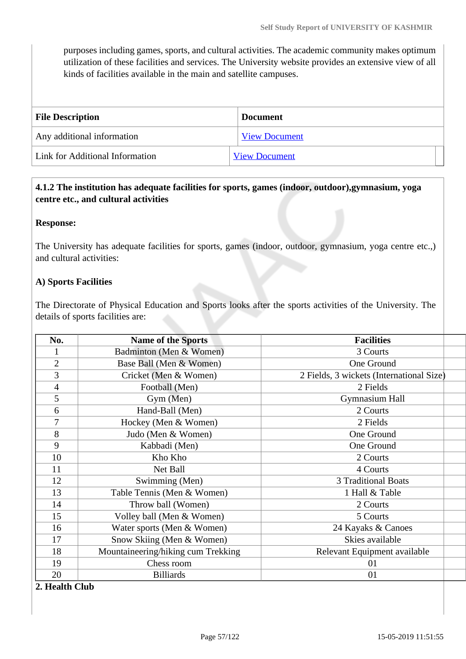purposes including games, sports, and cultural activities. The academic community makes optimum utilization of these facilities and services. The University website provides an extensive view of all kinds of facilities available in the main and satellite campuses.

| <b>File Description</b>         | <b>Document</b>      |
|---------------------------------|----------------------|
| Any additional information      | <b>View Document</b> |
| Link for Additional Information | <b>View Document</b> |

# **4.1.2 The institution has adequate facilities for sports, games (indoor, outdoor),gymnasium, yoga centre etc., and cultural activities**

#### **Response:**

The University has adequate facilities for sports, games (indoor, outdoor, gymnasium, yoga centre etc.,) and cultural activities:

#### **A) Sports Facilities**

The Directorate of Physical Education and Sports looks after the sports activities of the University. The details of sports facilities are:

| No.            | <b>Name of the Sports</b>          | <b>Facilities</b>                        |  |
|----------------|------------------------------------|------------------------------------------|--|
| 1              | Badminton (Men & Women)            | 3 Courts                                 |  |
| $\overline{2}$ | Base Ball (Men & Women)            | One Ground                               |  |
| 3              | Cricket (Men & Women)              | 2 Fields, 3 wickets (International Size) |  |
| $\overline{4}$ | Football (Men)                     | 2 Fields                                 |  |
| 5              | Gym (Men)                          | <b>Gymnasium Hall</b>                    |  |
| 6              | Hand-Ball (Men)                    | 2 Courts                                 |  |
| 7              | Hockey (Men & Women)               | 2 Fields                                 |  |
| 8              | Judo (Men & Women)                 | One Ground                               |  |
| 9              | Kabbadi (Men)                      | One Ground                               |  |
| 10             | Kho Kho                            | 2 Courts                                 |  |
| 11             | Net Ball                           | 4 Courts                                 |  |
| 12             | Swimming (Men)                     | <b>3 Traditional Boats</b>               |  |
| 13             | Table Tennis (Men & Women)         | 1 Hall & Table                           |  |
| 14             | Throw ball (Women)                 | 2 Courts                                 |  |
| 15             | Volley ball (Men & Women)          | 5 Courts                                 |  |
| 16             | Water sports (Men & Women)         | 24 Kayaks & Canoes                       |  |
| 17             | Snow Skiing (Men & Women)          | Skies available                          |  |
| 18             | Mountaineering/hiking cum Trekking | Relevant Equipment available             |  |
| 19             | Chess room                         | 01                                       |  |
| 20             | <b>Billiards</b>                   | 01                                       |  |

#### **2. Health Club**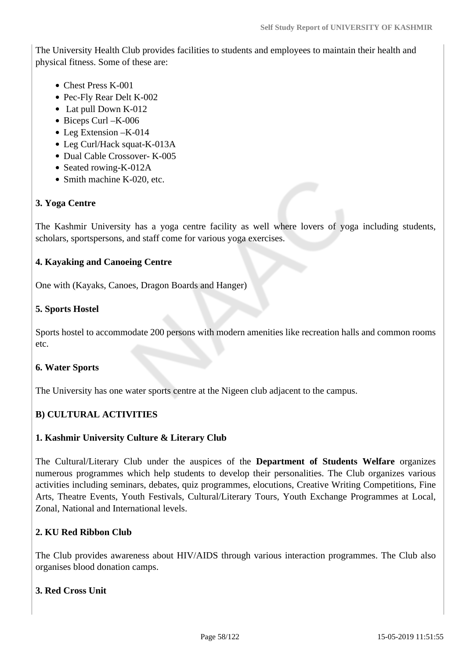The University Health Club provides facilities to students and employees to maintain their health and physical fitness. Some of these are:

- Chest Press K-001
- Pec-Fly Rear Delt K-002
- Lat pull Down K-012
- Biceps Curl K-006
- Leg Extension K-014
- Leg Curl/Hack squat-K-013A
- Dual Cable Crossover- K-005
- Seated rowing-K-012A
- Smith machine K-020, etc.

## **3. Yoga Centre**

The Kashmir University has a yoga centre facility as well where lovers of yoga including students, scholars, sportspersons, and staff come for various yoga exercises.

## **4. Kayaking and Canoeing Centre**

One with (Kayaks, Canoes, Dragon Boards and Hanger)

## **5. Sports Hostel**

Sports hostel to accommodate 200 persons with modern amenities like recreation halls and common rooms etc.

## **6. Water Sports**

The University has one water sports centre at the Nigeen club adjacent to the campus.

## **B) CULTURAL ACTIVITIES**

## **1. Kashmir University Culture & Literary Club**

The Cultural/Literary Club under the auspices of the **Department of Students Welfare** organizes numerous programmes which help students to develop their personalities. The Club organizes various activities including seminars, debates, quiz programmes, elocutions, Creative Writing Competitions, Fine Arts, Theatre Events, Youth Festivals, Cultural/Literary Tours, Youth Exchange Programmes at Local, Zonal, National and International levels.

## **2. KU Red Ribbon Club**

The Club provides awareness about HIV/AIDS through various interaction programmes. The Club also organises blood donation camps.

#### **3. Red Cross Unit**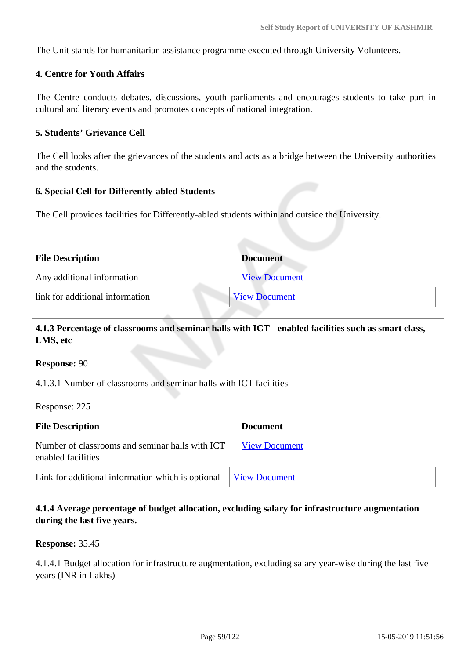The Unit stands for humanitarian assistance programme executed through University Volunteers.

# **4. Centre for Youth Affairs**

The Centre conducts debates, discussions, youth parliaments and encourages students to take part in cultural and literary events and promotes concepts of national integration.

## **5. Students' Grievance Cell**

The Cell looks after the grievances of the students and acts as a bridge between the University authorities and the students.

#### **6. Special Cell for Differently-abled Students**

The Cell provides facilities for Differently-abled students within and outside the University.

| <b>File Description</b>         | <b>Document</b>      |
|---------------------------------|----------------------|
| Any additional information      | <b>View Document</b> |
| link for additional information | <b>View Document</b> |

# **4.1.3 Percentage of classrooms and seminar halls with ICT - enabled facilities such as smart class, LMS, etc**

**Response:** 90

4.1.3.1 Number of classrooms and seminar halls with ICT facilities

Response: 225

| <b>File Description</b>                                               | <b>Document</b>      |  |
|-----------------------------------------------------------------------|----------------------|--|
| Number of classrooms and seminar halls with ICT<br>enabled facilities | <b>View Document</b> |  |
| Link for additional information which is optional                     | <b>View Document</b> |  |

## **4.1.4 Average percentage of budget allocation, excluding salary for infrastructure augmentation during the last five years.**

**Response:** 35.45

4.1.4.1 Budget allocation for infrastructure augmentation, excluding salary year-wise during the last five years (INR in Lakhs)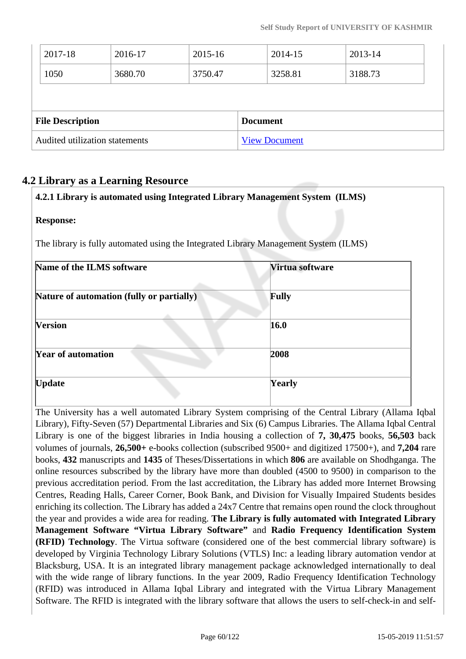| Audited utilization statements |                         |         | <b>View Document</b> |                 |         |         |  |
|--------------------------------|-------------------------|---------|----------------------|-----------------|---------|---------|--|
|                                | <b>File Description</b> |         |                      | <b>Document</b> |         |         |  |
|                                |                         |         |                      |                 |         |         |  |
|                                | 1050                    | 3680.70 | 3750.47              |                 | 3258.81 | 3188.73 |  |
|                                | 2017-18                 | 2016-17 | 2015-16              |                 | 2014-15 | 2013-14 |  |

# **4.2 Library as a Learning Resource**

| <b>Response:</b>                                                                     |                 |  |  |
|--------------------------------------------------------------------------------------|-----------------|--|--|
| The library is fully automated using the Integrated Library Management System (ILMS) |                 |  |  |
| Name of the ILMS software                                                            | Virtua software |  |  |
| Nature of automation (fully or partially)                                            | <b>Fully</b>    |  |  |
| <b>Version</b>                                                                       | 16.0            |  |  |
| <b>Year of automation</b>                                                            | 2008            |  |  |
| <b>Update</b>                                                                        | Yearly          |  |  |

**4.2.1 Library is automated using Integrated Library Management System (ILMS)**

The University has a well automated Library System comprising of the Central Library (Allama Iqbal Library), Fifty-Seven (57) Departmental Libraries and Six (6) Campus Libraries. The Allama Iqbal Central Library is one of the biggest libraries in India housing a collection of **7, 30,475** books, **56,503** back volumes of journals, **26,500+** e-books collection (subscribed 9500+ and digitized 17500+), and **7,204** rare books, **432** manuscripts and **1435** of Theses/Dissertations in which **806** are available on Shodhganga. The online resources subscribed by the library have more than doubled (4500 to 9500) in comparison to the previous accreditation period. From the last accreditation, the Library has added more Internet Browsing Centres, Reading Halls, Career Corner, Book Bank, and Division for Visually Impaired Students besides enriching its collection. The Library has added a 24x7 Centre that remains open round the clock throughout the year and provides a wide area for reading. **The Library is fully automated with Integrated Library Management Software "Virtua Library Software"** and **Radio Frequency Identification System (RFID) Technology**. The Virtua software (considered one of the best commercial library software) is developed by Virginia Technology Library Solutions (VTLS) Inc: a leading library automation vendor at Blacksburg, USA. It is an integrated library management package acknowledged internationally to deal with the wide range of library functions. In the year 2009, Radio Frequency Identification Technology (RFID) was introduced in Allama Iqbal Library and integrated with the Virtua Library Management Software. The RFID is integrated with the library software that allows the users to self-check-in and self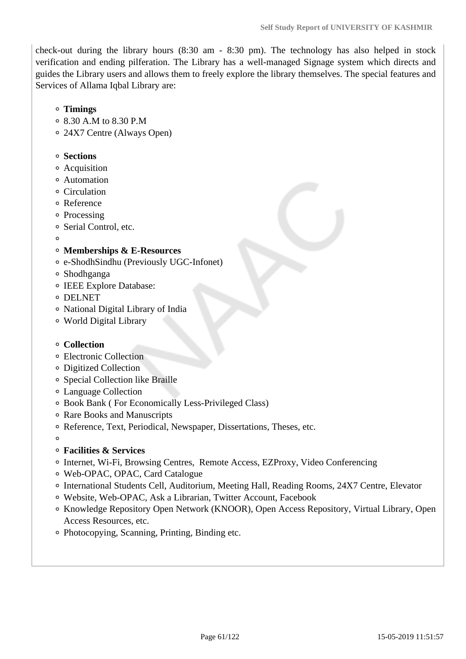check-out during the library hours (8:30 am - 8:30 pm). The technology has also helped in stock verification and ending pilferation. The Library has a well-managed Signage system which directs and guides the Library users and allows them to freely explore the library themselves. The special features and Services of Allama Iqbal Library are:

- **Timings**
- 8.30 A.M to 8.30 P.M
- 24X7 Centre (Always Open)

#### **Sections**

- Acquisition
- Automation
- Circulation
- Reference
- <sup>o</sup> Processing
- Serial Control, etc.
- $\Omega$

## **Memberships & E-Resources**

- e-ShodhSindhu (Previously UGC-Infonet)
- Shodhganga
- o IEEE Explore Database:
- DELNET
- National Digital Library of India
- World Digital Library

#### **Collection**

- Electronic Collection
- Digitized Collection
- Special Collection like Braille
- Language Collection
- Book Bank ( For Economically Less-Privileged Class)
- Rare Books and Manuscripts
- Reference, Text, Periodical, Newspaper, Dissertations, Theses, etc.
- $\Omega$
- **Facilities & Services**
- Internet, Wi-Fi, Browsing Centres, Remote Access, EZProxy, Video Conferencing
- Web-OPAC, OPAC, Card Catalogue
- International Students Cell, Auditorium, Meeting Hall, Reading Rooms, 24X7 Centre, Elevator
- Website, Web-OPAC, Ask a Librarian, Twitter Account, Facebook
- <sup>o</sup> Knowledge Repository Open Network (KNOOR), Open Access Repository, Virtual Library, Open Access Resources, etc.
- Photocopying, Scanning, Printing, Binding etc.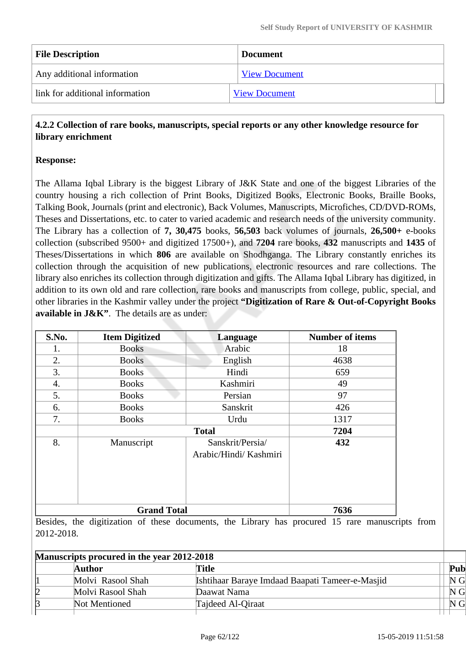| <b>File Description</b>         | <b>Document</b>      |  |  |
|---------------------------------|----------------------|--|--|
| Any additional information      | <b>View Document</b> |  |  |
| link for additional information | <b>View Document</b> |  |  |

## **4.2.2 Collection of rare books, manuscripts, special reports or any other knowledge resource for library enrichment**

## **Response:**

The Allama Iqbal Library is the biggest Library of J&K State and one of the biggest Libraries of the country housing a rich collection of Print Books, Digitized Books, Electronic Books, Braille Books, Talking Book, Journals (print and electronic), Back Volumes, Manuscripts, Microfiches, CD/DVD-ROMs, Theses and Dissertations, etc. to cater to varied academic and research needs of the university community. The Library has a collection of **7, 30,475** books, **56,503** back volumes of journals, **26,500+** e-books collection (subscribed 9500+ and digitized 17500+), and **7204** rare books, **432** manuscripts and **1435** of Theses/Dissertations in which **806** are available on Shodhganga. The Library constantly enriches its collection through the acquisition of new publications, electronic resources and rare collections. The library also enriches its collection through digitization and gifts. The Allama Iqbal Library has digitized, in addition to its own old and rare collection, rare books and manuscripts from college, public, special, and other libraries in the Kashmir valley under the project **"Digitization of Rare & Out-of-Copyright Books available in J&K"**. The details are as under:

| S.No. | <b>Item Digitized</b> | Language                                   | <b>Number of items</b> |
|-------|-----------------------|--------------------------------------------|------------------------|
| 1.    | <b>Books</b>          | Arabic                                     | 18                     |
| 2.    | <b>Books</b>          | English                                    | 4638                   |
| 3.    | <b>Books</b>          | Hindi                                      | 659                    |
| 4.    | <b>Books</b>          | Kashmiri                                   | 49                     |
| 5.    | <b>Books</b>          | Persian                                    | 97                     |
| 6.    | <b>Books</b>          | Sanskrit                                   | 426                    |
| 7.    | <b>Books</b>          | Urdu                                       | 1317                   |
|       |                       | <b>Total</b>                               | 7204                   |
| 8.    | Manuscript            | Sanskrit/Persia/<br>Arabic/Hindi/ Kashmiri | 432                    |
|       | <b>Grand Total</b>    |                                            | 7636                   |

Besides, the digitization of these documents, the Library has procured 15 rare manuscripts from 2012-2018.

| Manuscripts procured in the year 2012-2018 |  |                   |                                                 |                |
|--------------------------------------------|--|-------------------|-------------------------------------------------|----------------|
|                                            |  | Author            | Title                                           | Pub            |
|                                            |  | Molvi Rasool Shah | Ishtihaar Baraye Imdaad Baapati Tameer-e-Masjid | N <sub>G</sub> |
|                                            |  | Molvi Rasool Shah | Daawat Nama                                     | N <sub>G</sub> |
|                                            |  | Not Mentioned     | Tajdeed Al-Qiraat                               | N <sub>G</sub> |
|                                            |  |                   |                                                 |                |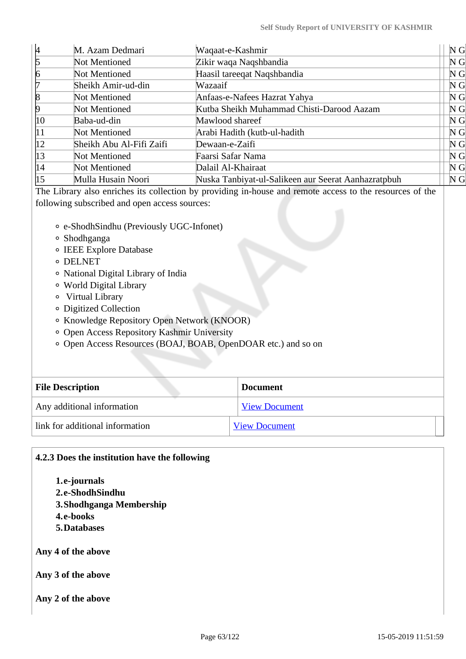| M. Azam Dedmari          | Waqaat-e-Kashmir                                    | N <sub>G</sub> |
|--------------------------|-----------------------------------------------------|----------------|
| Not Mentioned            | Zikir waqa Naqshbandia                              | N <sub>G</sub> |
| Not Mentioned            | Haasil tareeqat Naqshbandia                         | N <sub>G</sub> |
| Sheikh Amir-ud-din       | Wazaaif                                             | N <sub>G</sub> |
| Not Mentioned            | Anfaas-e-Nafees Hazrat Yahya                        | N <sub>G</sub> |
| Not Mentioned            | Kutba Sheikh Muhammad Chisti-Darood Aazam           | N <sub>G</sub> |
| Baba-ud-din              | Mawlood shareef                                     | N <sub>G</sub> |
| Not Mentioned            | Arabi Hadith (kutb-ul-hadith                        | N <sub>G</sub> |
| Sheikh Abu Al-Fifi Zaifi | Dewaan-e-Zaifi                                      | N <sub>G</sub> |
| Not Mentioned            | Faarsi Safar Nama                                   | N <sub>G</sub> |
| Not Mentioned            | Dalail Al-Khairaat                                  | N <sub>G</sub> |
| Mulla Husain Noori       | Nuska Tanbiyat-ul-Salikeen aur Seerat Aanhazratpbuh | N <sub>G</sub> |
|                          |                                                     |                |

The Library also enriches its collection by providing in-house and remote access to the resources of the following subscribed and open access sources:

- e-ShodhSindhu (Previously UGC-Infonet)
- Shodhganga
- IEEE Explore Database
- **o** DELNET
- National Digital Library of India
- World Digital Library
- Virtual Library
- Digitized Collection
- Knowledge Repository Open Network (KNOOR)
- Open Access Repository Kashmir University
- Open Access Resources (BOAJ, BOAB, OpenDOAR etc.) and so on

| <b>File Description</b>           | <b>Document</b>      |
|-----------------------------------|----------------------|
| Any additional information        | <b>View Document</b> |
| l link for additional information | <b>View Document</b> |

## **4.2.3 Does the institution have the following**

**1.e-journals 2.e-ShodhSindhu 3.Shodhganga Membership 4.e-books 5.Databases**

**Any 4 of the above**

**Any 3 of the above**

**Any 2 of the above**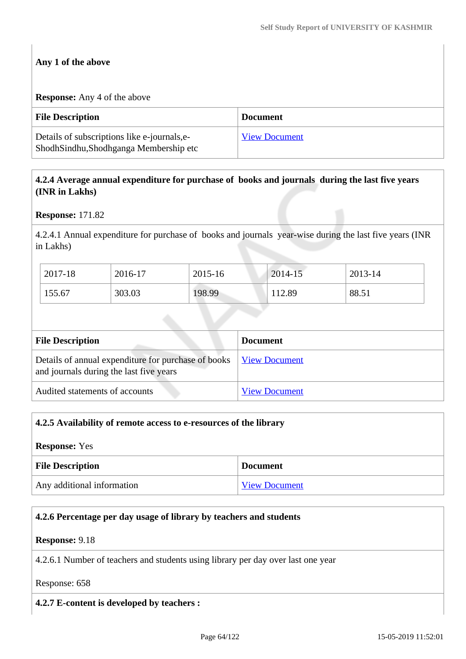## **Any 1 of the above**

#### **Response:** Any 4 of the above

| <b>File Description</b>                                                                 | <b>Document</b>      |
|-----------------------------------------------------------------------------------------|----------------------|
| Details of subscriptions like e-journals, e-<br>Shodh Sindhu, Shodhganga Membership etc | <b>View Document</b> |

## **4.2.4 Average annual expenditure for purchase of books and journals during the last five years (INR in Lakhs)**

#### **Response:** 171.82

4.2.4.1 Annual expenditure for purchase of books and journals year-wise during the last five years (INR in Lakhs)

| 2017-18 | 2016-17 | 2015-16 | 2014-15 | 2013-14 |
|---------|---------|---------|---------|---------|
| 155.67  | 303.03  | 198.99  | 112.89  | 88.51   |

| <b>File Description</b>                                                                        | <b>Document</b>      |
|------------------------------------------------------------------------------------------------|----------------------|
| Details of annual expenditure for purchase of books<br>and journals during the last five years | <b>View Document</b> |
| Audited statements of accounts                                                                 | <b>View Document</b> |

| 4.2.5 Availability of remote access to e-resources of the library |  |
|-------------------------------------------------------------------|--|
| <b>Response:</b> Yes                                              |  |
| <b>File Description</b><br><b>Document</b>                        |  |
| Any additional information<br><b>View Document</b>                |  |

# **4.2.6 Percentage per day usage of library by teachers and students**

#### **Response:** 9.18

4.2.6.1 Number of teachers and students using library per day over last one year

#### Response: 658

## **4.2.7 E-content is developed by teachers :**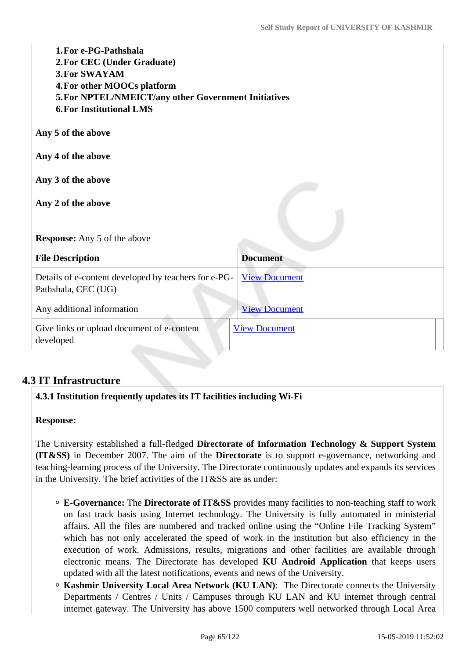| 1. For e-PG-Pathshala<br>2. For CEC (Under Graduate)<br><b>3. For SWAYAM</b><br>4. For other MOOCs platform<br>5. For NPTEL/NMEICT/any other Government Initiatives<br><b>6. For Institutional LMS</b> |                      |
|--------------------------------------------------------------------------------------------------------------------------------------------------------------------------------------------------------|----------------------|
| Any 5 of the above                                                                                                                                                                                     |                      |
| Any 4 of the above                                                                                                                                                                                     |                      |
| Any 3 of the above<br>Any 2 of the above                                                                                                                                                               |                      |
| <b>Response:</b> Any 5 of the above                                                                                                                                                                    |                      |
| <b>File Description</b>                                                                                                                                                                                | <b>Document</b>      |
| Details of e-content developed by teachers for e-PG-<br>Pathshala, CEC (UG)                                                                                                                            | <b>View Document</b> |
| Any additional information                                                                                                                                                                             | <b>View Document</b> |
| Give links or upload document of e-content<br>developed                                                                                                                                                | <b>View Document</b> |
|                                                                                                                                                                                                        |                      |

# **4.3 IT Infrastructure**

## **4.3.1 Institution frequently updates its IT facilities including Wi-Fi**

#### **Response:**

The University established a full-fledged **Directorate of Information Technology & Support System (IT&SS)** in December 2007. The aim of the **Directorate** is to support e-governance, networking and teaching-learning process of the University. The Directorate continuously updates and expands its services in the University. The brief activities of the IT&SS are as under:

- **E-Governance:** The **Directorate of IT&SS** provides many facilities to non-teaching staff to work on fast track basis using Internet technology. The University is fully automated in ministerial affairs. All the files are numbered and tracked online using the "Online File Tracking System" which has not only accelerated the speed of work in the institution but also efficiency in the execution of work. Admissions, results, migrations and other facilities are available through electronic means. The Directorate has developed **KU Android Application** that keeps users updated with all the latest notifications, events and news of the University.
- **Kashmir University Local Area Network (KU LAN)**: The Directorate connects the University Departments / Centres / Units / Campuses through KU LAN and KU internet through central internet gateway. The University has above 1500 computers well networked through Local Area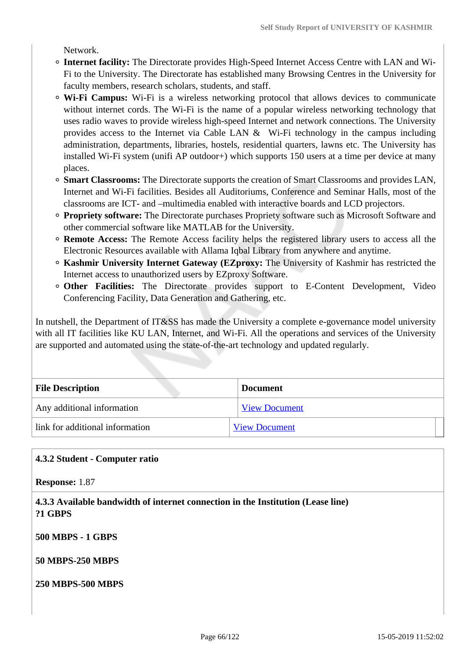Network.

- **Internet facility:** The Directorate provides High-Speed Internet Access Centre with LAN and Wi-Fi to the University. The Directorate has established many Browsing Centres in the University for faculty members, research scholars, students, and staff.
- **Wi-Fi Campus:** Wi-Fi is a wireless networking protocol that allows devices to communicate without internet cords. The Wi-Fi is the name of a popular wireless networking technology that uses radio waves to provide wireless high-speed Internet and network connections. The University provides access to the Internet via Cable LAN  $\&$  Wi-Fi technology in the campus including administration, departments, libraries, hostels, residential quarters, lawns etc. The University has installed Wi-Fi system (unifi AP outdoor+) which supports 150 users at a time per device at many places.
- **Smart Classrooms:** The Directorate supports the creation of Smart Classrooms and provides LAN, Internet and Wi-Fi facilities. Besides all Auditoriums, Conference and Seminar Halls, most of the classrooms are ICT- and –multimedia enabled with interactive boards and LCD projectors.
- **Propriety software:** The Directorate purchases Propriety software such as Microsoft Software and other commercial software like MATLAB for the University.
- **Remote Access:** The Remote Access facility helps the registered library users to access all the Electronic Resources available with Allama Iqbal Library from anywhere and anytime.
- **Kashmir University Internet Gateway (EZproxy:** The University of Kashmir has restricted the Internet access to unauthorized users by EZproxy Software.
- **Other Facilities:** The Directorate provides support to E-Content Development, Video Conferencing Facility, Data Generation and Gathering, etc.

In nutshell, the Department of IT&SS has made the University a complete e-governance model university with all IT facilities like KU LAN, Internet, and Wi-Fi. All the operations and services of the University are supported and automated using the state-of-the-art technology and updated regularly.

| <b>File Description</b>         | <b>Document</b>      |
|---------------------------------|----------------------|
| Any additional information      | <b>View Document</b> |
| link for additional information | <b>View Document</b> |

## **4.3.2 Student - Computer ratio**

**Response:** 1.87

 **4.3.3 Available bandwidth of internet connection in the Institution (Lease line) ?1 GBPS**

**500 MBPS - 1 GBPS**

**50 MBPS-250 MBPS**

**250 MBPS-500 MBPS**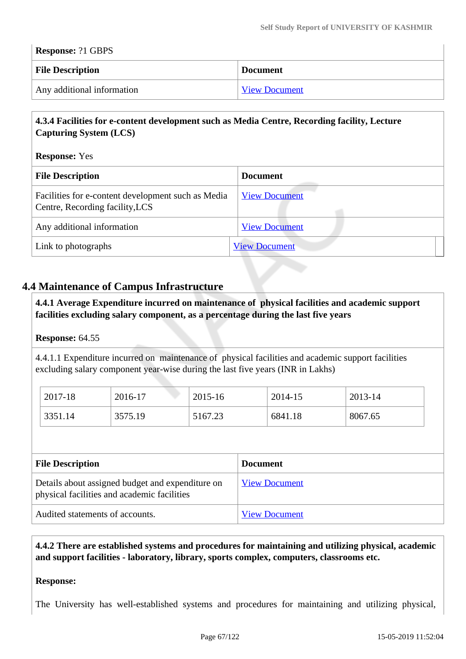| <b>Response: ?1 GBPS</b>   |                      |  |
|----------------------------|----------------------|--|
| <b>File Description</b>    | <b>Document</b>      |  |
| Any additional information | <b>View Document</b> |  |

## **4.3.4 Facilities for e-content development such as Media Centre, Recording facility, Lecture Capturing System (LCS)**

#### **Response:** Yes

| <b>File Description</b>                                                               | <b>Document</b>      |
|---------------------------------------------------------------------------------------|----------------------|
| Facilities for e-content development such as Media<br>Centre, Recording facility, LCS | <b>View Document</b> |
| Any additional information                                                            | <b>View Document</b> |
| Link to photographs                                                                   | <b>View Document</b> |

# **4.4 Maintenance of Campus Infrastructure**

 **4.4.1 Average Expenditure incurred on maintenance of physical facilities and academic support facilities excluding salary component, as a percentage during the last five years**

#### **Response:** 64.55

4.4.1.1 Expenditure incurred on maintenance of physical facilities and academic support facilities excluding salary component year-wise during the last five years (INR in Lakhs)

| 2017-18 | 2016-17 | 2015-16 | 2014-15 | 2013-14 |
|---------|---------|---------|---------|---------|
| 3351.14 | 3575.19 | 5167.23 | 6841.18 | 8067.65 |

| <b>File Description</b>                                                                         | <b>Document</b>      |
|-------------------------------------------------------------------------------------------------|----------------------|
| Details about assigned budget and expenditure on<br>physical facilities and academic facilities | <b>View Document</b> |
| Audited statements of accounts.                                                                 | <b>View Document</b> |

## **4.4.2 There are established systems and procedures for maintaining and utilizing physical, academic and support facilities - laboratory, library, sports complex, computers, classrooms etc.**

#### **Response:**

The University has well-established systems and procedures for maintaining and utilizing physical,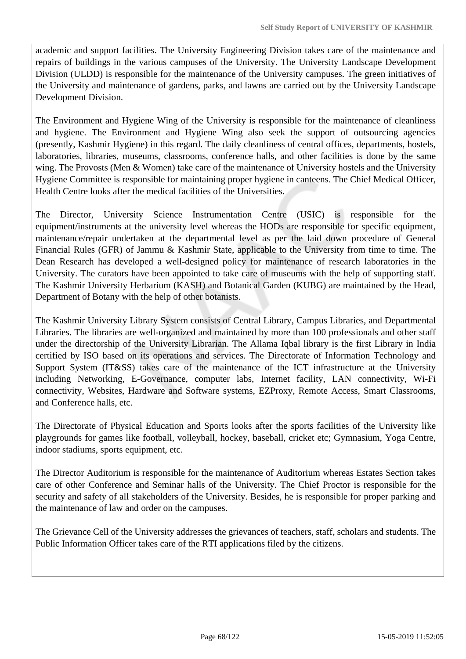academic and support facilities. The University Engineering Division takes care of the maintenance and repairs of buildings in the various campuses of the University. The University Landscape Development Division (ULDD) is responsible for the maintenance of the University campuses. The green initiatives of the University and maintenance of gardens, parks, and lawns are carried out by the University Landscape Development Division.

The Environment and Hygiene Wing of the University is responsible for the maintenance of cleanliness and hygiene. The Environment and Hygiene Wing also seek the support of outsourcing agencies (presently, Kashmir Hygiene) in this regard. The daily cleanliness of central offices, departments, hostels, laboratories, libraries, museums, classrooms, conference halls, and other facilities is done by the same wing. The Provosts (Men & Women) take care of the maintenance of University hostels and the University Hygiene Committee is responsible for maintaining proper hygiene in canteens. The Chief Medical Officer, Health Centre looks after the medical facilities of the Universities.

The Director, University Science Instrumentation Centre (USIC) is responsible for the equipment/instruments at the university level whereas the HODs are responsible for specific equipment, maintenance/repair undertaken at the departmental level as per the laid down procedure of General Financial Rules (GFR) of Jammu & Kashmir State, applicable to the University from time to time. The Dean Research has developed a well-designed policy for maintenance of research laboratories in the University. The curators have been appointed to take care of museums with the help of supporting staff. The Kashmir University Herbarium (KASH) and Botanical Garden (KUBG) are maintained by the Head, Department of Botany with the help of other botanists.

The Kashmir University Library System consists of Central Library, Campus Libraries, and Departmental Libraries. The libraries are well-organized and maintained by more than 100 professionals and other staff under the directorship of the University Librarian. The Allama Iqbal library is the first Library in India certified by ISO based on its operations and services. The Directorate of Information Technology and Support System (IT&SS) takes care of the maintenance of the ICT infrastructure at the University including Networking, E-Governance, computer labs, Internet facility, LAN connectivity, Wi-Fi connectivity, Websites, Hardware and Software systems, EZProxy, Remote Access, Smart Classrooms, and Conference halls, etc.

The Directorate of Physical Education and Sports looks after the sports facilities of the University like playgrounds for games like football, volleyball, hockey, baseball, cricket etc; Gymnasium, Yoga Centre, indoor stadiums, sports equipment, etc.

The Director Auditorium is responsible for the maintenance of Auditorium whereas Estates Section takes care of other Conference and Seminar halls of the University. The Chief Proctor is responsible for the security and safety of all stakeholders of the University. Besides, he is responsible for proper parking and the maintenance of law and order on the campuses.

The Grievance Cell of the University addresses the grievances of teachers, staff, scholars and students. The Public Information Officer takes care of the RTI applications filed by the citizens.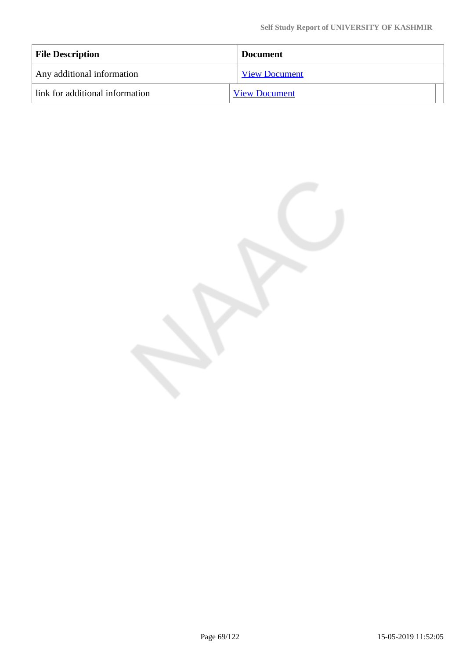| <b>File Description</b>         | <b>Document</b>      |
|---------------------------------|----------------------|
| Any additional information      | <b>View Document</b> |
| link for additional information | <b>View Document</b> |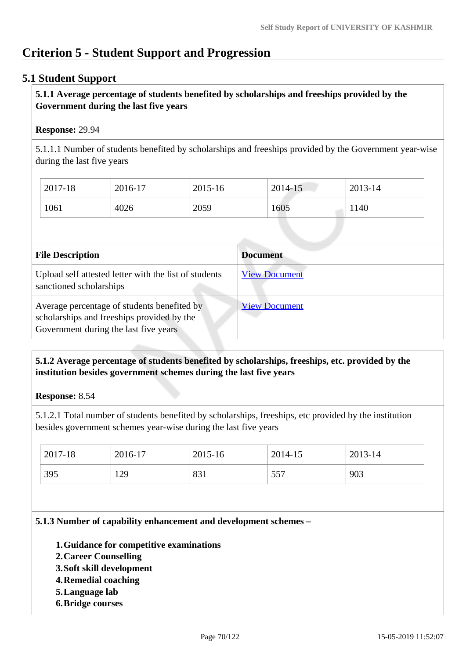# **Criterion 5 - Student Support and Progression**

# **5.1 Student Support**

## **5.1.1 Average percentage of students benefited by scholarships and freeships provided by the Government during the last five years**

## **Response:** 29.94

5.1.1.1 Number of students benefited by scholarships and freeships provided by the Government year-wise during the last five years

| 2017-18 | 2016-17 | 2015-16 | 2014-15 | 2013-14 |
|---------|---------|---------|---------|---------|
| 1061    | 4026    | 2059    | 1605    | 1140    |

| <b>File Description</b>                                                                                                            | <b>Document</b>      |
|------------------------------------------------------------------------------------------------------------------------------------|----------------------|
| Upload self attested letter with the list of students<br>sanctioned scholarships                                                   | <b>View Document</b> |
| Average percentage of students benefited by<br>scholarships and freeships provided by the<br>Government during the last five years | <b>View Document</b> |

# **5.1.2 Average percentage of students benefited by scholarships, freeships, etc. provided by the institution besides government schemes during the last five years**

## **Response:** 8.54

5.1.2.1 Total number of students benefited by scholarships, freeships, etc provided by the institution besides government schemes year-wise during the last five years

| 2017-18 | 2016-17 | 2015-16 | 2014-15 | 2013-14 |
|---------|---------|---------|---------|---------|
| 395     | 129     | 831     | 557     | 903     |

#### **5.1.3 Number of capability enhancement and development schemes –**

- **1.Guidance for competitive examinations**
- **2.Career Counselling**
- **3.Soft skill development**
- **4.Remedial coaching**
- **5.Language lab**
- **6.Bridge courses**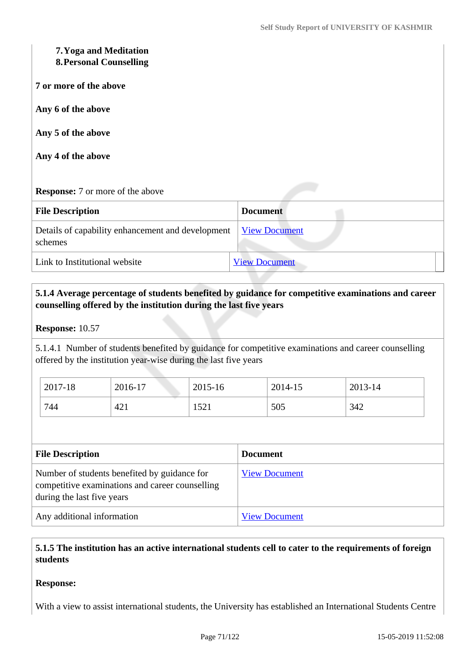# **7.Yoga and Meditation**

## **8.Personal Counselling**

**7 or more of the above**

**Any 6 of the above**

**Any 5 of the above**

**Any 4 of the above**

## **Response:** 7 or more of the above

| <b>File Description</b>                                      | <b>Document</b>      |
|--------------------------------------------------------------|----------------------|
| Details of capability enhancement and development<br>schemes | <b>View Document</b> |
| Link to Institutional website                                | <b>View Document</b> |

# **5.1.4 Average percentage of students benefited by guidance for competitive examinations and career counselling offered by the institution during the last five years**

### **Response:** 10.57

5.1.4.1 Number of students benefited by guidance for competitive examinations and career counselling offered by the institution year-wise during the last five years

| 2017-18 | 2016-17 | 2015-16      | 2014-15 | 2013-14 |
|---------|---------|--------------|---------|---------|
| 744     | 421     | 1501<br>1941 | 505     | 342     |

| <b>File Description</b>                                                                                                       | <b>Document</b>      |  |
|-------------------------------------------------------------------------------------------------------------------------------|----------------------|--|
| Number of students benefited by guidance for<br>competitive examinations and career counselling<br>during the last five years | <b>View Document</b> |  |
| Any additional information                                                                                                    | <b>View Document</b> |  |

## **5.1.5 The institution has an active international students cell to cater to the requirements of foreign students**

## **Response:**

With a view to assist international students, the University has established an International Students Centre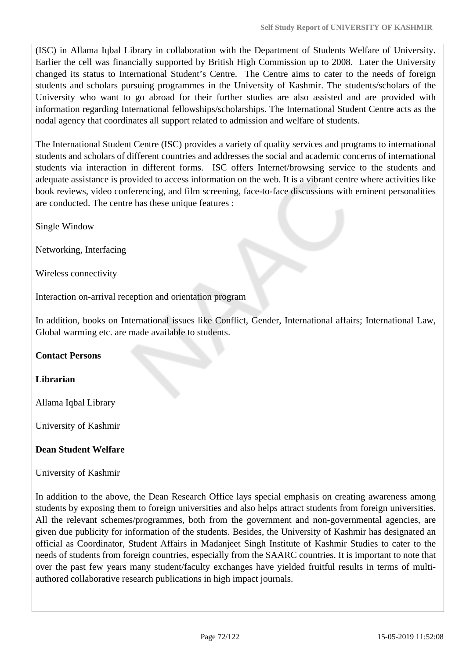(ISC) in Allama Iqbal Library in collaboration with the Department of Students Welfare of University. Earlier the cell was financially supported by British High Commission up to 2008. Later the University changed its status to International Student's Centre. The Centre aims to cater to the needs of foreign students and scholars pursuing programmes in the University of Kashmir. The students/scholars of the University who want to go abroad for their further studies are also assisted and are provided with information regarding International fellowships/scholarships. The International Student Centre acts as the nodal agency that coordinates all support related to admission and welfare of students.

The International Student Centre (ISC) provides a variety of quality services and programs to international students and scholars of different countries and addresses the social and academic concerns of international students via interaction in different forms. ISC offers Internet/browsing service to the students and adequate assistance is provided to access information on the web. It is a vibrant centre where activities like book reviews, video conferencing, and film screening, face-to-face discussions with eminent personalities are conducted. The centre has these unique features :

Single Window

Networking, Interfacing

Wireless connectivity

Interaction on-arrival reception and orientation program

In addition, books on International issues like Conflict, Gender, International affairs; International Law, Global warming etc. are made available to students.

## **Contact Persons**

## **Librarian**

Allama Iqbal Library

University of Kashmir

## **Dean Student Welfare**

University of Kashmir

In addition to the above, the Dean Research Office lays special emphasis on creating awareness among students by exposing them to foreign universities and also helps attract students from foreign universities. All the relevant schemes/programmes, both from the government and non-governmental agencies, are given due publicity for information of the students. Besides, the University of Kashmir has designated an official as Coordinator, Student Affairs in Madanjeet Singh Institute of Kashmir Studies to cater to the needs of students from foreign countries, especially from the SAARC countries. It is important to note that over the past few years many student/faculty exchanges have yielded fruitful results in terms of multiauthored collaborative research publications in high impact journals.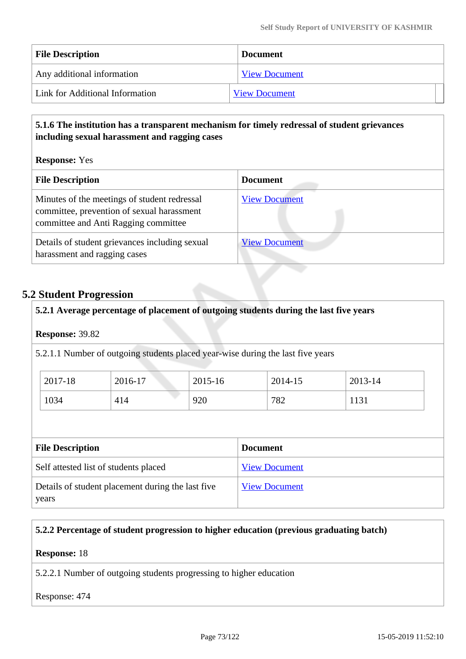| <b>File Description</b>         | <b>Document</b>      |  |
|---------------------------------|----------------------|--|
| Any additional information      | <b>View Document</b> |  |
| Link for Additional Information | <b>View Document</b> |  |

### **5.1.6 The institution has a transparent mechanism for timely redressal of student grievances including sexual harassment and ragging cases**

**Response:** Yes

| <b>File Description</b>                                                                                                            | <b>Document</b>      |
|------------------------------------------------------------------------------------------------------------------------------------|----------------------|
| Minutes of the meetings of student redressal<br>committee, prevention of sexual harassment<br>committee and Anti Ragging committee | <b>View Document</b> |
| Details of student grievances including sexual<br>harassment and ragging cases                                                     | <b>View Document</b> |

### **5.2 Student Progression**

# **5.2.1 Average percentage of placement of outgoing students during the last five years**

**Response:** 39.82

5.2.1.1 Number of outgoing students placed year-wise during the last five years

| 2017-18 | 2016-17 | 2015-16 | 2014-15 | 2013-14 |
|---------|---------|---------|---------|---------|
| 1034    | 414     | 920     | 782     | 1151    |

| <b>File Description</b>                                    | <b>Document</b>      |
|------------------------------------------------------------|----------------------|
| Self attested list of students placed                      | <b>View Document</b> |
| Details of student placement during the last five<br>years | <b>View Document</b> |

### **5.2.2 Percentage of student progression to higher education (previous graduating batch)**

#### **Response:** 18

5.2.2.1 Number of outgoing students progressing to higher education

#### Response: 474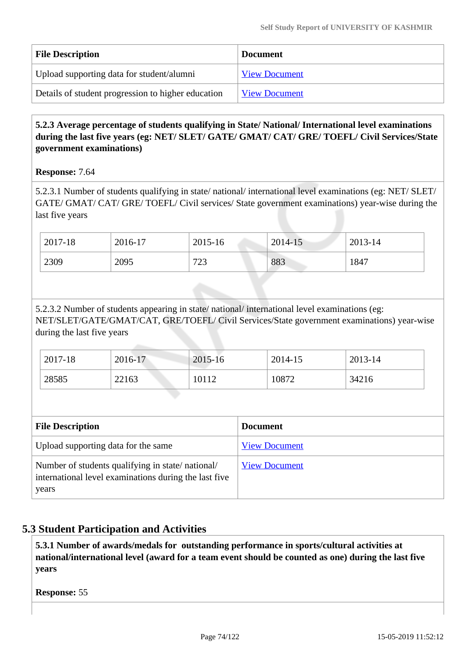| <b>File Description</b>                            | <b>Document</b>      |
|----------------------------------------------------|----------------------|
| Upload supporting data for student/alumni          | <b>View Document</b> |
| Details of student progression to higher education | <b>View Document</b> |

## **5.2.3 Average percentage of students qualifying in State/ National/ International level examinations during the last five years (eg: NET/ SLET/ GATE/ GMAT/ CAT/ GRE/ TOEFL/ Civil Services/State government examinations)**

### **Response:** 7.64

5.2.3.1 Number of students qualifying in state/ national/ international level examinations (eg: NET/ SLET/ GATE/ GMAT/ CAT/ GRE/ TOEFL/ Civil services/ State government examinations) year-wise during the last five years

| 2017-18 | 2016-17 | 2015-16   | 2014-15 | 2013-14 |
|---------|---------|-----------|---------|---------|
| 2309    | 2095    | 723<br>25 | 883     | 1847    |

5.2.3.2 Number of students appearing in state/ national/ international level examinations (eg: NET/SLET/GATE/GMAT/CAT, GRE/TOEFL/ Civil Services/State government examinations) year-wise during the last five years

| 2017-18 | 2016-17 | $2015 - 16$ | 2014-15 | 2013-14 |
|---------|---------|-------------|---------|---------|
| 28585   | 22163   | 10112       | 10872   | 34216   |

| <b>File Description</b>                                                                                            | <b>Document</b>      |
|--------------------------------------------------------------------------------------------------------------------|----------------------|
| Upload supporting data for the same                                                                                | <b>View Document</b> |
| Number of students qualifying in state/national/<br>international level examinations during the last five<br>years | <b>View Document</b> |

# **5.3 Student Participation and Activities**

 **5.3.1 Number of awards/medals for outstanding performance in sports/cultural activities at national/international level (award for a team event should be counted as one) during the last five years**

**Response:** 55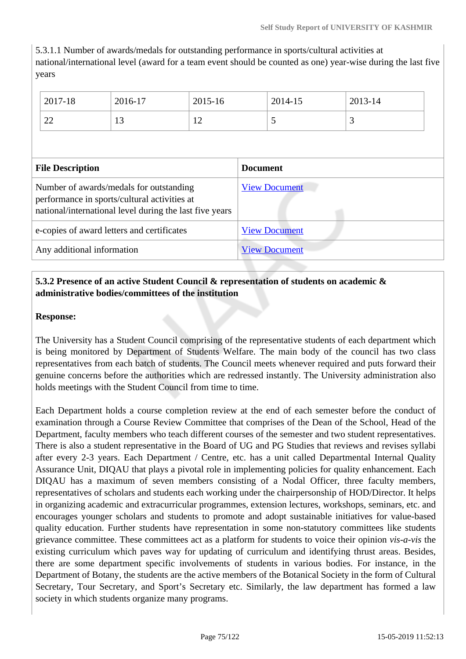5.3.1.1 Number of awards/medals for outstanding performance in sports/cultural activities at national/international level (award for a team event should be counted as one) year-wise during the last five years

|                                                                                                                                                    | 2017-18 | 2016-17              | 2015-16              |  | 2014-15 | 2013-14 |
|----------------------------------------------------------------------------------------------------------------------------------------------------|---------|----------------------|----------------------|--|---------|---------|
|                                                                                                                                                    | 22      | 13                   | 12                   |  | 5       | 3       |
|                                                                                                                                                    |         |                      |                      |  |         |         |
| <b>File Description</b>                                                                                                                            |         |                      | <b>Document</b>      |  |         |         |
| Number of awards/medals for outstanding<br>performance in sports/cultural activities at<br>national/international level during the last five years |         |                      | <b>View Document</b> |  |         |         |
| e-copies of award letters and certificates                                                                                                         |         | <b>View Document</b> |                      |  |         |         |
| Any additional information                                                                                                                         |         |                      | <b>View Document</b> |  |         |         |

### **5.3.2 Presence of an active Student Council & representation of students on academic & administrative bodies/committees of the institution**

#### **Response:**

The University has a Student Council comprising of the representative students of each department which is being monitored by Department of Students Welfare. The main body of the council has two class representatives from each batch of students. The Council meets whenever required and puts forward their genuine concerns before the authorities which are redressed instantly. The University administration also holds meetings with the Student Council from time to time.

Each Department holds a course completion review at the end of each semester before the conduct of examination through a Course Review Committee that comprises of the Dean of the School, Head of the Department, faculty members who teach different courses of the semester and two student representatives. There is also a student representative in the Board of UG and PG Studies that reviews and revises syllabi after every 2-3 years. Each Department / Centre, etc. has a unit called Departmental Internal Quality Assurance Unit, DIQAU that plays a pivotal role in implementing policies for quality enhancement. Each DIQAU has a maximum of seven members consisting of a Nodal Officer, three faculty members, representatives of scholars and students each working under the chairpersonship of HOD/Director. It helps in organizing academic and extracurricular programmes, extension lectures, workshops, seminars, etc. and encourages younger scholars and students to promote and adopt sustainable initiatives for value-based quality education. Further students have representation in some non-statutory committees like students grievance committee. These committees act as a platform for students to voice their opinion *vis-a-vis* the existing curriculum which paves way for updating of curriculum and identifying thrust areas. Besides, there are some department specific involvements of students in various bodies. For instance, in the Department of Botany, the students are the active members of the Botanical Society in the form of Cultural Secretary, Tour Secretary, and Sport's Secretary etc. Similarly, the law department has formed a law society in which students organize many programs.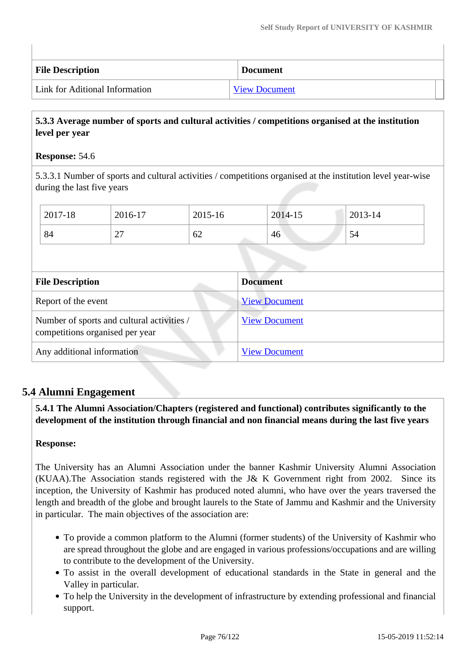| <b>File Description</b>        | <b>Document</b>      |
|--------------------------------|----------------------|
| Link for Aditional Information | <b>View Document</b> |

### **5.3.3 Average number of sports and cultural activities / competitions organised at the institution level per year**

#### **Response:** 54.6

5.3.3.1 Number of sports and cultural activities / competitions organised at the institution level year-wise during the last five years

|                                                                               | 2017-18 | 2016-17         | 2015-16              |                      | 2014-15 | 2013-14 |
|-------------------------------------------------------------------------------|---------|-----------------|----------------------|----------------------|---------|---------|
|                                                                               | 84      | 27              | 62                   |                      | 46      | 54      |
|                                                                               |         |                 |                      |                      |         |         |
| <b>File Description</b>                                                       |         | <b>Document</b> |                      |                      |         |         |
| Report of the event                                                           |         |                 | <b>View Document</b> |                      |         |         |
| Number of sports and cultural activities /<br>competitions organised per year |         |                 | <b>View Document</b> |                      |         |         |
| Any additional information                                                    |         |                 |                      | <b>View Document</b> |         |         |

# **5.4 Alumni Engagement**

 **5.4.1 The Alumni Association/Chapters (registered and functional) contributes significantly to the development of the institution through financial and non financial means during the last five years**

### **Response:**

The University has an Alumni Association under the banner Kashmir University Alumni Association (KUAA).The Association stands registered with the J& K Government right from 2002. Since its inception, the University of Kashmir has produced noted alumni, who have over the years traversed the length and breadth of the globe and brought laurels to the State of Jammu and Kashmir and the University in particular. The main objectives of the association are:

- To provide a common platform to the Alumni (former students) of the University of Kashmir who are spread throughout the globe and are engaged in various professions/occupations and are willing to contribute to the development of the University.
- To assist in the overall development of educational standards in the State in general and the Valley in particular.
- To help the University in the development of infrastructure by extending professional and financial support.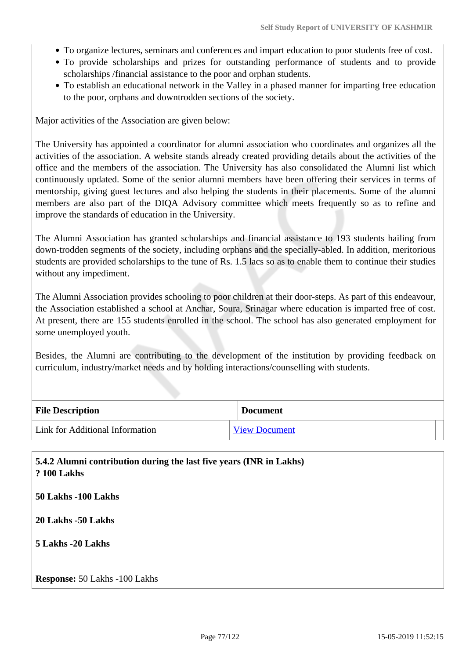- To organize lectures, seminars and conferences and impart education to poor students free of cost.
- To provide scholarships and prizes for outstanding performance of students and to provide scholarships /financial assistance to the poor and orphan students.
- To establish an educational network in the Valley in a phased manner for imparting free education to the poor, orphans and downtrodden sections of the society.

Major activities of the Association are given below:

The University has appointed a coordinator for alumni association who coordinates and organizes all the activities of the association. A website stands already created providing details about the activities of the office and the members of the association. The University has also consolidated the Alumni list which continuously updated. Some of the senior alumni members have been offering their services in terms of mentorship, giving guest lectures and also helping the students in their placements. Some of the alumni members are also part of the DIQA Advisory committee which meets frequently so as to refine and improve the standards of education in the University.

The Alumni Association has granted scholarships and financial assistance to 193 students hailing from down-trodden segments of the society, including orphans and the specially-abled. In addition, meritorious students are provided scholarships to the tune of Rs. 1.5 lacs so as to enable them to continue their studies without any impediment.

The Alumni Association provides schooling to poor children at their door-steps. As part of this endeavour, the Association established a school at Anchar, Soura, Srinagar where education is imparted free of cost. At present, there are 155 students enrolled in the school. The school has also generated employment for some unemployed youth.

Besides, the Alumni are contributing to the development of the institution by providing feedback on curriculum, industry/market needs and by holding interactions/counselling with students.

| <b>File Description</b>         | <b>Document</b>      |  |
|---------------------------------|----------------------|--|
| Link for Additional Information | <b>View Document</b> |  |

| 5.4.2 Alumni contribution during the last five years (INR in Lakhs)<br><b>? 100 Lakhs</b> |
|-------------------------------------------------------------------------------------------|
| 50 Lakhs -100 Lakhs                                                                       |
| 20 Lakhs -50 Lakhs                                                                        |
| 5 Lakhs -20 Lakhs                                                                         |
| <b>Response:</b> 50 Lakhs -100 Lakhs                                                      |
|                                                                                           |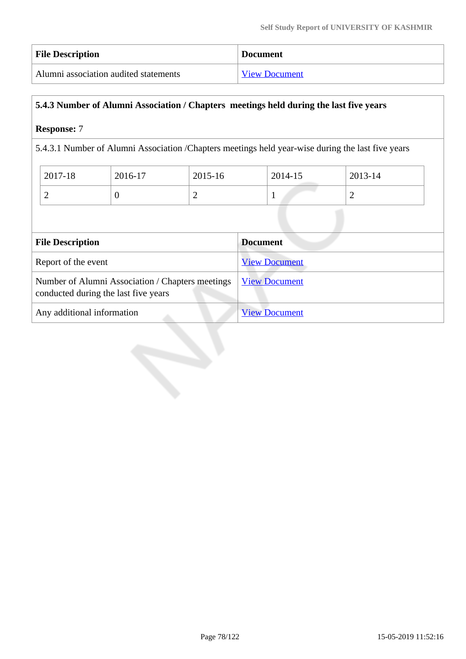| <b>File Description</b>               | <b>Document</b>      |
|---------------------------------------|----------------------|
| Alumni association audited statements | <b>View Document</b> |

## **5.4.3 Number of Alumni Association / Chapters meetings held during the last five years**

## **Response:** 7

5.4.3.1 Number of Alumni Association /Chapters meetings held year-wise during the last five years

| 2017-18 | 2016-17 | 2015-16 | 2014-15 | 2013-14 |
|---------|---------|---------|---------|---------|
| ∼       | ν       | ∽       |         | ∼       |

| <b>File Description</b>                                                                  | <b>Document</b>      |  |  |
|------------------------------------------------------------------------------------------|----------------------|--|--|
| Report of the event                                                                      | <b>View Document</b> |  |  |
| Number of Alumni Association / Chapters meetings<br>conducted during the last five years | <b>View Document</b> |  |  |
| Any additional information                                                               | <b>View Document</b> |  |  |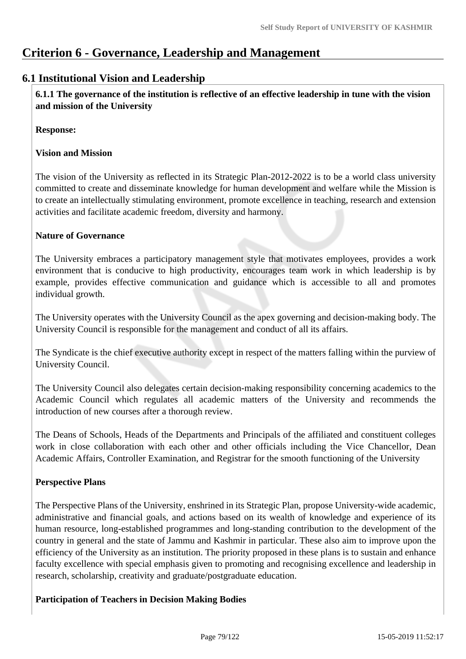# **Criterion 6 - Governance, Leadership and Management**

# **6.1 Institutional Vision and Leadership**

 **6.1.1 The governance of the institution is reflective of an effective leadership in tune with the vision and mission of the University**

**Response:** 

### **Vision and Mission**

The vision of the University as reflected in its Strategic Plan-2012-2022 is to be a world class university committed to create and disseminate knowledge for human development and welfare while the Mission is to create an intellectually stimulating environment, promote excellence in teaching, research and extension activities and facilitate academic freedom, diversity and harmony.

### **Nature of Governance**

The University embraces a participatory management style that motivates employees, provides a work environment that is conducive to high productivity, encourages team work in which leadership is by example, provides effective communication and guidance which is accessible to all and promotes individual growth.

The University operates with the University Council as the apex governing and decision-making body. The University Council is responsible for the management and conduct of all its affairs.

The Syndicate is the chief executive authority except in respect of the matters falling within the purview of University Council.

The University Council also delegates certain decision-making responsibility concerning academics to the Academic Council which regulates all academic matters of the University and recommends the introduction of new courses after a thorough review.

The Deans of Schools, Heads of the Departments and Principals of the affiliated and constituent colleges work in close collaboration with each other and other officials including the Vice Chancellor, Dean Academic Affairs, Controller Examination, and Registrar for the smooth functioning of the University

### **Perspective Plans**

The Perspective Plans of the University, enshrined in its Strategic Plan, propose University-wide academic, administrative and financial goals, and actions based on its wealth of knowledge and experience of its human resource, long-established programmes and long-standing contribution to the development of the country in general and the state of Jammu and Kashmir in particular. These also aim to improve upon the efficiency of the University as an institution. The priority proposed in these plans is to sustain and enhance faculty excellence with special emphasis given to promoting and recognising excellence and leadership in research, scholarship, creativity and graduate/postgraduate education.

### **Participation of Teachers in Decision Making Bodies**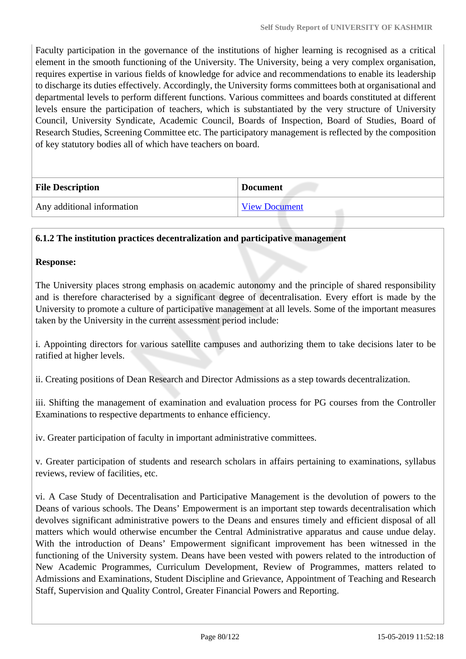Faculty participation in the governance of the institutions of higher learning is recognised as a critical element in the smooth functioning of the University. The University, being a very complex organisation, requires expertise in various fields of knowledge for advice and recommendations to enable its leadership to discharge its duties effectively. Accordingly, the University forms committees both at organisational and departmental levels to perform different functions. Various committees and boards constituted at different levels ensure the participation of teachers, which is substantiated by the very structure of University Council, University Syndicate, Academic Council, Boards of Inspection, Board of Studies, Board of Research Studies, Screening Committee etc. The participatory management is reflected by the composition of key statutory bodies all of which have teachers on board.

| <b>File Description</b>    | <b>Document</b>      |
|----------------------------|----------------------|
| Any additional information | <b>View Document</b> |

### **6.1.2 The institution practices decentralization and participative management**

#### **Response:**

The University places strong emphasis on academic autonomy and the principle of shared responsibility and is therefore characterised by a significant degree of decentralisation. Every effort is made by the University to promote a culture of participative management at all levels. Some of the important measures taken by the University in the current assessment period include:

i. Appointing directors for various satellite campuses and authorizing them to take decisions later to be ratified at higher levels.

ii. Creating positions of Dean Research and Director Admissions as a step towards decentralization.

iii. Shifting the management of examination and evaluation process for PG courses from the Controller Examinations to respective departments to enhance efficiency.

iv. Greater participation of faculty in important administrative committees.

v. Greater participation of students and research scholars in affairs pertaining to examinations, syllabus reviews, review of facilities, etc.

vi. A Case Study of Decentralisation and Participative Management is the devolution of powers to the Deans of various schools. The Deans' Empowerment is an important step towards decentralisation which devolves significant administrative powers to the Deans and ensures timely and efficient disposal of all matters which would otherwise encumber the Central Administrative apparatus and cause undue delay. With the introduction of Deans' Empowerment significant improvement has been witnessed in the functioning of the University system. Deans have been vested with powers related to the introduction of New Academic Programmes, Curriculum Development, Review of Programmes, matters related to Admissions and Examinations, Student Discipline and Grievance, Appointment of Teaching and Research Staff, Supervision and Quality Control, Greater Financial Powers and Reporting.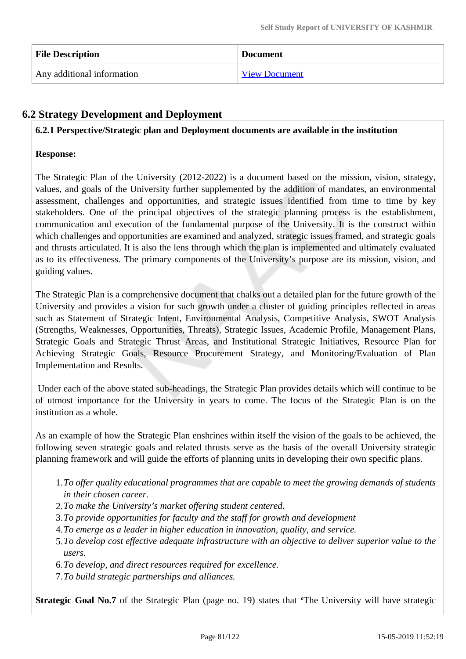| <b>File Description</b>    | <b>Document</b>      |
|----------------------------|----------------------|
| Any additional information | <b>View Document</b> |

# **6.2 Strategy Development and Deployment**

#### **6.2.1 Perspective/Strategic plan and Deployment documents are available in the institution**

#### **Response:**

The Strategic Plan of the University (2012-2022) is a document based on the mission, vision, strategy, values, and goals of the University further supplemented by the addition of mandates, an environmental assessment, challenges and opportunities, and strategic issues identified from time to time by key stakeholders. One of the principal objectives of the strategic planning process is the establishment, communication and execution of the fundamental purpose of the University. It is the construct within which challenges and opportunities are examined and analyzed, strategic issues framed, and strategic goals and thrusts articulated. It is also the lens through which the plan is implemented and ultimately evaluated as to its effectiveness. The primary components of the University's purpose are its mission, vision, and guiding values.

The Strategic Plan is a comprehensive document that chalks out a detailed plan for the future growth of the University and provides a vision for such growth under a cluster of guiding principles reflected in areas such as Statement of Strategic Intent, Environmental Analysis, Competitive Analysis, SWOT Analysis (Strengths, Weaknesses, Opportunities, Threats), Strategic Issues, Academic Profile, Management Plans, Strategic Goals and Strategic Thrust Areas, and Institutional Strategic Initiatives, Resource Plan for Achieving Strategic Goals, Resource Procurement Strategy, and Monitoring/Evaluation of Plan Implementation and Results.

 Under each of the above stated sub-headings, the Strategic Plan provides details which will continue to be of utmost importance for the University in years to come. The focus of the Strategic Plan is on the institution as a whole.

As an example of how the Strategic Plan enshrines within itself the vision of the goals to be achieved, the following seven strategic goals and related thrusts serve as the basis of the overall University strategic planning framework and will guide the efforts of planning units in developing their own specific plans.

- 1.*To offer quality educational programmes that are capable to meet the growing demands of students in their chosen career.*
- 2.*To make the University's market offering student centered.*
- 3.*To provide opportunities for faculty and the staff for growth and development*
- 4.*To emerge as a leader in higher education in innovation, quality, and service.*
- 5.*To develop cost effective adequate infrastructure with an objective to deliver superior value to the users.*
- 6.*To develop, and direct resources required for excellence.*
- 7.*To build strategic partnerships and alliances.*

**Strategic Goal No.7** of the Strategic Plan (page no. 19) states that **'**The University will have strategic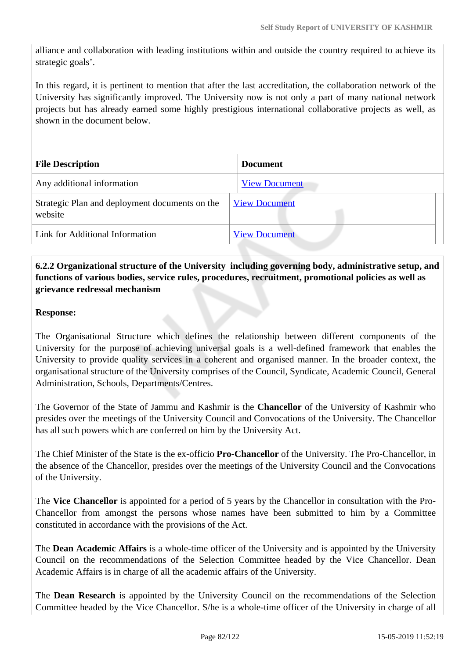alliance and collaboration with leading institutions within and outside the country required to achieve its strategic goals'.

In this regard, it is pertinent to mention that after the last accreditation, the collaboration network of the University has significantly improved. The University now is not only a part of many national network projects but has already earned some highly prestigious international collaborative projects as well, as shown in the document below.

| <b>File Description</b>                                   | <b>Document</b>      |  |  |  |
|-----------------------------------------------------------|----------------------|--|--|--|
| Any additional information                                | <b>View Document</b> |  |  |  |
| Strategic Plan and deployment documents on the<br>website | <b>View Document</b> |  |  |  |
| Link for Additional Information                           | <b>View Document</b> |  |  |  |

### **6.2.2 Organizational structure of the University including governing body, administrative setup, and functions of various bodies, service rules, procedures, recruitment, promotional policies as well as grievance redressal mechanism**

#### **Response:**

The Organisational Structure which defines the relationship between different components of the University for the purpose of achieving universal goals is a well-defined framework that enables the University to provide quality services in a coherent and organised manner. In the broader context, the organisational structure of the University comprises of the Council, Syndicate, Academic Council, General Administration, Schools, Departments/Centres.

The Governor of the State of Jammu and Kashmir is the **Chancellor** of the University of Kashmir who presides over the meetings of the University Council and Convocations of the University. The Chancellor has all such powers which are conferred on him by the University Act.

The Chief Minister of the State is the ex-officio **Pro-Chancellor** of the University. The Pro-Chancellor, in the absence of the Chancellor, presides over the meetings of the University Council and the Convocations of the University.

The **Vice Chancellor** is appointed for a period of 5 years by the Chancellor in consultation with the Pro-Chancellor from amongst the persons whose names have been submitted to him by a Committee constituted in accordance with the provisions of the Act.

The **Dean Academic Affairs** is a whole-time officer of the University and is appointed by the University Council on the recommendations of the Selection Committee headed by the Vice Chancellor. Dean Academic Affairs is in charge of all the academic affairs of the University.

The **Dean Research** is appointed by the University Council on the recommendations of the Selection Committee headed by the Vice Chancellor. S/he is a whole-time officer of the University in charge of all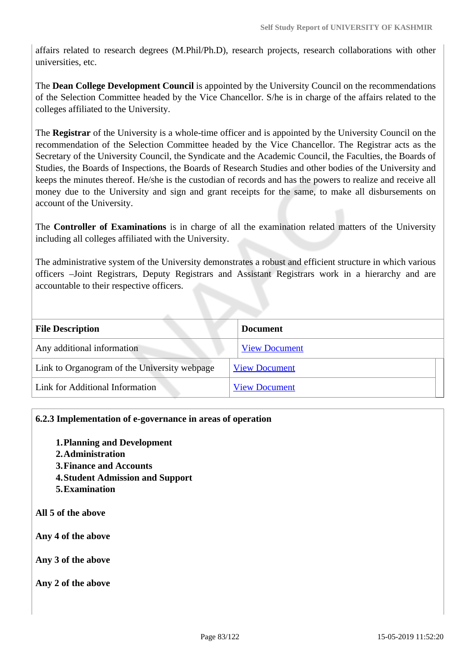affairs related to research degrees (M.Phil/Ph.D), research projects, research collaborations with other universities, etc.

The **Dean College Development Council** is appointed by the University Council on the recommendations of the Selection Committee headed by the Vice Chancellor. S/he is in charge of the affairs related to the colleges affiliated to the University.

The **Registrar** of the University is a whole-time officer and is appointed by the University Council on the recommendation of the Selection Committee headed by the Vice Chancellor. The Registrar acts as the Secretary of the University Council, the Syndicate and the Academic Council, the Faculties, the Boards of Studies, the Boards of Inspections, the Boards of Research Studies and other bodies of the University and keeps the minutes thereof. He/she is the custodian of records and has the powers to realize and receive all money due to the University and sign and grant receipts for the same, to make all disbursements on account of the University.

The **Controller of Examinations** is in charge of all the examination related matters of the University including all colleges affiliated with the University.

The administrative system of the University demonstrates a robust and efficient structure in which various officers –Joint Registrars, Deputy Registrars and Assistant Registrars work in a hierarchy and are accountable to their respective officers.

| <b>File Description</b>                      | <b>Document</b>      |  |
|----------------------------------------------|----------------------|--|
| Any additional information                   | <b>View Document</b> |  |
| Link to Organogram of the University webpage | <b>View Document</b> |  |
| Link for Additional Information              | <b>View Document</b> |  |

### **6.2.3 Implementation of e-governance in areas of operation**

- **1.Planning and Development**
- **2.Administration**
- **3.Finance and Accounts**
- **4.Student Admission and Support**
- **5.Examination**

**All 5 of the above**

**Any 4 of the above**

**Any 3 of the above**

**Any 2 of the above**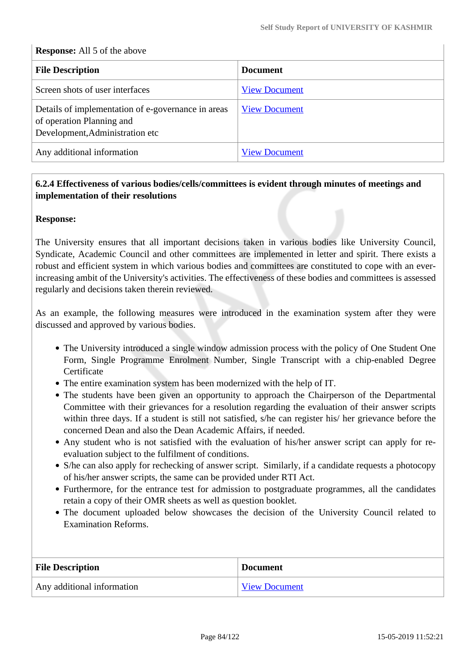#### **Response:** All 5 of the above

| <b>File Description</b>                                                                                            | <b>Document</b>      |  |
|--------------------------------------------------------------------------------------------------------------------|----------------------|--|
| Screen shots of user interfaces                                                                                    | <b>View Document</b> |  |
| Details of implementation of e-governance in areas<br>of operation Planning and<br>Development, Administration etc | <b>View Document</b> |  |
| Any additional information                                                                                         | <b>View Document</b> |  |

### **6.2.4 Effectiveness of various bodies/cells/committees is evident through minutes of meetings and implementation of their resolutions**

#### **Response:**

The University ensures that all important decisions taken in various bodies like University Council, Syndicate, Academic Council and other committees are implemented in letter and spirit. There exists a robust and efficient system in which various bodies and committees are constituted to cope with an everincreasing ambit of the University's activities. The effectiveness of these bodies and committees is assessed regularly and decisions taken therein reviewed.

As an example, the following measures were introduced in the examination system after they were discussed and approved by various bodies.

- The University introduced a single window admission process with the policy of One Student One Form, Single Programme Enrolment Number, Single Transcript with a chip-enabled Degree **Certificate**
- The entire examination system has been modernized with the help of IT.
- The students have been given an opportunity to approach the Chairperson of the Departmental Committee with their grievances for a resolution regarding the evaluation of their answer scripts within three days. If a student is still not satisfied, s/he can register his/ her grievance before the concerned Dean and also the Dean Academic Affairs, if needed.
- Any student who is not satisfied with the evaluation of his/her answer script can apply for reevaluation subject to the fulfilment of conditions.
- S/he can also apply for rechecking of answer script. Similarly, if a candidate requests a photocopy of his/her answer scripts, the same can be provided under RTI Act.
- Furthermore, for the entrance test for admission to postgraduate programmes, all the candidates retain a copy of their OMR sheets as well as question booklet.
- The document uploaded below showcases the decision of the University Council related to Examination Reforms.

| <b>File Description</b>    | <b>Document</b>      |
|----------------------------|----------------------|
| Any additional information | <b>View Document</b> |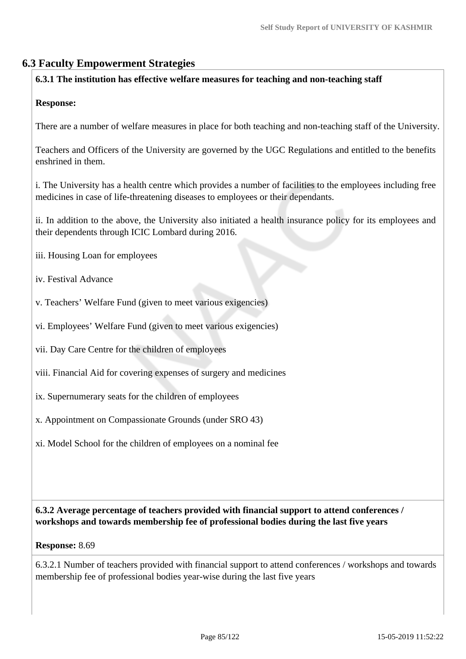# **6.3 Faculty Empowerment Strategies**

### **6.3.1 The institution has effective welfare measures for teaching and non-teaching staff**

### **Response:**

There are a number of welfare measures in place for both teaching and non-teaching staff of the University.

Teachers and Officers of the University are governed by the UGC Regulations and entitled to the benefits enshrined in them.

i. The University has a health centre which provides a number of facilities to the employees including free medicines in case of life-threatening diseases to employees or their dependants.

ii. In addition to the above, the University also initiated a health insurance policy for its employees and their dependents through ICIC Lombard during 2016.

- iii. Housing Loan for employees
- iv. Festival Advance
- v. Teachers' Welfare Fund (given to meet various exigencies)
- vi. Employees' Welfare Fund (given to meet various exigencies)
- vii. Day Care Centre for the children of employees
- viii. Financial Aid for covering expenses of surgery and medicines
- ix. Supernumerary seats for the children of employees
- x. Appointment on Compassionate Grounds (under SRO 43)
- xi. Model School for the children of employees on a nominal fee

 **6.3.2 Average percentage of teachers provided with financial support to attend conferences / workshops and towards membership fee of professional bodies during the last five years**

#### **Response:** 8.69

6.3.2.1 Number of teachers provided with financial support to attend conferences / workshops and towards membership fee of professional bodies year-wise during the last five years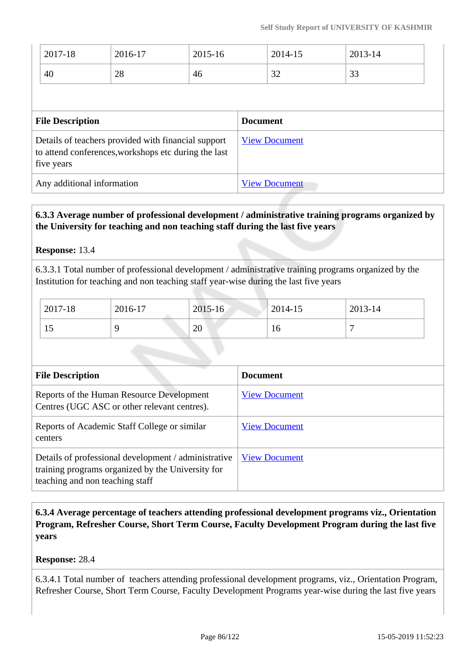| 2017-18                                                                                                                   | 2016-17 | $2015 - 16$ | 2014-15              | 2013-14 |
|---------------------------------------------------------------------------------------------------------------------------|---------|-------------|----------------------|---------|
| 40                                                                                                                        | 28      | 46          | 32                   | 33      |
| <b>File Description</b>                                                                                                   |         |             | <b>Document</b>      |         |
| Details of teachers provided with financial support<br>to attend conferences, workshops etc during the last<br>five years |         |             | <b>View Document</b> |         |
| Any additional information                                                                                                |         |             | <b>View Document</b> |         |

# **6.3.3 Average number of professional development / administrative training programs organized by the University for teaching and non teaching staff during the last five years**

### **Response:** 13.4

6.3.3.1 Total number of professional development / administrative training programs organized by the Institution for teaching and non teaching staff year-wise during the last five years

| 2017-18 | 2016-17 | $2015 - 16$ | 2014-15 | 2013-14 |
|---------|---------|-------------|---------|---------|
| 1J      |         | 20          | 16      |         |

| <b>File Description</b>                                                                                                                      | <b>Document</b>      |
|----------------------------------------------------------------------------------------------------------------------------------------------|----------------------|
| Reports of the Human Resource Development<br>Centres (UGC ASC or other relevant centres).                                                    | <b>View Document</b> |
| Reports of Academic Staff College or similar<br>centers                                                                                      | <b>View Document</b> |
| Details of professional development / administrative<br>training programs organized by the University for<br>teaching and non teaching staff | <b>View Document</b> |

 **6.3.4 Average percentage of teachers attending professional development programs viz., Orientation Program, Refresher Course, Short Term Course, Faculty Development Program during the last five years**

### **Response:** 28.4

6.3.4.1 Total number of teachers attending professional development programs, viz., Orientation Program, Refresher Course, Short Term Course, Faculty Development Programs year-wise during the last five years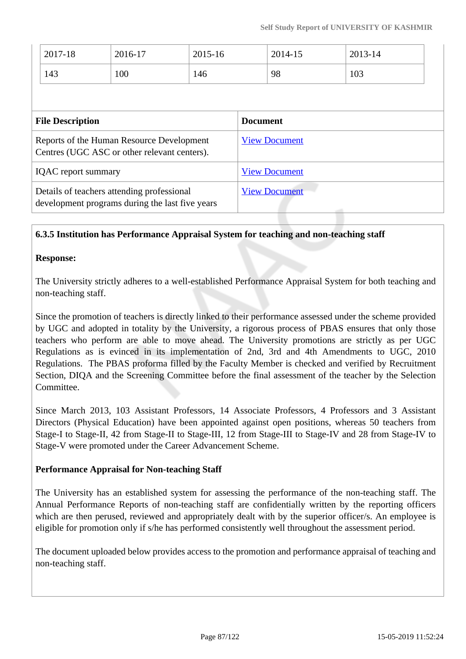|                                                                                               | 2017-18<br>143 | 2016-17<br>100       | 2015-16<br>146       |  | 2014-15<br>98 | 2013-14<br>103 |  |
|-----------------------------------------------------------------------------------------------|----------------|----------------------|----------------------|--|---------------|----------------|--|
| <b>File Description</b>                                                                       |                | <b>Document</b>      |                      |  |               |                |  |
| Reports of the Human Resource Development<br>Centres (UGC ASC or other relevant centers).     |                |                      | <b>View Document</b> |  |               |                |  |
| <b>IQAC</b> report summary                                                                    |                | <b>View Document</b> |                      |  |               |                |  |
| Details of teachers attending professional<br>development programs during the last five years |                |                      | <b>View Document</b> |  |               |                |  |

### **6.3.5 Institution has Performance Appraisal System for teaching and non-teaching staff**

### **Response:**

The University strictly adheres to a well-established Performance Appraisal System for both teaching and non-teaching staff.

Since the promotion of teachers is directly linked to their performance assessed under the scheme provided by UGC and adopted in totality by the University, a rigorous process of PBAS ensures that only those teachers who perform are able to move ahead. The University promotions are strictly as per UGC Regulations as is evinced in its implementation of 2nd, 3rd and 4th Amendments to UGC, 2010 Regulations. The PBAS proforma filled by the Faculty Member is checked and verified by Recruitment Section, DIQA and the Screening Committee before the final assessment of the teacher by the Selection Committee.

Since March 2013, 103 Assistant Professors, 14 Associate Professors, 4 Professors and 3 Assistant Directors (Physical Education) have been appointed against open positions, whereas 50 teachers from Stage-I to Stage-II, 42 from Stage-II to Stage-III, 12 from Stage-III to Stage-IV and 28 from Stage-IV to Stage-V were promoted under the Career Advancement Scheme.

### **Performance Appraisal for Non-teaching Staff**

The University has an established system for assessing the performance of the non-teaching staff. The Annual Performance Reports of non-teaching staff are confidentially written by the reporting officers which are then perused, reviewed and appropriately dealt with by the superior officer/s. An employee is eligible for promotion only if s/he has performed consistently well throughout the assessment period.

The document uploaded below provides access to the promotion and performance appraisal of teaching and non-teaching staff.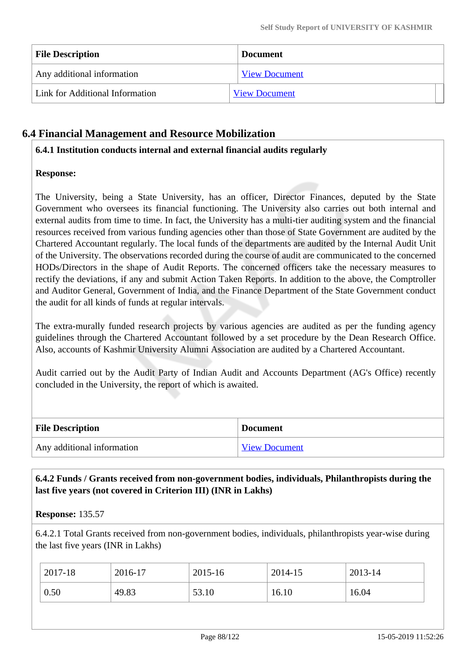| <b>File Description</b>         | <b>Document</b>      |
|---------------------------------|----------------------|
| Any additional information      | <b>View Document</b> |
| Link for Additional Information | <b>View Document</b> |

# **6.4 Financial Management and Resource Mobilization**

### **6.4.1 Institution conducts internal and external financial audits regularly**

### **Response:**

The University, being a State University, has an officer, Director Finances, deputed by the State Government who oversees its financial functioning. The University also carries out both internal and external audits from time to time. In fact, the University has a multi-tier auditing system and the financial resources received from various funding agencies other than those of State Government are audited by the Chartered Accountant regularly. The local funds of the departments are audited by the Internal Audit Unit of the University. The observations recorded during the course of audit are communicated to the concerned HODs/Directors in the shape of Audit Reports. The concerned officers take the necessary measures to rectify the deviations, if any and submit Action Taken Reports. In addition to the above, the Comptroller and Auditor General, Government of India, and the Finance Department of the State Government conduct the audit for all kinds of funds at regular intervals.

The extra-murally funded research projects by various agencies are audited as per the funding agency guidelines through the Chartered Accountant followed by a set procedure by the Dean Research Office. Also, accounts of Kashmir University Alumni Association are audited by a Chartered Accountant.

Audit carried out by the Audit Party of Indian Audit and Accounts Department (AG's Office) recently concluded in the University, the report of which is awaited.

| <b>File Description</b>    | <b>Document</b> |
|----------------------------|-----------------|
| Any additional information | View Document   |

### **6.4.2 Funds / Grants received from non-government bodies, individuals, Philanthropists during the last five years (not covered in Criterion III) (INR in Lakhs)**

### **Response:** 135.57

6.4.2.1 Total Grants received from non-government bodies, individuals, philanthropists year-wise during the last five years (INR in Lakhs)

| 2017-18 | 2016-17 | 2015-16 | 2014-15 | 2013-14 |
|---------|---------|---------|---------|---------|
| 0.50    | 49.83   | 53.10   | 16.10   | 16.04   |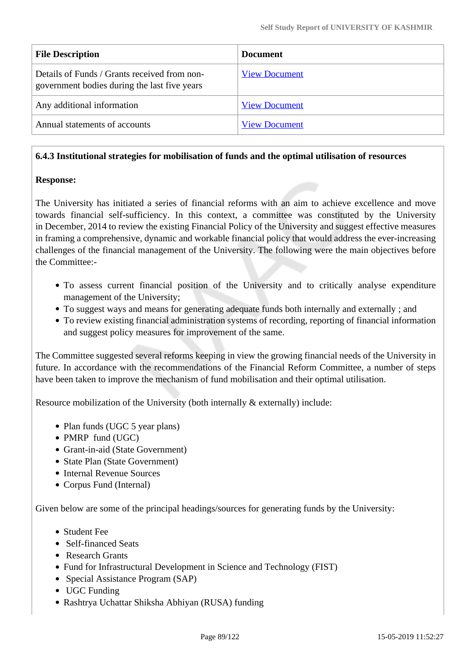| <b>File Description</b>                                                                      | <b>Document</b>      |
|----------------------------------------------------------------------------------------------|----------------------|
| Details of Funds / Grants received from non-<br>government bodies during the last five years | <b>View Document</b> |
| Any additional information                                                                   | <b>View Document</b> |
| Annual statements of accounts                                                                | <b>View Document</b> |

### **6.4.3 Institutional strategies for mobilisation of funds and the optimal utilisation of resources**

### **Response:**

The University has initiated a series of financial reforms with an aim to achieve excellence and move towards financial self-sufficiency. In this context, a committee was constituted by the University in December, 2014 to review the existing Financial Policy of the University and suggest effective measures in framing a comprehensive, dynamic and workable financial policy that would address the ever-increasing challenges of the financial management of the University. The following were the main objectives before the Committee:-

- To assess current financial position of the University and to critically analyse expenditure management of the University;
- To suggest ways and means for generating adequate funds both internally and externally ; and
- To review existing financial administration systems of recording, reporting of financial information and suggest policy measures for improvement of the same.

The Committee suggested several reforms keeping in view the growing financial needs of the University in future. In accordance with the recommendations of the Financial Reform Committee, a number of steps have been taken to improve the mechanism of fund mobilisation and their optimal utilisation.

Resource mobilization of the University (both internally & externally) include:

- Plan funds (UGC 5 year plans)
- PMRP fund (UGC)
- Grant-in-aid (State Government)
- State Plan (State Government)
- Internal Revenue Sources
- Corpus Fund (Internal)

Given below are some of the principal headings/sources for generating funds by the University:

- Student Fee
- Self-financed Seats
- Research Grants
- Fund for Infrastructural Development in Science and Technology (FIST)
- Special Assistance Program (SAP)
- UGC Funding
- Rashtrya Uchattar Shiksha Abhiyan (RUSA) funding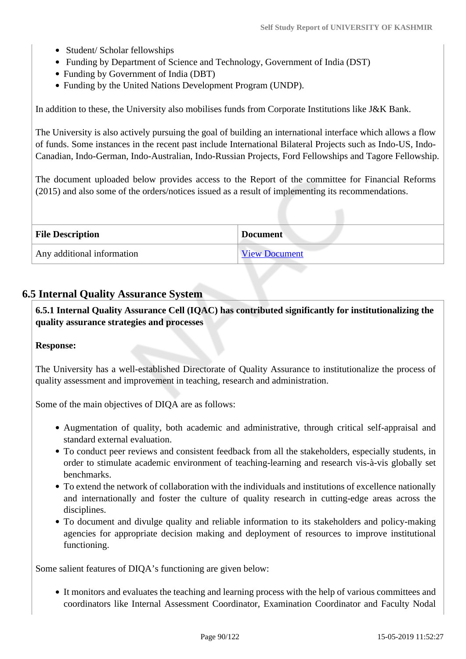- Student/ Scholar fellowships
- Funding by Department of Science and Technology, Government of India (DST)
- Funding by Government of India (DBT)
- Funding by the United Nations Development Program (UNDP).

In addition to these, the University also mobilises funds from Corporate Institutions like J&K Bank.

The University is also actively pursuing the goal of building an international interface which allows a flow of funds. Some instances in the recent past include International Bilateral Projects such as Indo-US, Indo-Canadian, Indo-German, Indo-Australian, Indo-Russian Projects, Ford Fellowships and Tagore Fellowship.

The document uploaded below provides access to the Report of the committee for Financial Reforms (2015) and also some of the orders/notices issued as a result of implementing its recommendations.

| <b>File Description</b>    | <b>Document</b>      |
|----------------------------|----------------------|
| Any additional information | <b>View Document</b> |

### **6.5 Internal Quality Assurance System**

 **6.5.1 Internal Quality Assurance Cell (IQAC) has contributed significantly for institutionalizing the quality assurance strategies and processes**

#### **Response:**

The University has a well-established Directorate of Quality Assurance to institutionalize the process of quality assessment and improvement in teaching, research and administration.

Some of the main objectives of DIQA are as follows:

- Augmentation of quality, both academic and administrative, through critical self-appraisal and standard external evaluation.
- To conduct peer reviews and consistent feedback from all the stakeholders, especially students, in order to stimulate academic environment of teaching-learning and research vis-à-vis globally set benchmarks.
- To extend the network of collaboration with the individuals and institutions of excellence nationally and internationally and foster the culture of quality research in cutting-edge areas across the disciplines.
- To document and divulge quality and reliable information to its stakeholders and policy-making agencies for appropriate decision making and deployment of resources to improve institutional functioning.

Some salient features of DIQA's functioning are given below:

It monitors and evaluates the teaching and learning process with the help of various committees and coordinators like Internal Assessment Coordinator, Examination Coordinator and Faculty Nodal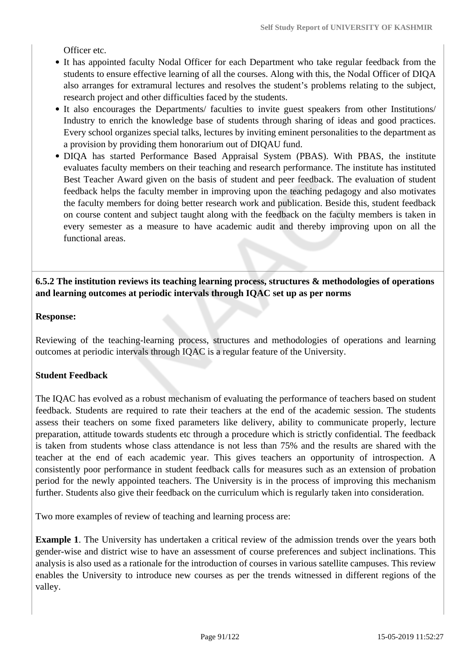Officer etc.

- It has appointed faculty Nodal Officer for each Department who take regular feedback from the students to ensure effective learning of all the courses. Along with this, the Nodal Officer of DIQA also arranges for extramural lectures and resolves the student's problems relating to the subject, research project and other difficulties faced by the students.
- It also encourages the Departments/ faculties to invite guest speakers from other Institutions/ Industry to enrich the knowledge base of students through sharing of ideas and good practices. Every school organizes special talks, lectures by inviting eminent personalities to the department as a provision by providing them honorarium out of DIQAU fund.
- DIQA has started Performance Based Appraisal System (PBAS). With PBAS, the institute evaluates faculty members on their teaching and research performance. The institute has instituted Best Teacher Award given on the basis of student and peer feedback. The evaluation of student feedback helps the faculty member in improving upon the teaching pedagogy and also motivates the faculty members for doing better research work and publication. Beside this, student feedback on course content and subject taught along with the feedback on the faculty members is taken in every semester as a measure to have academic audit and thereby improving upon on all the functional areas.

### **6.5.2 The institution reviews its teaching learning process, structures & methodologies of operations and learning outcomes at periodic intervals through IQAC set up as per norms**

#### **Response:**

Reviewing of the teaching-learning process, structures and methodologies of operations and learning outcomes at periodic intervals through IQAC is a regular feature of the University.

### **Student Feedback**

The IQAC has evolved as a robust mechanism of evaluating the performance of teachers based on student feedback. Students are required to rate their teachers at the end of the academic session. The students assess their teachers on some fixed parameters like delivery, ability to communicate properly, lecture preparation, attitude towards students etc through a procedure which is strictly confidential. The feedback is taken from students whose class attendance is not less than 75% and the results are shared with the teacher at the end of each academic year. This gives teachers an opportunity of introspection. A consistently poor performance in student feedback calls for measures such as an extension of probation period for the newly appointed teachers. The University is in the process of improving this mechanism further. Students also give their feedback on the curriculum which is regularly taken into consideration.

Two more examples of review of teaching and learning process are:

**Example 1**. The University has undertaken a critical review of the admission trends over the years both gender-wise and district wise to have an assessment of course preferences and subject inclinations. This analysis is also used as a rationale for the introduction of courses in various satellite campuses. This review enables the University to introduce new courses as per the trends witnessed in different regions of the valley.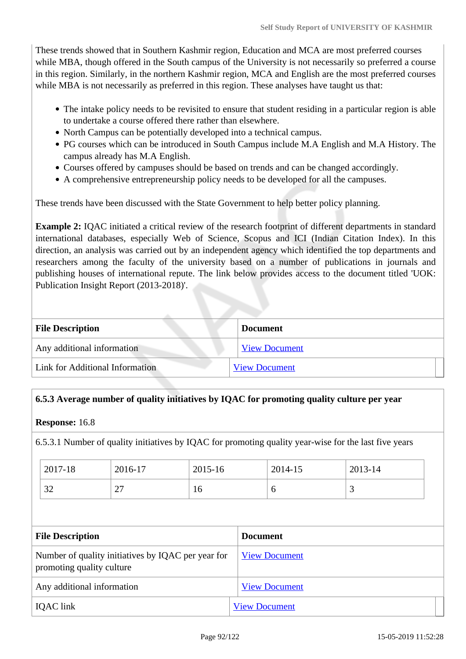These trends showed that in Southern Kashmir region, Education and MCA are most preferred courses while MBA, though offered in the South campus of the University is not necessarily so preferred a course in this region. Similarly, in the northern Kashmir region, MCA and English are the most preferred courses while MBA is not necessarily as preferred in this region. These analyses have taught us that:

- The intake policy needs to be revisited to ensure that student residing in a particular region is able to undertake a course offered there rather than elsewhere.
- North Campus can be potentially developed into a technical campus.
- PG courses which can be introduced in South Campus include M.A English and M.A History. The campus already has M.A English.
- Courses offered by campuses should be based on trends and can be changed accordingly.
- A comprehensive entrepreneurship policy needs to be developed for all the campuses.

These trends have been discussed with the State Government to help better policy planning.

**Example 2:** IQAC initiated a critical review of the research footprint of different departments in standard international databases, especially Web of Science, Scopus and ICI (Indian Citation Index). In this direction, an analysis was carried out by an independent agency which identified the top departments and researchers among the faculty of the university based on a number of publications in journals and publishing houses of international repute. The link below provides access to the document titled 'UOK: Publication Insight Report (2013-2018)'.

| <b>File Description</b>         | <b>Document</b>      |  |
|---------------------------------|----------------------|--|
| Any additional information      | <b>View Document</b> |  |
| Link for Additional Information | <b>View Document</b> |  |

### **6.5.3 Average number of quality initiatives by IQAC for promoting quality culture per year**

**Response:** 16.8

6.5.3.1 Number of quality initiatives by IQAC for promoting quality year-wise for the last five years

| 2017-18       | 2016-17   | 2015-16 | 2014-15 | 2013-14 |
|---------------|-----------|---------|---------|---------|
| $\cap$<br>ے د | ~~<br>• • | 10      |         | ້       |

| <b>File Description</b>                                                         | <b>Document</b>      |
|---------------------------------------------------------------------------------|----------------------|
| Number of quality initiatives by IQAC per year for<br>promoting quality culture | <b>View Document</b> |
| Any additional information                                                      | <b>View Document</b> |
| IQAC link                                                                       | <b>View Document</b> |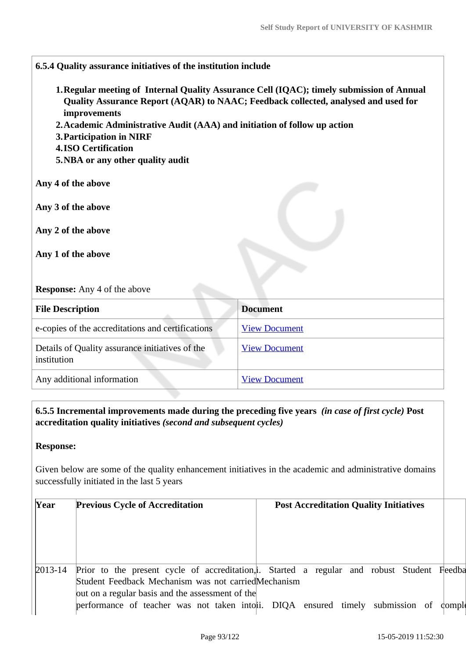**6.5.4 Quality assurance initiatives of the institution include 1.Regular meeting of Internal Quality Assurance Cell (IQAC); timely submission of Annual Quality Assurance Report (AQAR) to NAAC; Feedback collected, analysed and used for improvements 2.Academic Administrative Audit (AAA) and initiation of follow up action 3.Participation in NIRF 4.ISO Certification 5.NBA or any other quality audit Any 4 of the above Any 3 of the above Any 2 of the above Any 1 of the above Response:** Any 4 of the above **File Description Document** e-copies of the accreditations and certifications [View Document](https://assessmentonline.naac.gov.in/storage/app/hei/SSR/100028/6.5.4_1545729678_1647.pdf) Details of Quality assurance initiatives of the institution [View Document](https://assessmentonline.naac.gov.in/storage/app/hei/SSR/100028/6.5.4_1545725524_1647.xlsx) Any additional information [View Document](https://assessmentonline.naac.gov.in/storage/app/hei/SSR/100028/6.5.4_1545464378_1647.pdf)

 **6.5.5 Incremental improvements made during the preceding five years** *(in case of first cycle)* **Post accreditation quality initiatives** *(second and subsequent cycles)*

### **Response:**

Given below are some of the quality enhancement initiatives in the academic and administrative domains successfully initiated in the last 5 years

| Year        | <b>Previous Cycle of Accreditation</b>               | <b>Post Accreditation Quality Initiatives</b>                                               |  |
|-------------|------------------------------------------------------|---------------------------------------------------------------------------------------------|--|
|             |                                                      |                                                                                             |  |
| $2013 - 14$ | Student Feedback Mechanism was not carried Mechanism | Prior to the present cycle of accreditation, i. Started a regular and robust Student Feedba |  |
|             | out on a regular basis and the assessment of the     | performance of teacher was not taken into ii. DIQA ensured timely submission of complete    |  |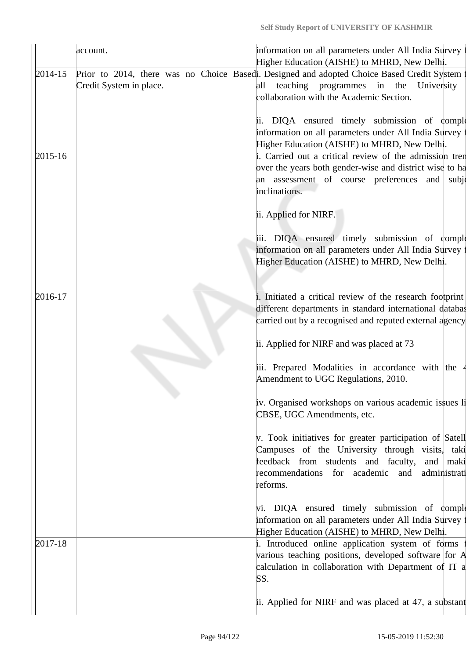|             | account.                | information on all parameters under All India Survey :<br>Higher Education (AISHE) to MHRD, New Delhi.                                                                                                                                                                                                  |
|-------------|-------------------------|---------------------------------------------------------------------------------------------------------------------------------------------------------------------------------------------------------------------------------------------------------------------------------------------------------|
| $2014 - 15$ | Credit System in place. | Prior to 2014, there was no Choice Basedi. Designed and adopted Choice Based Credit System:<br>teaching programmes in the<br>University<br>all<br>collaboration with the Academic Section.<br>DIQA ensured timely submission of comple<br>ii.<br>information on all parameters under All India Survey : |
| 2015-16     |                         | Higher Education (AISHE) to MHRD, New Delhi.<br>i. Carried out a critical review of the admission tren<br>over the years both gender-wise and district wise to ha<br>an assessment of course preferences and<br>subje<br>inclinations.                                                                  |
|             |                         | ii. Applied for NIRF.<br>iii. DIQA ensured timely submission of comple<br>information on all parameters under All India Survey :<br>Higher Education (AISHE) to MHRD, New Delhi.                                                                                                                        |
| 2016-17     |                         | i. Initiated a critical review of the research footprint<br>different departments in standard international databas<br>carried out by a recognised and reputed external agency<br>ii. Applied for NIRF and was placed at 73                                                                             |
|             |                         | iii. Prepared Modalities in accordance with the 4<br>Amendment to UGC Regulations, 2010.                                                                                                                                                                                                                |
|             |                         | iv. Organised workshops on various academic issues li<br>CBSE, UGC Amendments, etc.                                                                                                                                                                                                                     |
|             |                         | v. Took initiatives for greater participation of Satell<br>Campuses of the University through visits, taki<br>feedback from students and faculty, and maki<br>recommendations for academic and<br>administrati<br>reforms.                                                                              |
|             |                         | vi. DIQA ensured timely submission of comple<br>information on all parameters under All India Survey<br>Higher Education (AISHE) to MHRD, New Delhi.                                                                                                                                                    |
| 2017-18     |                         | i. Introduced online application system of forms<br>various teaching positions, developed software for A<br>calculation in collaboration with Department of IT a<br>SS.                                                                                                                                 |
|             |                         | ii. Applied for NIRF and was placed at 47, a substant                                                                                                                                                                                                                                                   |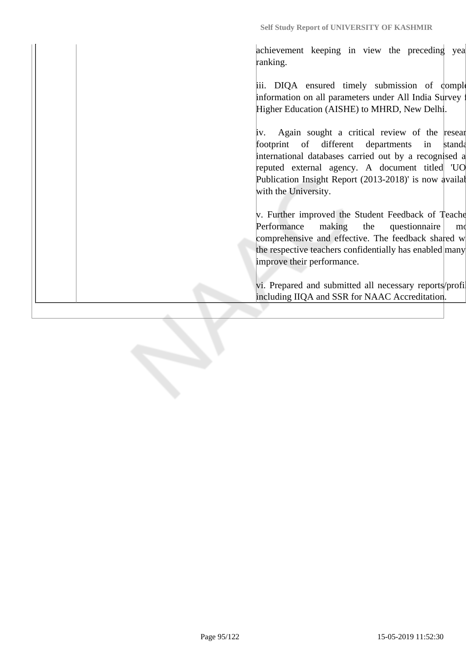**Self Study Report of UNIVERSITY OF KASHMIR**

achievement keeping in view the preceding year ranking.

iii. DIQA ensured timely submission of complete information on all parameters under All India Survey Higher Education (AISHE) to MHRD, New Delhi.

 $iv.$  Again sought a critical review of the resear footprint of different departments in standard international databases carried out by a recognised a reputed external agency. A document titled 'UO Publication Insight Report (2013-2018)' is now availal with the University.

v. Further improved the Student Feedback of Teachers' Performance making the questionnaire mo comprehensive and effective. The feedback shared w the respective teachers confidentially has enabled many improve their performance.

vi. Prepared and submitted all necessary reports/profil including IIQA and SSR for NAAC Accreditation.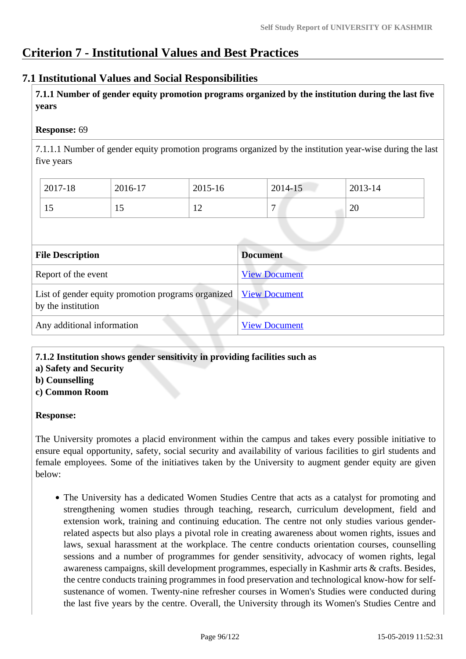# **Criterion 7 - Institutional Values and Best Practices**

### **7.1 Institutional Values and Social Responsibilities**

 **7.1.1 Number of gender equity promotion programs organized by the institution during the last five years** 

### **Response:** 69

7.1.1.1 Number of gender equity promotion programs organized by the institution year-wise during the last five years

| 2017-18 | 2016-17 | 2015-16              | 2014-15        | 2013-14 |  |
|---------|---------|----------------------|----------------|---------|--|
|         | 12      | 1 <sub>0</sub><br>∸∸ | $\overline{ }$ | 20      |  |

| <b>File Description</b>                                                  | <b>Document</b>      |
|--------------------------------------------------------------------------|----------------------|
| Report of the event                                                      | <b>View Document</b> |
| List of gender equity promotion programs organized<br>by the institution | <b>View Document</b> |
| Any additional information                                               | <b>View Document</b> |

**7.1.2 Institution shows gender sensitivity in providing facilities such as**

**a) Safety and Security**

**b) Counselling**

**c) Common Room**

### **Response:**

The University promotes a placid environment within the campus and takes every possible initiative to ensure equal opportunity, safety, social security and availability of various facilities to girl students and female employees. Some of the initiatives taken by the University to augment gender equity are given below:

The University has a dedicated Women Studies Centre that acts as a catalyst for promoting and strengthening women studies through teaching, research, curriculum development, field and extension work, training and continuing education. The centre not only studies various genderrelated aspects but also plays a pivotal role in creating awareness about women rights, issues and laws, sexual harassment at the workplace. The centre conducts orientation courses, counselling sessions and a number of programmes for gender sensitivity, advocacy of women rights, legal awareness campaigns, skill development programmes, especially in Kashmir arts & crafts. Besides, the centre conducts training programmes in food preservation and technological know-how for selfsustenance of women. Twenty-nine refresher courses in Women's Studies were conducted during the last five years by the centre. Overall, the University through its Women's Studies Centre and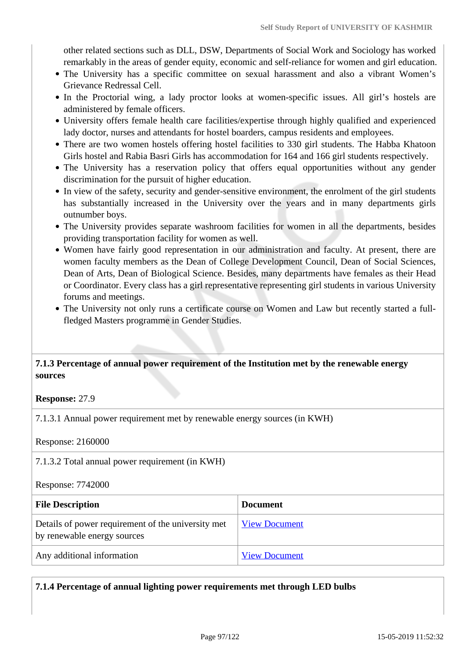other related sections such as DLL, DSW, Departments of Social Work and Sociology has worked remarkably in the areas of gender equity, economic and self-reliance for women and girl education.

- The University has a specific committee on sexual harassment and also a vibrant Women's Grievance Redressal Cell.
- In the Proctorial wing, a lady proctor looks at women-specific issues. All girl's hostels are administered by female officers.
- University offers female health care facilities/expertise through highly qualified and experienced lady doctor, nurses and attendants for hostel boarders, campus residents and employees.
- There are two women hostels offering hostel facilities to 330 girl students. The Habba Khatoon Girls hostel and Rabia Basri Girls has accommodation for 164 and 166 girl students respectively.
- The University has a reservation policy that offers equal opportunities without any gender discrimination for the pursuit of higher education.
- In view of the safety, security and gender-sensitive environment, the enrolment of the girl students has substantially increased in the University over the years and in many departments girls outnumber boys.
- The University provides separate washroom facilities for women in all the departments, besides providing transportation facility for women as well.
- Women have fairly good representation in our administration and faculty. At present, there are women faculty members as the Dean of College Development Council, Dean of Social Sciences, Dean of Arts, Dean of Biological Science. Besides, many departments have females as their Head or Coordinator. Every class has a girl representative representing girl students in various University forums and meetings.
- The University not only runs a certificate course on Women and Law but recently started a fullfledged Masters programme in Gender Studies.

### **7.1.3 Percentage of annual power requirement of the Institution met by the renewable energy sources**

#### **Response:** 27.9

7.1.3.1 Annual power requirement met by renewable energy sources (in KWH)

Response: 2160000

7.1.3.2 Total annual power requirement (in KWH)

Response: 7742000

| <b>File Description</b>                                                           | <b>Document</b>      |
|-----------------------------------------------------------------------------------|----------------------|
| Details of power requirement of the university met<br>by renewable energy sources | <b>View Document</b> |
| Any additional information                                                        | <b>View Document</b> |

**7.1.4 Percentage of annual lighting power requirements met through LED bulbs**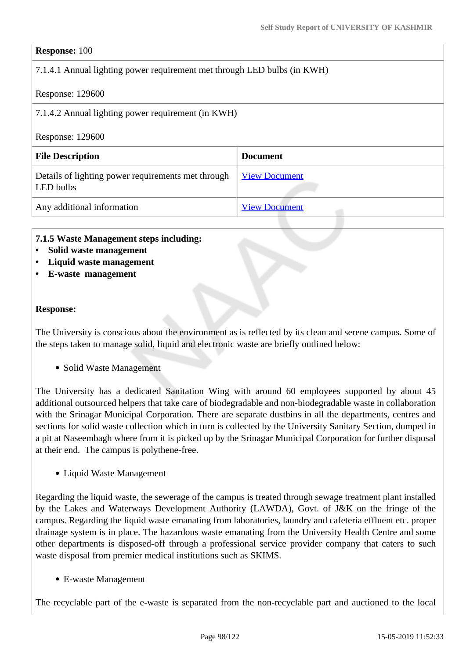### **Response:** 100

### 7.1.4.1 Annual lighting power requirement met through LED bulbs (in KWH)

#### Response: 129600

7.1.4.2 Annual lighting power requirement (in KWH)

#### Response: 129600

| <b>File Description</b>                                         | <b>Document</b>      |  |  |  |
|-----------------------------------------------------------------|----------------------|--|--|--|
| Details of lighting power requirements met through<br>LED bulbs | <b>View Document</b> |  |  |  |
| Any additional information                                      | <b>View Document</b> |  |  |  |

#### **7.1.5 Waste Management steps including:**

- **Solid waste management**
- **Liquid waste management**
- **E-waste management**

#### **Response:**

The University is conscious about the environment as is reflected by its clean and serene campus. Some of the steps taken to manage solid, liquid and electronic waste are briefly outlined below:

• Solid Waste Management

The University has a dedicated Sanitation Wing with around 60 employees supported by about 45 additional outsourced helpers that take care of biodegradable and non-biodegradable waste in collaboration with the Srinagar Municipal Corporation. There are separate dustbins in all the departments, centres and sections for solid waste collection which in turn is collected by the University Sanitary Section, dumped in a pit at Naseembagh where from it is picked up by the Srinagar Municipal Corporation for further disposal at their end. The campus is polythene-free.

• Liquid Waste Management

Regarding the liquid waste, the sewerage of the campus is treated through sewage treatment plant installed by the Lakes and Waterways Development Authority (LAWDA), Govt. of J&K on the fringe of the campus. Regarding the liquid waste emanating from laboratories, laundry and cafeteria effluent etc. proper drainage system is in place. The hazardous waste emanating from the University Health Centre and some other departments is disposed-off through a professional service provider company that caters to such waste disposal from premier medical institutions such as SKIMS.

E-waste Management

The recyclable part of the e-waste is separated from the non-recyclable part and auctioned to the local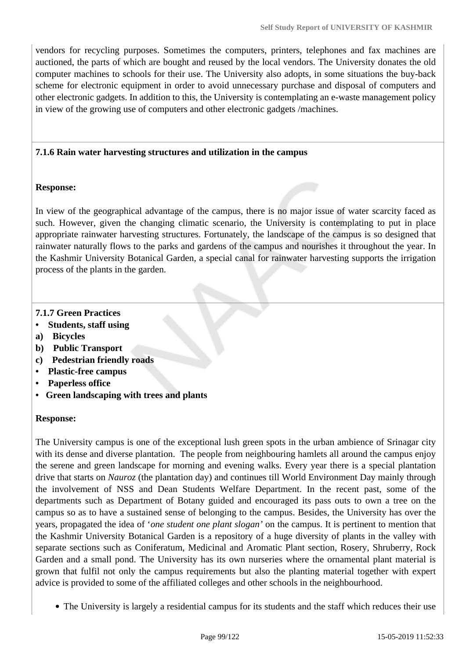vendors for recycling purposes. Sometimes the computers, printers, telephones and fax machines are auctioned, the parts of which are bought and reused by the local vendors. The University donates the old computer machines to schools for their use. The University also adopts, in some situations the buy-back scheme for electronic equipment in order to avoid unnecessary purchase and disposal of computers and other electronic gadgets. In addition to this, the University is contemplating an e-waste management policy in view of the growing use of computers and other electronic gadgets /machines.

#### **7.1.6 Rain water harvesting structures and utilization in the campus**

#### **Response:**

In view of the geographical advantage of the campus, there is no major issue of water scarcity faced as such. However, given the changing climatic scenario, the University is contemplating to put in place appropriate rainwater harvesting structures. Fortunately, the landscape of the campus is so designed that rainwater naturally flows to the parks and gardens of the campus and nourishes it throughout the year. In the Kashmir University Botanical Garden, a special canal for rainwater harvesting supports the irrigation process of the plants in the garden.

### **7.1.7 Green Practices**

- **Students, staff using**
- **a) Bicycles**
- **b) Public Transport**
- **c) Pedestrian friendly roads**
- **Plastic-free campus**
- **Paperless office**
- **Green landscaping with trees and plants**

### **Response:**

The University campus is one of the exceptional lush green spots in the urban ambience of Srinagar city with its dense and diverse plantation. The people from neighbouring hamlets all around the campus enjoy the serene and green landscape for morning and evening walks. Every year there is a special plantation drive that starts on *Nauroz* (the plantation day) and continues till World Environment Day mainly through the involvement of NSS and Dean Students Welfare Department. In the recent past, some of the departments such as Department of Botany guided and encouraged its pass outs to own a tree on the campus so as to have a sustained sense of belonging to the campus. Besides, the University has over the years, propagated the idea of '*one student one plant slogan'* on the campus. It is pertinent to mention that the Kashmir University Botanical Garden is a repository of a huge diversity of plants in the valley with separate sections such as Coniferatum, Medicinal and Aromatic Plant section, Rosery, Shruberry, Rock Garden and a small pond. The University has its own nurseries where the ornamental plant material is grown that fulfil not only the campus requirements but also the planting material together with expert advice is provided to some of the affiliated colleges and other schools in the neighbourhood.

The University is largely a residential campus for its students and the staff which reduces their use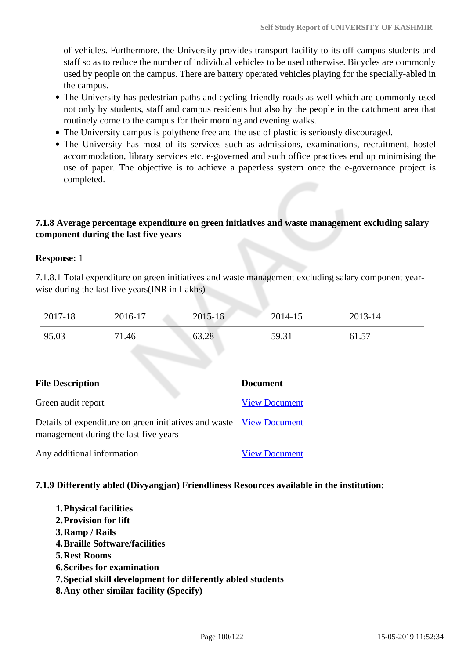of vehicles. Furthermore, the University provides transport facility to its off-campus students and staff so as to reduce the number of individual vehicles to be used otherwise. Bicycles are commonly used by people on the campus. There are battery operated vehicles playing for the specially-abled in the campus.

- The University has pedestrian paths and cycling-friendly roads as well which are commonly used not only by students, staff and campus residents but also by the people in the catchment area that routinely come to the campus for their morning and evening walks.
- The University campus is polythene free and the use of plastic is seriously discouraged.
- The University has most of its services such as admissions, examinations, recruitment, hostel accommodation, library services etc. e-governed and such office practices end up minimising the use of paper. The objective is to achieve a paperless system once the e-governance project is completed.

### **7.1.8 Average percentage expenditure on green initiatives and waste management excluding salary component during the last five years**

#### **Response:** 1

7.1.8.1 Total expenditure on green initiatives and waste management excluding salary component yearwise during the last five years(INR in Lakhs)

| 2017-18 | 2016-17 | $2015 - 16$ | 2014-15 | 2013-14 |
|---------|---------|-------------|---------|---------|
| 95.03   | 71.46   | 63.28       | 59.31   | 61.57   |

| <b>File Description</b>                                                                                        | <b>Document</b>      |
|----------------------------------------------------------------------------------------------------------------|----------------------|
| Green audit report                                                                                             | <b>View Document</b> |
| Details of expenditure on green initiatives and waste   View Document<br>management during the last five years |                      |
| Any additional information                                                                                     | <b>View Document</b> |

### **7.1.9 Differently abled (Divyangjan) Friendliness Resources available in the institution:**

**1.Physical facilities 2.Provision for lift 3.Ramp / Rails 4.Braille Software/facilities 5.Rest Rooms 6.Scribes for examination 7.Special skill development for differently abled students 8.Any other similar facility (Specify)**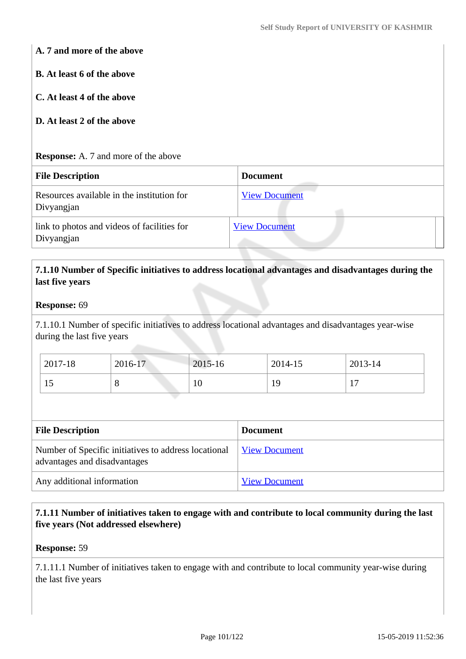### **A. 7 and more of the above**

**B. At least 6 of the above**

**C. At least 4 of the above**

### **D. At least 2 of the above**

#### **Response:** A. 7 and more of the above

| <b>File Description</b>                                   | <b>Document</b>      |
|-----------------------------------------------------------|----------------------|
| Resources available in the institution for<br>Divyangjan  | <b>View Document</b> |
| link to photos and videos of facilities for<br>Divyangjan | <b>View Document</b> |

### **7.1.10 Number of Specific initiatives to address locational advantages and disadvantages during the last five years**

#### **Response:** 69

7.1.10.1 Number of specific initiatives to address locational advantages and disadvantages year-wise during the last five years

| 2017-18 | 2016-17 | 2015-16 | 2014-15 | 2013-14        |
|---------|---------|---------|---------|----------------|
| IJ      | v       | 10      | 19      | 1 <sub>7</sub> |

| <b>File Description</b>                                                              | <b>Document</b>      |  |  |
|--------------------------------------------------------------------------------------|----------------------|--|--|
| Number of Specific initiatives to address locational<br>advantages and disadvantages | <b>View Document</b> |  |  |
| Any additional information                                                           | <b>View Document</b> |  |  |

### **7.1.11 Number of initiatives taken to engage with and contribute to local community during the last five years (Not addressed elsewhere)**

#### **Response:** 59

7.1.11.1 Number of initiatives taken to engage with and contribute to local community year-wise during the last five years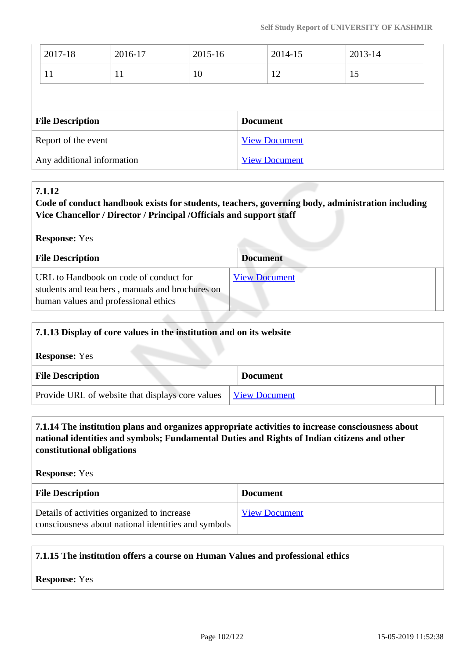| 2017-18                 | 2016-17                    | 2015-16 | 2014-15              |                      | 2013-14 |  |
|-------------------------|----------------------------|---------|----------------------|----------------------|---------|--|
| 11                      | 11                         | 10      |                      | 12                   | 15      |  |
|                         |                            |         |                      |                      |         |  |
| <b>File Description</b> |                            |         | <b>Document</b>      |                      |         |  |
| Report of the event     |                            |         | <b>View Document</b> |                      |         |  |
|                         | Any additional information |         |                      | <b>View Document</b> |         |  |

### **7.1.12**

**Code of conduct handbook exists for students, teachers, governing body, administration including Vice Chancellor / Director / Principal /Officials and support staff**

**Response:** Yes

| <b>File Description</b>                                                                                                           | <b>Document</b>      |
|-----------------------------------------------------------------------------------------------------------------------------------|----------------------|
| URL to Handbook on code of conduct for<br>students and teachers, manuals and brochures on<br>human values and professional ethics | <b>View Document</b> |

|  | 7.1.13 Display of core values in the institution and on its website         |  |                      |
|--|-----------------------------------------------------------------------------|--|----------------------|
|  | <b>Response:</b> Yes                                                        |  |                      |
|  | <b>File Description</b><br>Provide URL of website that displays core values |  | <b>Document</b>      |
|  |                                                                             |  | <b>View Document</b> |

### **7.1.14 The institution plans and organizes appropriate activities to increase consciousness about national identities and symbols; Fundamental Duties and Rights of Indian citizens and other constitutional obligations**

**Response:** Yes

| <b>File Description</b>                                                                            | <b>Document</b>      |
|----------------------------------------------------------------------------------------------------|----------------------|
| Details of activities organized to increase<br>consciousness about national identities and symbols | <b>View Document</b> |

### **7.1.15 The institution offers a course on Human Values and professional ethics**

**Response:** Yes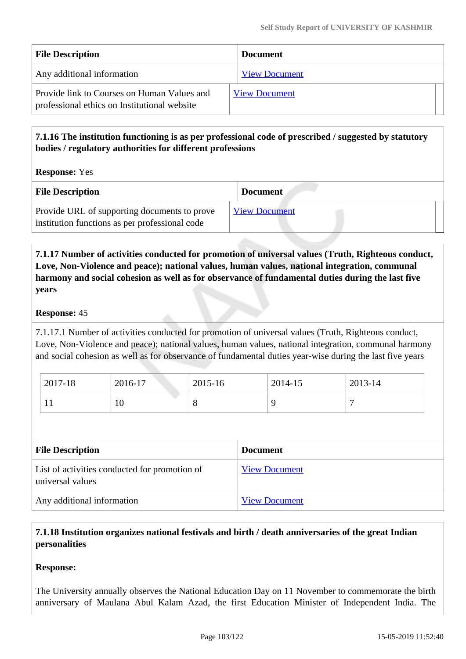| <b>File Description</b>                                                                     | <b>Document</b>      |
|---------------------------------------------------------------------------------------------|----------------------|
| Any additional information                                                                  | <b>View Document</b> |
| Provide link to Courses on Human Values and<br>professional ethics on Institutional website | <b>View Document</b> |

## **7.1.16 The institution functioning is as per professional code of prescribed / suggested by statutory bodies / regulatory authorities for different professions**

**Response:** Yes

| <b>File Description</b>                                                                        | <b>Document</b>      |
|------------------------------------------------------------------------------------------------|----------------------|
| Provide URL of supporting documents to prove<br>institution functions as per professional code | <b>View Document</b> |

 **7.1.17 Number of activities conducted for promotion of universal values (Truth, Righteous conduct, Love, Non-Violence and peace); national values, human values, national integration, communal harmony and social cohesion as well as for observance of fundamental duties during the last five years**

### **Response:** 45

7.1.17.1 Number of activities conducted for promotion of universal values (Truth, Righteous conduct, Love, Non-Violence and peace); national values, human values, national integration, communal harmony and social cohesion as well as for observance of fundamental duties year-wise during the last five years

| 2017-18 | 2016-17 | 2015-16 | 2014-15 | 2013-14 |
|---------|---------|---------|---------|---------|
|         | 10      | $\circ$ |         |         |

| <b>File Description</b>                                           | <b>Document</b>      |
|-------------------------------------------------------------------|----------------------|
| List of activities conducted for promotion of<br>universal values | <b>View Document</b> |
| Any additional information                                        | <b>View Document</b> |

# **7.1.18 Institution organizes national festivals and birth / death anniversaries of the great Indian personalities**

### **Response:**

The University annually observes the National Education Day on 11 November to commemorate the birth anniversary of Maulana Abul Kalam Azad, the first Education Minister of Independent India. The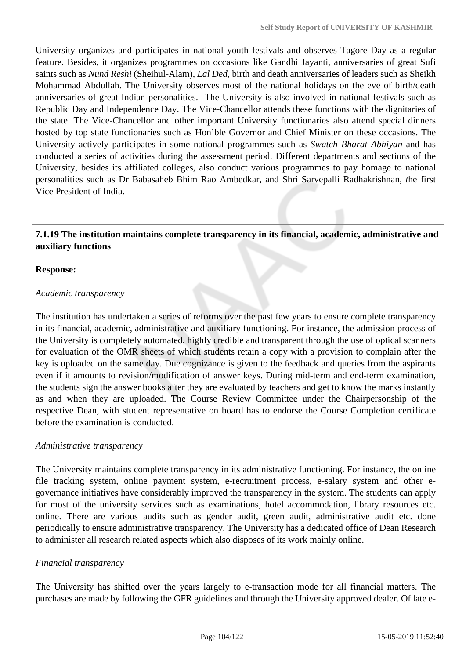University organizes and participates in national youth festivals and observes Tagore Day as a regular feature. Besides, it organizes programmes on occasions like Gandhi Jayanti, anniversaries of great Sufi saints such as *Nund Reshi* (Sheihul-Alam), *Lal Ded*, birth and death anniversaries of leaders such as Sheikh Mohammad Abdullah. The University observes most of the national holidays on the eve of birth/death anniversaries of great Indian personalities. The University is also involved in national festivals such as Republic Day and Independence Day. The Vice-Chancellor attends these functions with the dignitaries of the state. The Vice-Chancellor and other important University functionaries also attend special dinners hosted by top state functionaries such as Hon'ble Governor and Chief Minister on these occasions. The University actively participates in some national programmes such as *Swatch Bharat Abhiyan* and has conducted a series of activities during the assessment period. Different departments and sections of the University, besides its affiliated colleges, also conduct various programmes to pay homage to national personalities such as Dr Babasaheb Bhim Rao Ambedkar, and Shri Sarvepalli Radhakrishnan*, t*he first Vice President of India.

### **7.1.19 The institution maintains complete transparency in its financial, academic, administrative and auxiliary functions**

#### **Response:**

#### *Academic transparency*

The institution has undertaken a series of reforms over the past few years to ensure complete transparency in its financial, academic, administrative and auxiliary functioning. For instance, the admission process of the University is completely automated, highly credible and transparent through the use of optical scanners for evaluation of the OMR sheets of which students retain a copy with a provision to complain after the key is uploaded on the same day. Due cognizance is given to the feedback and queries from the aspirants even if it amounts to revision/modification of answer keys. During mid-term and end-term examination, the students sign the answer books after they are evaluated by teachers and get to know the marks instantly as and when they are uploaded. The Course Review Committee under the Chairpersonship of the respective Dean, with student representative on board has to endorse the Course Completion certificate before the examination is conducted.

### *Administrative transparency*

The University maintains complete transparency in its administrative functioning. For instance, the online file tracking system, online payment system, e-recruitment process, e-salary system and other egovernance initiatives have considerably improved the transparency in the system. The students can apply for most of the university services such as examinations, hotel accommodation, library resources etc. online. There are various audits such as gender audit, green audit, administrative audit etc. done periodically to ensure administrative transparency. The University has a dedicated office of Dean Research to administer all research related aspects which also disposes of its work mainly online.

### *Financial transparency*

The University has shifted over the years largely to e-transaction mode for all financial matters. The purchases are made by following the GFR guidelines and through the University approved dealer. Of late e-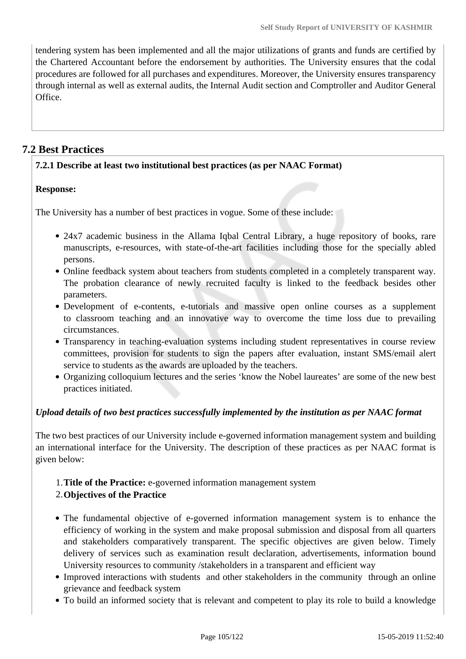tendering system has been implemented and all the major utilizations of grants and funds are certified by the Chartered Accountant before the endorsement by authorities. The University ensures that the codal procedures are followed for all purchases and expenditures. Moreover, the University ensures transparency through internal as well as external audits, the Internal Audit section and Comptroller and Auditor General Office.

# **7.2 Best Practices**

### **7.2.1 Describe at least two institutional best practices (as per NAAC Format)**

### **Response:**

The University has a number of best practices in vogue. Some of these include:

- 24x7 academic business in the Allama Igbal Central Library, a huge repository of books, rare manuscripts, e-resources, with state-of-the-art facilities including those for the specially abled persons.
- Online feedback system about teachers from students completed in a completely transparent way. The probation clearance of newly recruited faculty is linked to the feedback besides other parameters.
- Development of e-contents, e-tutorials and massive open online courses as a supplement to classroom teaching and an innovative way to overcome the time loss due to prevailing circumstances.
- Transparency in teaching-evaluation systems including student representatives in course review committees, provision for students to sign the papers after evaluation, instant SMS/email alert service to students as the awards are uploaded by the teachers.
- Organizing colloquium lectures and the series 'know the Nobel laureates' are some of the new best practices initiated.

### *Upload details of two best practices successfully implemented by the institution as per NAAC format*

The two best practices of our University include e-governed information management system and building an international interface for the University. The description of these practices as per NAAC format is given below:

# 1.**Title of the Practice:** e-governed information management system

### 2.**Objectives of the Practice**

- The fundamental objective of e-governed information management system is to enhance the efficiency of working in the system and make proposal submission and disposal from all quarters and stakeholders comparatively transparent. The specific objectives are given below. Timely delivery of services such as examination result declaration, advertisements, information bound University resources to community /stakeholders in a transparent and efficient way
- Improved interactions with students and other stakeholders in the community through an online grievance and feedback system
- To build an informed society that is relevant and competent to play its role to build a knowledge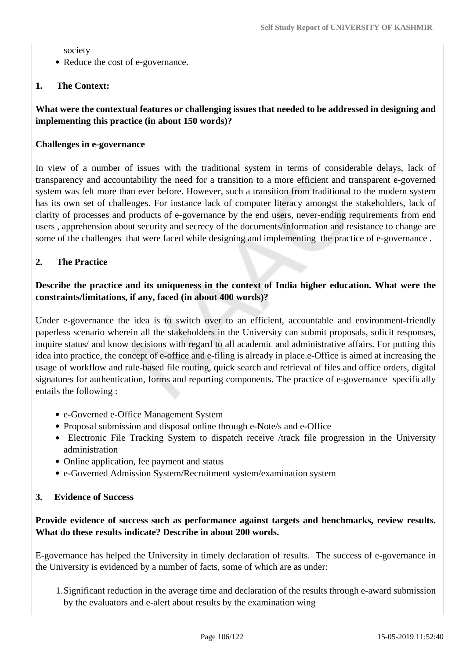society

• Reduce the cost of e-governance.

### **1. The Context:**

### **What were the contextual features or challenging issues that needed to be addressed in designing and implementing this practice (in about 150 words)?**

### **Challenges in e-governance**

In view of a number of issues with the traditional system in terms of considerable delays, lack of transparency and accountability the need for a transition to a more efficient and transparent e-governed system was felt more than ever before. However, such a transition from traditional to the modern system has its own set of challenges. For instance lack of computer literacy amongst the stakeholders, lack of clarity of processes and products of e-governance by the end users, never-ending requirements from end users , apprehension about security and secrecy of the documents/information and resistance to change are some of the challenges that were faced while designing and implementing the practice of e-governance .

### **2. The Practice**

### **Describe the practice and its uniqueness in the context of India higher education. What were the constraints/limitations, if any, faced (in about 400 words)?**

Under e-governance the idea is to switch over to an efficient, accountable and environment-friendly paperless scenario wherein all the stakeholders in the University can submit proposals, solicit responses, inquire status/ and know decisions with regard to all academic and administrative affairs. For putting this idea into practice, the concept of e-office and e-filing is already in place.e-Office is aimed at increasing the usage of workflow and rule-based file routing, quick search and retrieval of files and office orders, digital signatures for authentication, forms and reporting components. The practice of e-governance specifically entails the following :

- e-Governed e-Office Management System
- Proposal submission and disposal online through e-Note/s and e-Office
- Electronic File Tracking System to dispatch receive /track file progression in the University administration
- Online application, fee payment and status
- e-Governed Admission System/Recruitment system/examination system

### **3. Evidence of Success**

### **Provide evidence of success such as performance against targets and benchmarks, review results. What do these results indicate? Describe in about 200 words.**

E-governance has helped the University in timely declaration of results. The success of e-governance in the University is evidenced by a number of facts, some of which are as under:

1.Significant reduction in the average time and declaration of the results through e-award submission by the evaluators and e-alert about results by the examination wing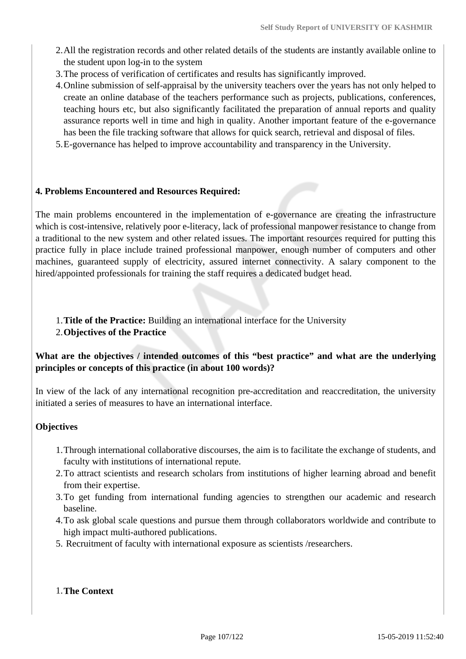- 2.All the registration records and other related details of the students are instantly available online to the student upon log-in to the system
- 3.The process of verification of certificates and results has significantly improved.
- 4.Online submission of self-appraisal by the university teachers over the years has not only helped to create an online database of the teachers performance such as projects, publications, conferences, teaching hours etc, but also significantly facilitated the preparation of annual reports and quality assurance reports well in time and high in quality. Another important feature of the e-governance has been the file tracking software that allows for quick search, retrieval and disposal of files.
- 5.E-governance has helped to improve accountability and transparency in the University.

#### **4. Problems Encountered and Resources Required:**

The main problems encountered in the implementation of e-governance are creating the infrastructure which is cost-intensive, relatively poor e-literacy, lack of professional manpower resistance to change from a traditional to the new system and other related issues. The important resources required for putting this practice fully in place include trained professional manpower, enough number of computers and other machines, guaranteed supply of electricity, assured internet connectivity. A salary component to the hired/appointed professionals for training the staff requires a dedicated budget head.

#### 1.**Title of the Practice:** Building an international interface for the University

#### 2.**Objectives of the Practice**

### **What are the objectives / intended outcomes of this "best practice" and what are the underlying principles or concepts of this practice (in about 100 words)?**

In view of the lack of any international recognition pre-accreditation and reaccreditation, the university initiated a series of measures to have an international interface.

### **Objectives**

- 1.Through international collaborative discourses, the aim is to facilitate the exchange of students, and faculty with institutions of international repute.
- 2.To attract scientists and research scholars from institutions of higher learning abroad and benefit from their expertise.
- 3.To get funding from international funding agencies to strengthen our academic and research baseline.
- 4.To ask global scale questions and pursue them through collaborators worldwide and contribute to high impact multi-authored publications.
- 5. Recruitment of faculty with international exposure as scientists /researchers.

#### 1.**The Context**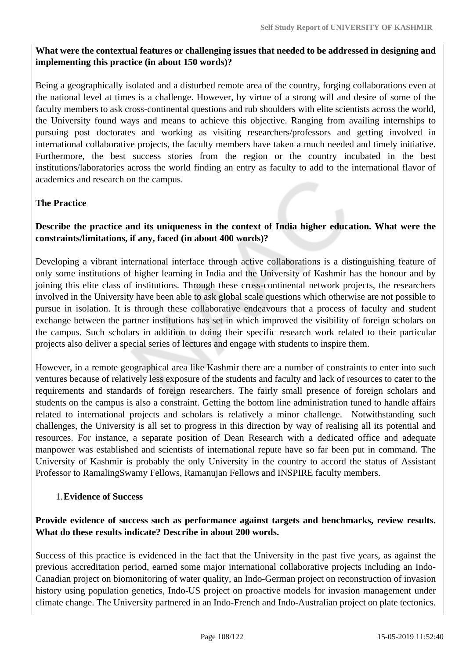# **What were the contextual features or challenging issues that needed to be addressed in designing and implementing this practice (in about 150 words)?**

Being a geographically isolated and a disturbed remote area of the country, forging collaborations even at the national level at times is a challenge. However, by virtue of a strong will and desire of some of the faculty members to ask cross-continental questions and rub shoulders with elite scientists across the world, the University found ways and means to achieve this objective. Ranging from availing internships to pursuing post doctorates and working as visiting researchers/professors and getting involved in international collaborative projects, the faculty members have taken a much needed and timely initiative. Furthermore, the best success stories from the region or the country incubated in the best institutions/laboratories across the world finding an entry as faculty to add to the international flavor of academics and research on the campus.

# **The Practice**

# **Describe the practice and its uniqueness in the context of India higher education. What were the constraints/limitations, if any, faced (in about 400 words)?**

Developing a vibrant international interface through active collaborations is a distinguishing feature of only some institutions of higher learning in India and the University of Kashmir has the honour and by joining this elite class of institutions. Through these cross-continental network projects, the researchers involved in the University have been able to ask global scale questions which otherwise are not possible to pursue in isolation. It is through these collaborative endeavours that a process of faculty and student exchange between the partner institutions has set in which improved the visibility of foreign scholars on the campus. Such scholars in addition to doing their specific research work related to their particular projects also deliver a special series of lectures and engage with students to inspire them.

However, in a remote geographical area like Kashmir there are a number of constraints to enter into such ventures because of relatively less exposure of the students and faculty and lack of resources to cater to the requirements and standards of foreign researchers. The fairly small presence of foreign scholars and students on the campus is also a constraint. Getting the bottom line administration tuned to handle affairs related to international projects and scholars is relatively a minor challenge. Notwithstanding such challenges, the University is all set to progress in this direction by way of realising all its potential and resources. For instance, a separate position of Dean Research with a dedicated office and adequate manpower was established and scientists of international repute have so far been put in command. The University of Kashmir is probably the only University in the country to accord the status of Assistant Professor to RamalingSwamy Fellows, Ramanujan Fellows and INSPIRE faculty members.

### 1.**Evidence of Success**

### **Provide evidence of success such as performance against targets and benchmarks, review results. What do these results indicate? Describe in about 200 words.**

Success of this practice is evidenced in the fact that the University in the past five years, as against the previous accreditation period, earned some major international collaborative projects including an Indo-Canadian project on biomonitoring of water quality, an Indo-German project on reconstruction of invasion history using population genetics, Indo-US project on proactive models for invasion management under climate change. The University partnered in an Indo-French and Indo-Australian project on plate tectonics.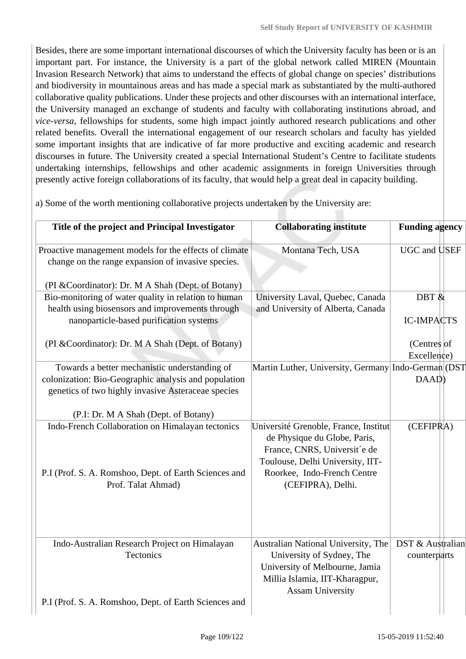Besides, there are some important international discourses of which the University faculty has been or is an important part. For instance, the University is a part of the global network called MIREN (Mountain Invasion Research Network) that aims to understand the effects of global change on species' distributions and biodiversity in mountainous areas and has made a special mark as substantiated by the multi-authored collaborative quality publications. Under these projects and other discourses with an international interface, the University managed an exchange of students and faculty with collaborating institutions abroad, and *vice-versa*, fellowships for students, some high impact jointly authored research publications and other related benefits. Overall the international engagement of our research scholars and faculty has yielded some important insights that are indicative of far more productive and exciting academic and research discourses in future. The University created a special International Student's Centre to facilitate students undertaking internships, fellowships and other academic assignments in foreign Universities through presently active foreign collaborations of its faculty, that would help a great deal in capacity building.

a) Some of the worth mentioning collaborative projects undertaken by the University are:

| Title of the project and Principal Investigator                                                                                                                    | <b>Collaborating institute</b>                                                                                                                                                                | <b>Funding agency</b>            |
|--------------------------------------------------------------------------------------------------------------------------------------------------------------------|-----------------------------------------------------------------------------------------------------------------------------------------------------------------------------------------------|----------------------------------|
| Proactive management models for the effects of climate<br>change on the range expansion of invasive species.<br>(PI & Coordinator): Dr. M A Shah (Dept. of Botany) | Montana Tech, USA                                                                                                                                                                             | UGC and USEF                     |
| Bio-monitoring of water quality in relation to human<br>health using biosensors and improvements through<br>nanoparticle-based purification systems                | University Laval, Quebec, Canada<br>and University of Alberta, Canada                                                                                                                         | DBT $\&$<br><b>IC-IMPACTS</b>    |
| (PI & Coordinator): Dr. M A Shah (Dept. of Botany)                                                                                                                 |                                                                                                                                                                                               | (Centres of<br>Excellence)       |
| Towards a better mechanistic understanding of<br>colonization: Bio-Geographic analysis and population<br>genetics of two highly invasive Asteraceae species        | Martin Luther, University, Germany Indo-German (DST                                                                                                                                           | DAAD)                            |
| (P.I: Dr. M A Shah (Dept. of Botany)                                                                                                                               |                                                                                                                                                                                               |                                  |
| Indo-French Collaboration on Himalayan tectonics<br>P.I (Prof. S. A. Romshoo, Dept. of Earth Sciences and<br>Prof. Talat Ahmad)                                    | Université Grenoble, France, Institut<br>de Physique du Globe, Paris,<br>France, CNRS, Universit'e de<br>Toulouse, Delhi University, IIT-<br>Roorkee, Indo-French Centre<br>(CEFIPRA), Delhi. | (CEFFIPRA)                       |
| Indo-Australian Research Project on Himalayan<br>Tectonics                                                                                                         | Australian National University, The<br>University of Sydney, The<br>University of Melbourne, Jamia<br>Millia Islamia, IIT-Kharagpur,<br><b>Assam University</b>                               | DST & Australian<br>counterparts |
| P.I (Prof. S. A. Romshoo, Dept. of Earth Sciences and                                                                                                              |                                                                                                                                                                                               |                                  |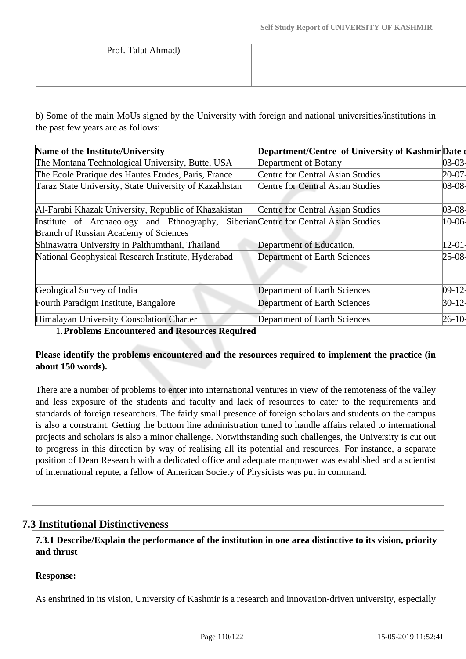b) Some of the main MoUs signed by the University with foreign and national universities/institutions in the past few years are as follows:

| Name of the Institute/University                                                    | Department/Centre of University of Kashmir Date |           |
|-------------------------------------------------------------------------------------|-------------------------------------------------|-----------|
| The Montana Technological University, Butte, USA                                    | Department of Botany                            | 03-03-    |
| The Ecole Pratique des Hautes Etudes, Paris, France                                 | <b>Centre for Central Asian Studies</b>         | $20-07$   |
| Taraz State University, State University of Kazakhstan                              | <b>Centre for Central Asian Studies</b>         | 08-08     |
| Al-Farabi Khazak University, Republic of Khazakistan                                | <b>Centre for Central Asian Studies</b>         | 03-08-    |
| Institute of Archaeology and Ethnography, Siberian Centre for Central Asian Studies |                                                 | $10 - 06$ |
| Branch of Russian Academy of Sciences                                               |                                                 |           |
| Shinawatra University in Palthumthani, Thailand                                     | Department of Education,                        | $12 - 01$ |
| National Geophysical Research Institute, Hyderabad                                  | <b>Department of Earth Sciences</b>             | $25-08$   |
| Geological Survey of India                                                          | Department of Earth Sciences                    | 09-121    |
| Fourth Paradigm Institute, Bangalore                                                | <b>Department of Earth Sciences</b>             | $ 30-12 $ |
| Himalayan University Consolation Charter                                            | Department of Earth Sciences                    | $26 - 10$ |

1.**Problems Encountered and Resources Required** 

**Please identify the problems encountered and the resources required to implement the practice (in about 150 words).**

There are a number of problems to enter into international ventures in view of the remoteness of the valley and less exposure of the students and faculty and lack of resources to cater to the requirements and standards of foreign researchers. The fairly small presence of foreign scholars and students on the campus is also a constraint. Getting the bottom line administration tuned to handle affairs related to international projects and scholars is also a minor challenge. Notwithstanding such challenges, the University is cut out to progress in this direction by way of realising all its potential and resources. For instance, a separate position of Dean Research with a dedicated office and adequate manpower was established and a scientist of international repute, a fellow of American Society of Physicists was put in command.

## **7.3 Institutional Distinctiveness**

 **7.3.1 Describe/Explain the performance of the institution in one area distinctive to its vision, priority and thrust**

#### **Response:**

As enshrined in its vision, University of Kashmir is a research and innovation-driven university, especially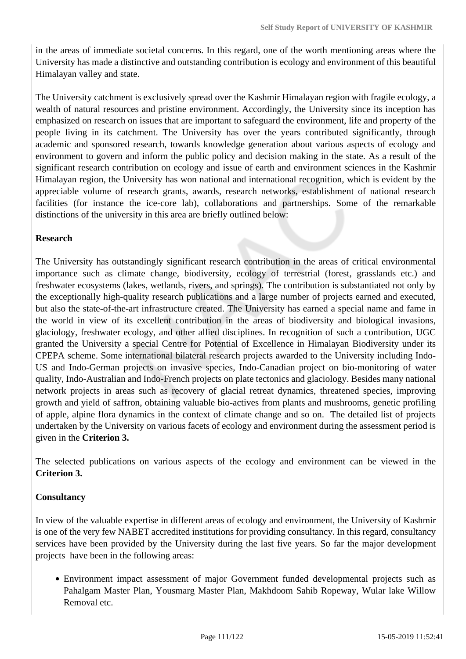in the areas of immediate societal concerns. In this regard, one of the worth mentioning areas where the University has made a distinctive and outstanding contribution is ecology and environment of this beautiful Himalayan valley and state.

The University catchment is exclusively spread over the Kashmir Himalayan region with fragile ecology, a wealth of natural resources and pristine environment. Accordingly, the University since its inception has emphasized on research on issues that are important to safeguard the environment, life and property of the people living in its catchment. The University has over the years contributed significantly, through academic and sponsored research, towards knowledge generation about various aspects of ecology and environment to govern and inform the public policy and decision making in the state. As a result of the significant research contribution on ecology and issue of earth and environment sciences in the Kashmir Himalayan region, the University has won national and international recognition, which is evident by the appreciable volume of research grants, awards, research networks, establishment of national research facilities (for instance the ice-core lab), collaborations and partnerships. Some of the remarkable distinctions of the university in this area are briefly outlined below:

### **Research**

The University has outstandingly significant research contribution in the areas of critical environmental importance such as climate change, biodiversity, ecology of terrestrial (forest, grasslands etc.) and freshwater ecosystems (lakes, wetlands, rivers, and springs). The contribution is substantiated not only by the exceptionally high-quality research publications and a large number of projects earned and executed, but also the state-of-the-art infrastructure created. The University has earned a special name and fame in the world in view of its excellent contribution in the areas of biodiversity and biological invasions, glaciology, freshwater ecology, and other allied disciplines. In recognition of such a contribution, UGC granted the University a special Centre for Potential of Excellence in Himalayan Biodiversity under its CPEPA scheme. Some international bilateral research projects awarded to the University including Indo-US and Indo-German projects on invasive species, Indo-Canadian project on bio-monitoring of water quality, Indo-Australian and Indo-French projects on plate tectonics and glaciology. Besides many national network projects in areas such as recovery of glacial retreat dynamics, threatened species, improving growth and yield of saffron, obtaining valuable bio-actives from plants and mushrooms, genetic profiling of apple, alpine flora dynamics in the context of climate change and so on. The detailed list of projects undertaken by the University on various facets of ecology and environment during the assessment period is given in the **Criterion 3.**

The selected publications on various aspects of the ecology and environment can be viewed in the **Criterion 3.** 

#### **Consultancy**

In view of the valuable expertise in different areas of ecology and environment, the University of Kashmir is one of the very few NABET accredited institutions for providing consultancy. In this regard, consultancy services have been provided by the University during the last five years. So far the major development projects have been in the following areas:

Environment impact assessment of major Government funded developmental projects such as Pahalgam Master Plan, Yousmarg Master Plan, Makhdoom Sahib Ropeway, Wular lake Willow Removal etc.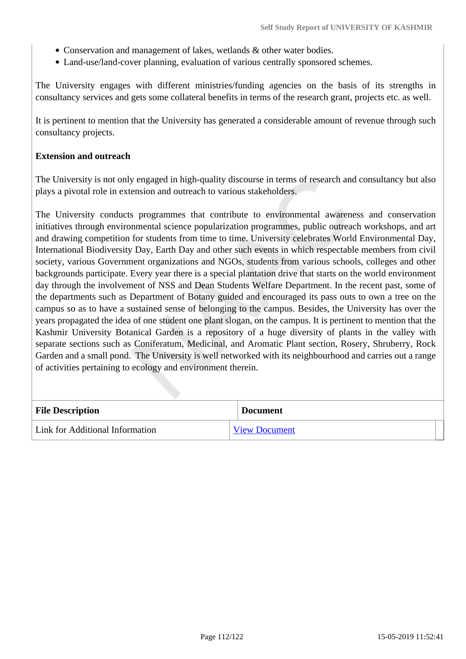- Conservation and management of lakes, wetlands & other water bodies.
- Land-use/land-cover planning, evaluation of various centrally sponsored schemes.

The University engages with different ministries/funding agencies on the basis of its strengths in consultancy services and gets some collateral benefits in terms of the research grant, projects etc. as well.

It is pertinent to mention that the University has generated a considerable amount of revenue through such consultancy projects.

#### **Extension and outreach**

The University is not only engaged in high-quality discourse in terms of research and consultancy but also plays a pivotal role in extension and outreach to various stakeholders.

The University conducts programmes that contribute to environmental awareness and conservation initiatives through environmental science popularization programmes, public outreach workshops, and art and drawing competition for students from time to time. University celebrates World Environmental Day, International Biodiversity Day, Earth Day and other such events in which respectable members from civil society, various Government organizations and NGOs, students from various schools, colleges and other backgrounds participate. Every year there is a special plantation drive that starts on the world environment day through the involvement of NSS and Dean Students Welfare Department. In the recent past, some of the departments such as Department of Botany guided and encouraged its pass outs to own a tree on the campus so as to have a sustained sense of belonging to the campus. Besides, the University has over the years propagated the idea of one student one plant slogan, on the campus. It is pertinent to mention that the Kashmir University Botanical Garden is a repository of a huge diversity of plants in the valley with separate sections such as Coniferatum, Medicinal, and Aromatic Plant section, Rosery, Shruberry, Rock Garden and a small pond. The University is well networked with its neighbourhood and carries out a range of activities pertaining to ecology and environment therein.

| <b>File Description</b>         | <b>Document</b>      |
|---------------------------------|----------------------|
| Link for Additional Information | <b>View Document</b> |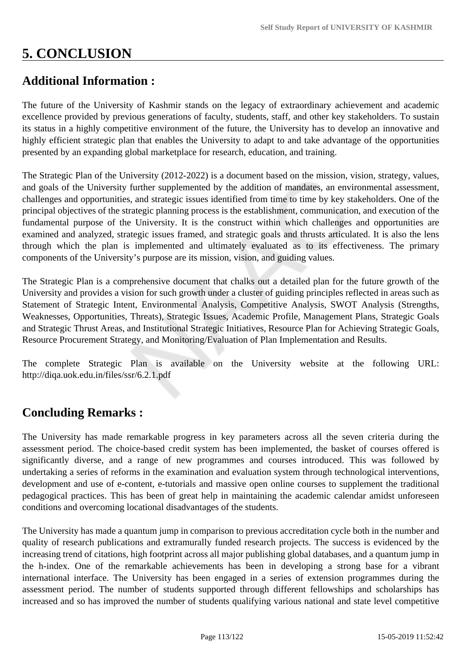# **5. CONCLUSION**

# **Additional Information :**

The future of the University of Kashmir stands on the legacy of extraordinary achievement and academic excellence provided by previous generations of faculty, students, staff, and other key stakeholders. To sustain its status in a highly competitive environment of the future, the University has to develop an innovative and highly efficient strategic plan that enables the University to adapt to and take advantage of the opportunities presented by an expanding global marketplace for research, education, and training.

The Strategic Plan of the University (2012-2022) is a document based on the mission, vision, strategy, values, and goals of the University further supplemented by the addition of mandates, an environmental assessment, challenges and opportunities, and strategic issues identified from time to time by key stakeholders. One of the principal objectives of the strategic planning process is the establishment, communication, and execution of the fundamental purpose of the University. It is the construct within which challenges and opportunities are examined and analyzed, strategic issues framed, and strategic goals and thrusts articulated. It is also the lens through which the plan is implemented and ultimately evaluated as to its effectiveness. The primary components of the University's purpose are its mission, vision, and guiding values.

The Strategic Plan is a comprehensive document that chalks out a detailed plan for the future growth of the University and provides a vision for such growth under a cluster of guiding principles reflected in areas such as Statement of Strategic Intent, Environmental Analysis, Competitive Analysis, SWOT Analysis (Strengths, Weaknesses, Opportunities, Threats), Strategic Issues, Academic Profile, Management Plans, Strategic Goals and Strategic Thrust Areas, and Institutional Strategic Initiatives, Resource Plan for Achieving Strategic Goals, Resource Procurement Strategy, and Monitoring/Evaluation of Plan Implementation and Results.

The complete Strategic Plan is available on the University website at the following URL: http://diqa.uok.edu.in/files/ssr/6.2.1.pdf

# **Concluding Remarks :**

The University has made remarkable progress in key parameters across all the seven criteria during the assessment period. The choice-based credit system has been implemented, the basket of courses offered is significantly diverse, and a range of new programmes and courses introduced. This was followed by undertaking a series of reforms in the examination and evaluation system through technological interventions, development and use of e-content, e-tutorials and massive open online courses to supplement the traditional pedagogical practices. This has been of great help in maintaining the academic calendar amidst unforeseen conditions and overcoming locational disadvantages of the students.

The University has made a quantum jump in comparison to previous accreditation cycle both in the number and quality of research publications and extramurally funded research projects. The success is evidenced by the increasing trend of citations, high footprint across all major publishing global databases, and a quantum jump in the h-index. One of the remarkable achievements has been in developing a strong base for a vibrant international interface. The University has been engaged in a series of extension programmes during the assessment period. The number of students supported through different fellowships and scholarships has increased and so has improved the number of students qualifying various national and state level competitive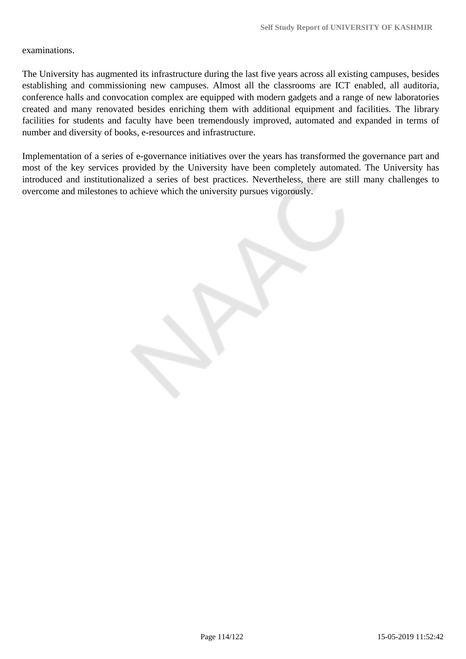examinations.

The University has augmented its infrastructure during the last five years across all existing campuses, besides establishing and commissioning new campuses. Almost all the classrooms are ICT enabled, all auditoria, conference halls and convocation complex are equipped with modern gadgets and a range of new laboratories created and many renovated besides enriching them with additional equipment and facilities. The library facilities for students and faculty have been tremendously improved, automated and expanded in terms of number and diversity of books, e-resources and infrastructure.

Implementation of a series of e-governance initiatives over the years has transformed the governance part and most of the key services provided by the University have been completely automated. The University has introduced and institutionalized a series of best practices. Nevertheless, there are still many challenges to overcome and milestones to achieve which the university pursues vigorously.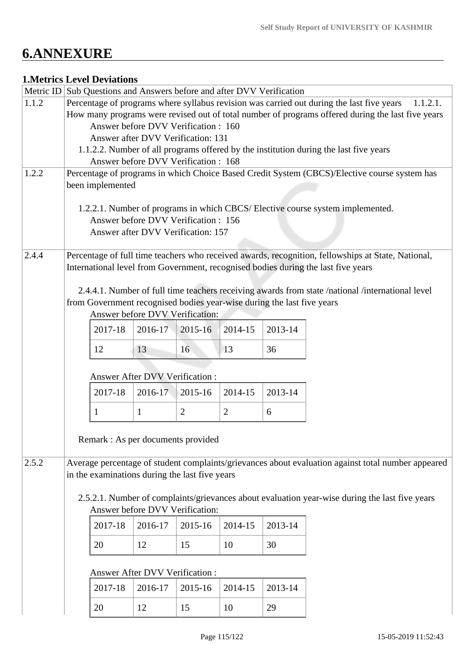# **6.ANNEXURE**

## **1.Metrics Level Deviations**

| Metric ID                                                                                                                                | Sub Questions and Answers before and after DVV Verification                                                                                                                                                                                       |                                                                                                  |              |         |                |         |                                                                                                    |  |  |  |  |  |                                    |
|------------------------------------------------------------------------------------------------------------------------------------------|---------------------------------------------------------------------------------------------------------------------------------------------------------------------------------------------------------------------------------------------------|--------------------------------------------------------------------------------------------------|--------------|---------|----------------|---------|----------------------------------------------------------------------------------------------------|--|--|--|--|--|------------------------------------|
| 1.1.2                                                                                                                                    | Percentage of programs where syllabus revision was carried out during the last five years<br>1.1.2.1.<br>How many programs were revised out of total number of programs offered during the last five years<br>Answer before DVV Verification: 160 |                                                                                                  |              |         |                |         |                                                                                                    |  |  |  |  |  |                                    |
|                                                                                                                                          |                                                                                                                                                                                                                                                   |                                                                                                  |              |         |                |         |                                                                                                    |  |  |  |  |  |                                    |
|                                                                                                                                          |                                                                                                                                                                                                                                                   |                                                                                                  |              |         |                |         |                                                                                                    |  |  |  |  |  |                                    |
|                                                                                                                                          |                                                                                                                                                                                                                                                   | Answer after DVV Verification: 131                                                               |              |         |                |         |                                                                                                    |  |  |  |  |  |                                    |
|                                                                                                                                          |                                                                                                                                                                                                                                                   |                                                                                                  |              |         |                |         | 1.1.2.2. Number of all programs offered by the institution during the last five years              |  |  |  |  |  |                                    |
| 1.2.2                                                                                                                                    |                                                                                                                                                                                                                                                   | Answer before DVV Verification: 168                                                              |              |         |                |         |                                                                                                    |  |  |  |  |  |                                    |
|                                                                                                                                          |                                                                                                                                                                                                                                                   |                                                                                                  |              |         |                |         | Percentage of programs in which Choice Based Credit System (CBCS)/Elective course system has       |  |  |  |  |  |                                    |
| been implemented<br>1.2.2.1. Number of programs in which CBCS/Elective course system implemented.<br>Answer before DVV Verification: 156 |                                                                                                                                                                                                                                                   |                                                                                                  |              |         |                |         |                                                                                                    |  |  |  |  |  |                                    |
|                                                                                                                                          |                                                                                                                                                                                                                                                   |                                                                                                  |              |         |                |         |                                                                                                    |  |  |  |  |  |                                    |
|                                                                                                                                          |                                                                                                                                                                                                                                                   |                                                                                                  |              |         |                |         |                                                                                                    |  |  |  |  |  | Answer after DVV Verification: 157 |
| 2.4.4                                                                                                                                    |                                                                                                                                                                                                                                                   |                                                                                                  |              |         |                |         | Percentage of full time teachers who received awards, recognition, fellowships at State, National, |  |  |  |  |  |                                    |
|                                                                                                                                          |                                                                                                                                                                                                                                                   |                                                                                                  |              |         |                |         | International level from Government, recognised bodies during the last five years                  |  |  |  |  |  |                                    |
|                                                                                                                                          |                                                                                                                                                                                                                                                   |                                                                                                  |              |         |                |         |                                                                                                    |  |  |  |  |  |                                    |
|                                                                                                                                          |                                                                                                                                                                                                                                                   | 2.4.4.1. Number of full time teachers receiving awards from state /national /international level |              |         |                |         |                                                                                                    |  |  |  |  |  |                                    |
|                                                                                                                                          |                                                                                                                                                                                                                                                   | from Government recognised bodies year-wise during the last five years                           |              |         |                |         |                                                                                                    |  |  |  |  |  |                                    |
|                                                                                                                                          |                                                                                                                                                                                                                                                   | Answer before DVV Verification:                                                                  |              |         |                |         |                                                                                                    |  |  |  |  |  |                                    |
|                                                                                                                                          |                                                                                                                                                                                                                                                   | 2017-18                                                                                          | 2016-17      | 2015-16 | 2014-15        | 2013-14 |                                                                                                    |  |  |  |  |  |                                    |
|                                                                                                                                          |                                                                                                                                                                                                                                                   | 12                                                                                               | 13           | 16      | 13             | 36      |                                                                                                    |  |  |  |  |  |                                    |
|                                                                                                                                          |                                                                                                                                                                                                                                                   |                                                                                                  |              |         |                |         |                                                                                                    |  |  |  |  |  |                                    |
|                                                                                                                                          | Answer After DVV Verification :                                                                                                                                                                                                                   |                                                                                                  |              |         |                |         |                                                                                                    |  |  |  |  |  |                                    |
|                                                                                                                                          |                                                                                                                                                                                                                                                   | 2017-18                                                                                          | 2016-17      | 2015-16 | 2014-15        | 2013-14 |                                                                                                    |  |  |  |  |  |                                    |
|                                                                                                                                          |                                                                                                                                                                                                                                                   | 1                                                                                                | $\mathbf{1}$ | 2       | $\overline{2}$ | 6       |                                                                                                    |  |  |  |  |  |                                    |
|                                                                                                                                          |                                                                                                                                                                                                                                                   |                                                                                                  |              |         |                |         |                                                                                                    |  |  |  |  |  |                                    |
|                                                                                                                                          |                                                                                                                                                                                                                                                   | Remark : As per documents provided                                                               |              |         |                |         |                                                                                                    |  |  |  |  |  |                                    |
|                                                                                                                                          |                                                                                                                                                                                                                                                   |                                                                                                  |              |         |                |         |                                                                                                    |  |  |  |  |  |                                    |
| 2.5.2                                                                                                                                    |                                                                                                                                                                                                                                                   |                                                                                                  |              |         |                |         | Average percentage of student complaints/grievances about evaluation against total number appeared |  |  |  |  |  |                                    |
|                                                                                                                                          |                                                                                                                                                                                                                                                   | in the examinations during the last five years                                                   |              |         |                |         |                                                                                                    |  |  |  |  |  |                                    |
|                                                                                                                                          |                                                                                                                                                                                                                                                   |                                                                                                  |              |         |                |         |                                                                                                    |  |  |  |  |  |                                    |
|                                                                                                                                          |                                                                                                                                                                                                                                                   |                                                                                                  |              |         |                |         | 2.5.2.1. Number of complaints/grievances about evaluation year-wise during the last five years     |  |  |  |  |  |                                    |
|                                                                                                                                          |                                                                                                                                                                                                                                                   | Answer before DVV Verification:                                                                  |              |         |                |         |                                                                                                    |  |  |  |  |  |                                    |
|                                                                                                                                          |                                                                                                                                                                                                                                                   | 2017-18                                                                                          | 2016-17      | 2015-16 | 2014-15        | 2013-14 |                                                                                                    |  |  |  |  |  |                                    |
|                                                                                                                                          |                                                                                                                                                                                                                                                   | 20                                                                                               | 12           | 15      | 10             | 30      |                                                                                                    |  |  |  |  |  |                                    |
|                                                                                                                                          |                                                                                                                                                                                                                                                   |                                                                                                  |              |         |                |         |                                                                                                    |  |  |  |  |  |                                    |
|                                                                                                                                          |                                                                                                                                                                                                                                                   | <b>Answer After DVV Verification:</b>                                                            |              |         |                |         |                                                                                                    |  |  |  |  |  |                                    |
|                                                                                                                                          |                                                                                                                                                                                                                                                   | 2017-18                                                                                          | 2016-17      | 2015-16 | 2014-15        | 2013-14 |                                                                                                    |  |  |  |  |  |                                    |
|                                                                                                                                          |                                                                                                                                                                                                                                                   | 20                                                                                               |              |         |                |         |                                                                                                    |  |  |  |  |  |                                    |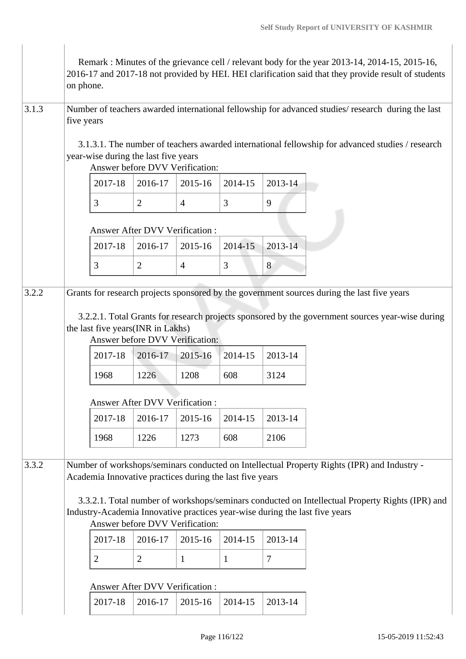|       | on phone.                                                                                                        |                                                                                                                                                                                                                                                                                                                                                                                                                                                                                              |                                                                                                          |                                                               |                           | Remark: Minutes of the grievance cell / relevant body for the year 2013-14, 2014-15, 2015-16,<br>2016-17 and 2017-18 not provided by HEI. HEI clarification said that they provide result of students |  |  |  |  |  |  |  |
|-------|------------------------------------------------------------------------------------------------------------------|----------------------------------------------------------------------------------------------------------------------------------------------------------------------------------------------------------------------------------------------------------------------------------------------------------------------------------------------------------------------------------------------------------------------------------------------------------------------------------------------|----------------------------------------------------------------------------------------------------------|---------------------------------------------------------------|---------------------------|-------------------------------------------------------------------------------------------------------------------------------------------------------------------------------------------------------|--|--|--|--|--|--|--|
| 3.1.3 | Number of teachers awarded international fellowship for advanced studies/ research during the last<br>five years |                                                                                                                                                                                                                                                                                                                                                                                                                                                                                              |                                                                                                          |                                                               |                           |                                                                                                                                                                                                       |  |  |  |  |  |  |  |
|       |                                                                                                                  | 3.1.3.1. The number of teachers awarded international fellowship for advanced studies / research<br>year-wise during the last five years<br>Answer before DVV Verification:                                                                                                                                                                                                                                                                                                                  |                                                                                                          |                                                               |                           |                                                                                                                                                                                                       |  |  |  |  |  |  |  |
|       |                                                                                                                  | 2017-18                                                                                                                                                                                                                                                                                                                                                                                                                                                                                      | 2016-17                                                                                                  | 2015-16                                                       | 2014-15                   | 2013-14                                                                                                                                                                                               |  |  |  |  |  |  |  |
|       |                                                                                                                  | 3                                                                                                                                                                                                                                                                                                                                                                                                                                                                                            | $\overline{2}$                                                                                           | $\overline{4}$                                                | 3                         | 9                                                                                                                                                                                                     |  |  |  |  |  |  |  |
|       | Answer After DVV Verification:                                                                                   |                                                                                                                                                                                                                                                                                                                                                                                                                                                                                              |                                                                                                          |                                                               |                           |                                                                                                                                                                                                       |  |  |  |  |  |  |  |
|       |                                                                                                                  | 2017-18                                                                                                                                                                                                                                                                                                                                                                                                                                                                                      | 2016-17                                                                                                  | 2015-16                                                       | 2014-15                   | 2013-14                                                                                                                                                                                               |  |  |  |  |  |  |  |
|       |                                                                                                                  | 3                                                                                                                                                                                                                                                                                                                                                                                                                                                                                            | $\overline{2}$                                                                                           | $\overline{4}$                                                | 3                         | 8                                                                                                                                                                                                     |  |  |  |  |  |  |  |
|       |                                                                                                                  | 2017-18<br>1968<br>2017-18                                                                                                                                                                                                                                                                                                                                                                                                                                                                   | the last five years(INR in Lakhs)<br>2016-17<br>1226<br><b>Answer After DVV Verification:</b><br>2016-17 | Answer before DVV Verification:<br>2015-16<br>1208<br>2015-16 | 2014-15<br>608<br>2014-15 | 3.2.2.1. Total Grants for research projects sponsored by the government sources year-wise during<br>2013-14<br>3124<br>2013-14                                                                        |  |  |  |  |  |  |  |
| 3.3.2 |                                                                                                                  | 1226<br>1273<br>608<br>2106<br>1968<br>Number of workshops/seminars conducted on Intellectual Property Rights (IPR) and Industry -<br>Academia Innovative practices during the last five years<br>3.3.2.1. Total number of workshops/seminars conducted on Intellectual Property Rights (IPR) and<br>Industry-Academia Innovative practices year-wise during the last five years<br>Answer before DVV Verification:<br>2013-14<br>2017-18<br>2016-17<br>2015-16<br>2014-15<br>$\overline{7}$ |                                                                                                          |                                                               |                           |                                                                                                                                                                                                       |  |  |  |  |  |  |  |
|       |                                                                                                                  | $\overline{2}$                                                                                                                                                                                                                                                                                                                                                                                                                                                                               | $\overline{2}$<br>Answer After DVV Verification:                                                         | $\mathbf{1}$                                                  | $\mathbf{1}$              |                                                                                                                                                                                                       |  |  |  |  |  |  |  |
|       |                                                                                                                  | 2017-18                                                                                                                                                                                                                                                                                                                                                                                                                                                                                      | 2016-17                                                                                                  | 2015-16                                                       | 2014-15                   | 2013-14                                                                                                                                                                                               |  |  |  |  |  |  |  |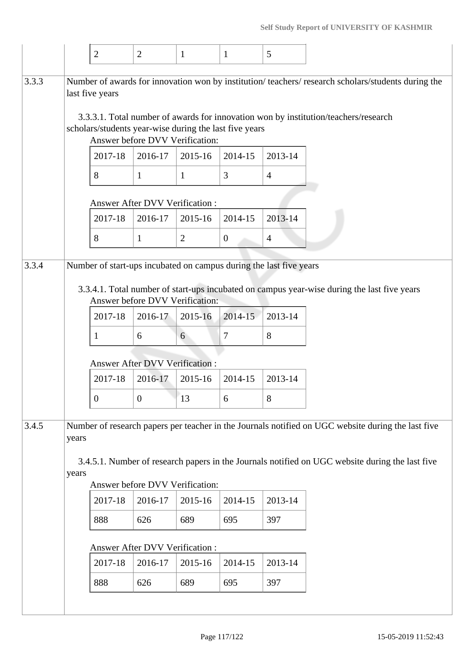|       |                                       | $\overline{2}$                                                            | 2                                     | $\mathbf{1}$   | $\mathbf{1}$   | 5                                                                  |                                                                                                                                                                                                       |  |  |  |  |
|-------|---------------------------------------|---------------------------------------------------------------------------|---------------------------------------|----------------|----------------|--------------------------------------------------------------------|-------------------------------------------------------------------------------------------------------------------------------------------------------------------------------------------------------|--|--|--|--|
| 3.3.3 |                                       | last five years<br>scholars/students year-wise during the last five years | Answer before DVV Verification:       |                |                |                                                                    | Number of awards for innovation won by institution/teachers/research scholars/students during the<br>3.3.3.1. Total number of awards for innovation won by institution/teachers/research              |  |  |  |  |
|       |                                       | 2017-18                                                                   | 2016-17                               | 2015-16        | 2014-15        | 2013-14                                                            |                                                                                                                                                                                                       |  |  |  |  |
|       |                                       | 8                                                                         | $\mathbf{1}$                          | $\mathbf{1}$   | $\overline{3}$ | $\overline{4}$                                                     |                                                                                                                                                                                                       |  |  |  |  |
|       |                                       |                                                                           | <b>Answer After DVV Verification:</b> |                |                |                                                                    |                                                                                                                                                                                                       |  |  |  |  |
|       |                                       | 2017-18                                                                   | 2016-17                               | 2015-16        | 2014-15        | 2013-14                                                            |                                                                                                                                                                                                       |  |  |  |  |
|       |                                       | 8                                                                         | $\mathbf{1}$                          | $\overline{2}$ | $\mathbf{0}$   | $\overline{4}$                                                     |                                                                                                                                                                                                       |  |  |  |  |
| 3.3.4 |                                       |                                                                           | Answer before DVV Verification:       |                |                | Number of start-ups incubated on campus during the last five years | 3.3.4.1. Total number of start-ups incubated on campus year-wise during the last five years                                                                                                           |  |  |  |  |
|       |                                       | 2017-18                                                                   | 2016-17                               | 2015-16        | 2014-15        | 2013-14                                                            |                                                                                                                                                                                                       |  |  |  |  |
|       |                                       | 1                                                                         | 6                                     | 6              | 7              | 8                                                                  |                                                                                                                                                                                                       |  |  |  |  |
|       | <b>Answer After DVV Verification:</b> |                                                                           |                                       |                |                |                                                                    |                                                                                                                                                                                                       |  |  |  |  |
|       |                                       | 2017-18                                                                   | 2016-17                               | 2015-16        | 2014-15        | 2013-14                                                            |                                                                                                                                                                                                       |  |  |  |  |
|       |                                       | $\boldsymbol{0}$                                                          | $\boldsymbol{0}$                      | 13             | 6              | 8                                                                  |                                                                                                                                                                                                       |  |  |  |  |
| 3.4.5 | years<br>years                        |                                                                           |                                       |                |                |                                                                    | Number of research papers per teacher in the Journals notified on UGC website during the last five<br>3.4.5.1. Number of research papers in the Journals notified on UGC website during the last five |  |  |  |  |
|       |                                       |                                                                           | Answer before DVV Verification:       |                |                |                                                                    |                                                                                                                                                                                                       |  |  |  |  |
|       |                                       | 2017-18                                                                   | 2016-17                               | 2015-16        | 2014-15        | 2013-14                                                            |                                                                                                                                                                                                       |  |  |  |  |
|       |                                       | 888                                                                       | 626                                   | 689            | 695            | 397                                                                |                                                                                                                                                                                                       |  |  |  |  |
|       |                                       |                                                                           | Answer After DVV Verification:        |                |                |                                                                    |                                                                                                                                                                                                       |  |  |  |  |
|       |                                       | 2017-18                                                                   | 2016-17                               | 2015-16        | 2014-15        | 2013-14                                                            |                                                                                                                                                                                                       |  |  |  |  |
|       |                                       | 888                                                                       | 626                                   | 689            | 695            | 397                                                                |                                                                                                                                                                                                       |  |  |  |  |
|       |                                       |                                                                           |                                       |                |                |                                                                    |                                                                                                                                                                                                       |  |  |  |  |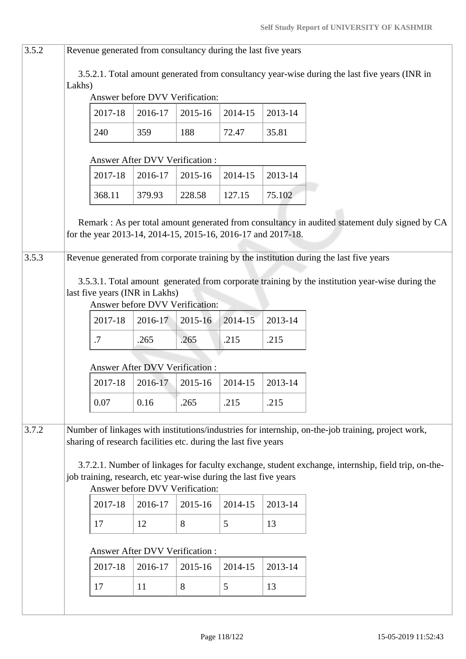| 3.5.2 | Revenue generated from consultancy during the last five years                                                                                                        |                                                                  |                                 |                                 |         |         |                                                                                                     |  |  |  |  |  |
|-------|----------------------------------------------------------------------------------------------------------------------------------------------------------------------|------------------------------------------------------------------|---------------------------------|---------------------------------|---------|---------|-----------------------------------------------------------------------------------------------------|--|--|--|--|--|
|       | Lakhs)                                                                                                                                                               |                                                                  |                                 | Answer before DVV Verification: |         |         | 3.5.2.1. Total amount generated from consultancy year-wise during the last five years (INR in       |  |  |  |  |  |
|       |                                                                                                                                                                      | 2017-18                                                          | 2016-17                         | 2015-16                         | 2014-15 | 2013-14 |                                                                                                     |  |  |  |  |  |
|       |                                                                                                                                                                      | 240                                                              | 359                             | 188                             | 72.47   | 35.81   |                                                                                                     |  |  |  |  |  |
|       |                                                                                                                                                                      |                                                                  | Answer After DVV Verification : |                                 |         |         |                                                                                                     |  |  |  |  |  |
|       |                                                                                                                                                                      | 2017-18                                                          | 2016-17                         | 2015-16                         | 2014-15 | 2013-14 |                                                                                                     |  |  |  |  |  |
|       |                                                                                                                                                                      | 368.11                                                           | 379.93                          | 228.58                          | 127.15  | 75.102  |                                                                                                     |  |  |  |  |  |
|       | Remark : As per total amount generated from consultancy in audited statement duly signed by CA<br>for the year 2013-14, 2014-15, 2015-16, 2016-17 and 2017-18.       |                                                                  |                                 |                                 |         |         |                                                                                                     |  |  |  |  |  |
| 3.5.3 |                                                                                                                                                                      |                                                                  |                                 |                                 |         |         | Revenue generated from corporate training by the institution during the last five years             |  |  |  |  |  |
|       |                                                                                                                                                                      | last five years (INR in Lakhs)                                   |                                 | Answer before DVV Verification: |         |         | 3.5.3.1. Total amount generated from corporate training by the institution year-wise during the     |  |  |  |  |  |
|       |                                                                                                                                                                      | 2017-18                                                          | 2016-17                         | 2015-16                         | 2014-15 | 2013-14 |                                                                                                     |  |  |  |  |  |
|       |                                                                                                                                                                      | .7                                                               | .265                            | .265                            | .215    | .215    |                                                                                                     |  |  |  |  |  |
|       | <b>Answer After DVV Verification:</b>                                                                                                                                |                                                                  |                                 |                                 |         |         |                                                                                                     |  |  |  |  |  |
|       |                                                                                                                                                                      | 2017-18                                                          | 2016-17                         | 2015-16                         | 2014-15 | 2013-14 |                                                                                                     |  |  |  |  |  |
|       |                                                                                                                                                                      | 0.07                                                             | 0.16                            | .265                            | .215    | .215    |                                                                                                     |  |  |  |  |  |
| 3.7.2 | Number of linkages with institutions/industries for internship, on-the-job training, project work,<br>sharing of research facilities etc. during the last five years |                                                                  |                                 |                                 |         |         |                                                                                                     |  |  |  |  |  |
|       |                                                                                                                                                                      | job training, research, etc year-wise during the last five years |                                 | Answer before DVV Verification: |         |         | 3.7.2.1. Number of linkages for faculty exchange, student exchange, internship, field trip, on-the- |  |  |  |  |  |
|       |                                                                                                                                                                      | 2017-18                                                          | 2016-17                         | 2015-16                         | 2014-15 | 2013-14 |                                                                                                     |  |  |  |  |  |
|       |                                                                                                                                                                      | 17                                                               | 12                              | 8                               | 5       | 13      |                                                                                                     |  |  |  |  |  |
|       |                                                                                                                                                                      |                                                                  | Answer After DVV Verification : |                                 |         |         |                                                                                                     |  |  |  |  |  |
|       |                                                                                                                                                                      | 2017-18                                                          | 2016-17                         | 2015-16                         | 2014-15 | 2013-14 |                                                                                                     |  |  |  |  |  |
|       |                                                                                                                                                                      | 17                                                               | 11                              | 8                               | 5       | 13      |                                                                                                     |  |  |  |  |  |
|       |                                                                                                                                                                      |                                                                  |                                 |                                 |         |         |                                                                                                     |  |  |  |  |  |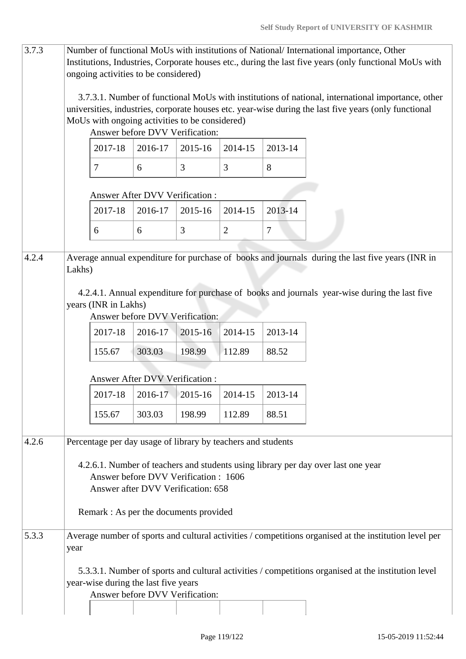| 3.7.3 |                                | Number of functional MoUs with institutions of National/International importance, Other<br>Institutions, Industries, Corporate houses etc., during the last five years (only functional MoUs with<br>ongoing activities to be considered)<br>3.7.3.1. Number of functional MoUs with institutions of national, international importance, other |                                                                            |                   |                |         |                                                                                                        |  |  |  |  |  |  |
|-------|--------------------------------|------------------------------------------------------------------------------------------------------------------------------------------------------------------------------------------------------------------------------------------------------------------------------------------------------------------------------------------------|----------------------------------------------------------------------------|-------------------|----------------|---------|--------------------------------------------------------------------------------------------------------|--|--|--|--|--|--|
|       |                                | MoUs with ongoing activities to be considered)                                                                                                                                                                                                                                                                                                 | Answer before DVV Verification:                                            |                   |                |         | universities, industries, corporate houses etc. year-wise during the last five years (only functional  |  |  |  |  |  |  |
|       |                                | 2017-18                                                                                                                                                                                                                                                                                                                                        | 2016-17                                                                    | 2015-16           | 2014-15        | 2013-14 |                                                                                                        |  |  |  |  |  |  |
|       |                                | $\overline{7}$                                                                                                                                                                                                                                                                                                                                 | 6                                                                          | 3                 | 3              | 8       |                                                                                                        |  |  |  |  |  |  |
|       | Answer After DVV Verification: |                                                                                                                                                                                                                                                                                                                                                |                                                                            |                   |                |         |                                                                                                        |  |  |  |  |  |  |
|       |                                | 2017-18                                                                                                                                                                                                                                                                                                                                        | 2016-17                                                                    | 2015-16           | 2014-15        | 2013-14 |                                                                                                        |  |  |  |  |  |  |
|       |                                | 6                                                                                                                                                                                                                                                                                                                                              | 6                                                                          | 3                 | $\overline{2}$ | $\tau$  |                                                                                                        |  |  |  |  |  |  |
| 4.2.4 | Lakhs)                         |                                                                                                                                                                                                                                                                                                                                                |                                                                            |                   |                |         | Average annual expenditure for purchase of books and journals during the last five years (INR in       |  |  |  |  |  |  |
|       |                                | years (INR in Lakhs)                                                                                                                                                                                                                                                                                                                           | Answer before DVV Verification:                                            |                   |                |         | 4.2.4.1. Annual expenditure for purchase of books and journals year-wise during the last five          |  |  |  |  |  |  |
|       |                                | 2017-18                                                                                                                                                                                                                                                                                                                                        | 2016-17                                                                    | 2015-16           | 2014-15        | 2013-14 |                                                                                                        |  |  |  |  |  |  |
|       |                                | 155.67                                                                                                                                                                                                                                                                                                                                         | 303.03                                                                     | 198.99            | 112.89         | 88.52   |                                                                                                        |  |  |  |  |  |  |
|       |                                |                                                                                                                                                                                                                                                                                                                                                | Answer After DVV Verification :                                            |                   |                |         |                                                                                                        |  |  |  |  |  |  |
|       |                                | 2017-18                                                                                                                                                                                                                                                                                                                                        |                                                                            | $2016-17$ 2015-16 | 2014-15        | 2013-14 |                                                                                                        |  |  |  |  |  |  |
|       |                                | 155.67                                                                                                                                                                                                                                                                                                                                         | 303.03                                                                     | 198.99            | 112.89         | 88.51   |                                                                                                        |  |  |  |  |  |  |
| 4.2.6 |                                | Percentage per day usage of library by teachers and students                                                                                                                                                                                                                                                                                   |                                                                            |                   |                |         |                                                                                                        |  |  |  |  |  |  |
|       |                                |                                                                                                                                                                                                                                                                                                                                                | Answer before DVV Verification: 1606<br>Answer after DVV Verification: 658 |                   |                |         | 4.2.6.1. Number of teachers and students using library per day over last one year                      |  |  |  |  |  |  |
|       |                                | Remark : As per the documents provided                                                                                                                                                                                                                                                                                                         |                                                                            |                   |                |         |                                                                                                        |  |  |  |  |  |  |
| 5.3.3 | year                           |                                                                                                                                                                                                                                                                                                                                                |                                                                            |                   |                |         | Average number of sports and cultural activities / competitions organised at the institution level per |  |  |  |  |  |  |
|       |                                | year-wise during the last five years                                                                                                                                                                                                                                                                                                           | Answer before DVV Verification:                                            |                   |                |         | 5.3.3.1. Number of sports and cultural activities / competitions organised at the institution level    |  |  |  |  |  |  |
|       |                                |                                                                                                                                                                                                                                                                                                                                                |                                                                            |                   |                |         |                                                                                                        |  |  |  |  |  |  |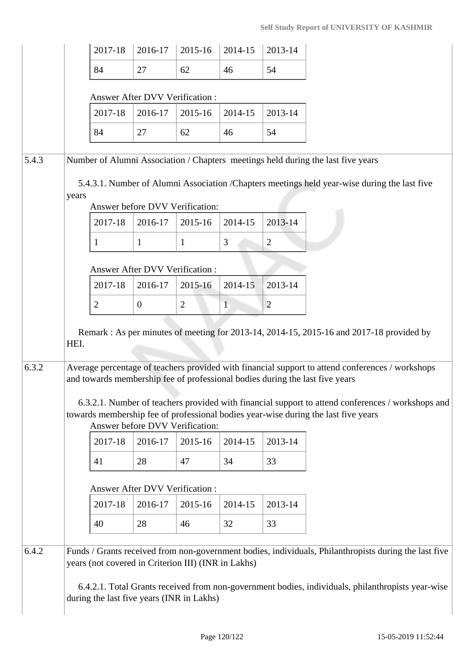|       |       | 2017-18                                             | 2016-17                                          | 2015-16        | 2014-15     | 2013-14                                                                                                                                                                                                                                                                                                                                                                     |
|-------|-------|-----------------------------------------------------|--------------------------------------------------|----------------|-------------|-----------------------------------------------------------------------------------------------------------------------------------------------------------------------------------------------------------------------------------------------------------------------------------------------------------------------------------------------------------------------------|
|       |       | 84                                                  | 27                                               | 62             | 46          | 54                                                                                                                                                                                                                                                                                                                                                                          |
|       |       |                                                     | Answer After DVV Verification:                   |                |             |                                                                                                                                                                                                                                                                                                                                                                             |
|       |       | 2017-18                                             | 2016-17                                          | 2015-16        | 2014-15     | 2013-14                                                                                                                                                                                                                                                                                                                                                                     |
|       |       | 84                                                  | 27                                               | 62             | 46          | 54                                                                                                                                                                                                                                                                                                                                                                          |
| 5.4.3 |       |                                                     |                                                  |                |             | Number of Alumni Association / Chapters meetings held during the last five years                                                                                                                                                                                                                                                                                            |
|       | years |                                                     | Answer before DVV Verification:                  |                |             | 5.4.3.1. Number of Alumni Association /Chapters meetings held year-wise during the last five                                                                                                                                                                                                                                                                                |
|       |       | 2017-18                                             | 2016-17                                          | 2015-16        | 2014-15     | 2013-14                                                                                                                                                                                                                                                                                                                                                                     |
|       |       | 1                                                   | $\mathbf{1}$                                     | $\mathbf{1}$   | 3           | $\overline{2}$                                                                                                                                                                                                                                                                                                                                                              |
|       |       |                                                     |                                                  |                |             |                                                                                                                                                                                                                                                                                                                                                                             |
|       |       | 2017-18                                             | <b>Answer After DVV Verification:</b><br>2016-17 | 2015-16        | $2014 - 15$ | 2013-14                                                                                                                                                                                                                                                                                                                                                                     |
|       |       | $\overline{2}$                                      | $\overline{0}$                                   | $\overline{2}$ | 1           | $\overline{2}$                                                                                                                                                                                                                                                                                                                                                              |
| 6.3.2 |       |                                                     |                                                  |                |             | Average percentage of teachers provided with financial support to attend conferences / workshops<br>and towards membership fee of professional bodies during the last five years<br>6.3.2.1. Number of teachers provided with financial support to attend conferences / workshops and<br>towards membership fee of professional bodies year-wise during the last five years |
|       |       | 2017-18                                             | Answer before DVV Verification:<br>2016-17       | 2015-16        | 2014-15     | 2013-14                                                                                                                                                                                                                                                                                                                                                                     |
|       |       |                                                     |                                                  |                |             |                                                                                                                                                                                                                                                                                                                                                                             |
|       |       | 41                                                  | 28                                               | 47             | 34          | 33                                                                                                                                                                                                                                                                                                                                                                          |
|       |       |                                                     | Answer After DVV Verification:                   |                |             |                                                                                                                                                                                                                                                                                                                                                                             |
|       |       | 2017-18                                             | 2016-17                                          | 2015-16        | 2014-15     | 2013-14                                                                                                                                                                                                                                                                                                                                                                     |
|       |       | 40                                                  | 28                                               | 46             | 32          | 33                                                                                                                                                                                                                                                                                                                                                                          |
| 6.4.2 |       | years (not covered in Criterion III) (INR in Lakhs) |                                                  |                |             | Funds / Grants received from non-government bodies, individuals, Philanthropists during the last five                                                                                                                                                                                                                                                                       |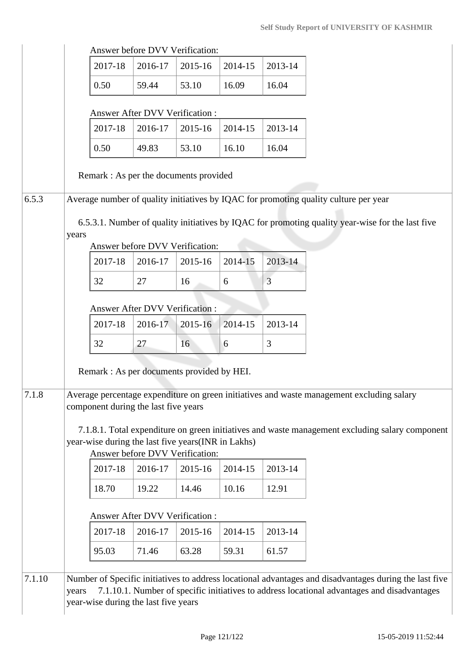|       |       | Answer before DVV Verification:                                                                                                                       |                                       |         |         |         |
|-------|-------|-------------------------------------------------------------------------------------------------------------------------------------------------------|---------------------------------------|---------|---------|---------|
|       |       | 2017-18                                                                                                                                               | 2016-17                               | 2015-16 | 2014-15 | 2013-14 |
|       |       | 0.50                                                                                                                                                  | 59.44                                 | 53.10   | 16.09   | 16.04   |
|       |       |                                                                                                                                                       | <b>Answer After DVV Verification:</b> |         |         |         |
|       |       | 2017-18                                                                                                                                               | 2016-17                               | 2015-16 | 2014-15 | 2013-14 |
|       |       | 0.50                                                                                                                                                  | 49.83                                 | 53.10   | 16.10   | 16.04   |
|       |       | Remark : As per the documents provided                                                                                                                |                                       |         |         |         |
| 6.5.3 |       | Average number of quality initiatives by IQAC for promoting quality culture per year                                                                  |                                       |         |         |         |
|       | years | 6.5.3.1. Number of quality initiatives by IQAC for promoting quality year-wise for the last five                                                      | Answer before DVV Verification:       |         |         |         |
|       |       | 2017-18                                                                                                                                               | 2016-17                               | 2015-16 | 2014-15 | 2013-14 |
|       |       | 32                                                                                                                                                    | 27                                    | 16      | 6       | 3       |
|       |       |                                                                                                                                                       | Answer After DVV Verification :       |         |         |         |
|       |       | 2017-18                                                                                                                                               | 2016-17                               | 2015-16 | 2014-15 | 2013-14 |
|       |       | 32                                                                                                                                                    | 27                                    | 16      | 6       | 3       |
|       |       | Remark : As per documents provided by HEI.                                                                                                            |                                       |         |         |         |
| 7.1.8 |       | Average percentage expenditure on green initiatives and waste management excluding salary                                                             |                                       |         |         |         |
|       |       | component during the last five years                                                                                                                  |                                       |         |         |         |
|       |       | 7.1.8.1. Total expenditure on green initiatives and waste management excluding salary component<br>year-wise during the last five years(INR in Lakhs) | Answer before DVV Verification:       |         |         |         |
|       |       | 2017-18                                                                                                                                               | 2016-17                               | 2015-16 | 2014-15 | 2013-14 |
|       |       | 18.70                                                                                                                                                 | 19.22                                 | 14.46   | 10.16   | 12.91   |
|       |       |                                                                                                                                                       | Answer After DVV Verification :       |         |         |         |
|       |       | 2017-18                                                                                                                                               | 2016-17                               | 2015-16 | 2014-15 | 2013-14 |
|       |       | 95.03                                                                                                                                                 | 71.46                                 | 63.28   | 59.31   | 61.57   |